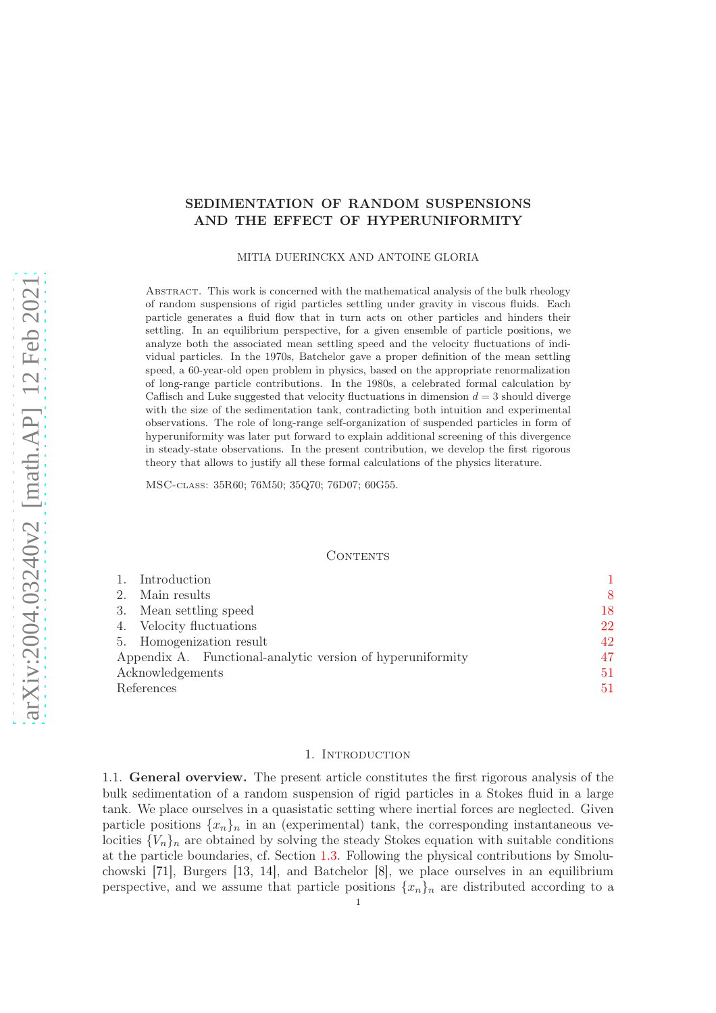# SEDIMENTATION OF RANDOM SUSPENSIONS AND THE EFFECT OF HYPERUNIFORMITY

MITIA DUERINCKX AND ANTOINE GLORIA

Abstract. This work is concerned with the mathematical analysis of the bulk rheology of random suspensions of rigid particles settling under gravity in viscous fluids. Each particle generates a fluid flow that in turn acts on other particles and hinders their settling. In an equilibrium perspective, for a given ensemble of particle positions, we analyze both the associated mean settling speed and the velocity fluctuations of individual particles. In the 1970s, Batchelor gave a proper definition of the mean settling speed, a 60-year-old open problem in physics, based on the appropriate renormalization of long-range particle contributions. In the 1980s, a celebrated formal calculation by Caflisch and Luke suggested that velocity fluctuations in dimension  $d = 3$  should diverge with the size of the sedimentation tank, contradicting both intuition and experimental observations. The role of long-range self-organization of suspended particles in form of hyperuniformity was later put forward to explain additional screening of this divergence in steady-state observations. In the present contribution, we develop the first rigorous theory that allows to justify all these formal calculations of the physics literature.

MSC-class: 35R60; 76M50; 35Q70; 76D07; 60G55.

#### CONTENTS

| Introduction                                               |    |
|------------------------------------------------------------|----|
| Main results<br>2.                                         | 8  |
| Mean settling speed<br>3.                                  | 18 |
| Velocity fluctuations<br>4.                                | 22 |
| 5. Homogenization result                                   | 42 |
| Appendix A. Functional-analytic version of hyperuniformity | 47 |
| Acknowledgements                                           | 51 |
| References                                                 | 51 |

#### 1. Introduction

<span id="page-0-0"></span>1.1. General overview. The present article constitutes the first rigorous analysis of the bulk sedimentation of a random suspension of rigid particles in a Stokes fluid in a large tank. We place ourselves in a quasistatic setting where inertial forces are neglected. Given particle positions  $\{x_n\}_n$  in an (experimental) tank, the corresponding instantaneous velocities  $\{V_n\}_n$  are obtained by solving the steady Stokes equation with suitable conditions at the particle boundaries, cf. Section [1.3.](#page-3-0) Following the physical contributions by Smoluchowski [\[71\]](#page-52-0), Burgers [\[13,](#page-50-2) [14\]](#page-50-3), and Batchelor [\[8\]](#page-50-4), we place ourselves in an equilibrium perspective, and we assume that particle positions  $\{x_n\}_n$  are distributed according to a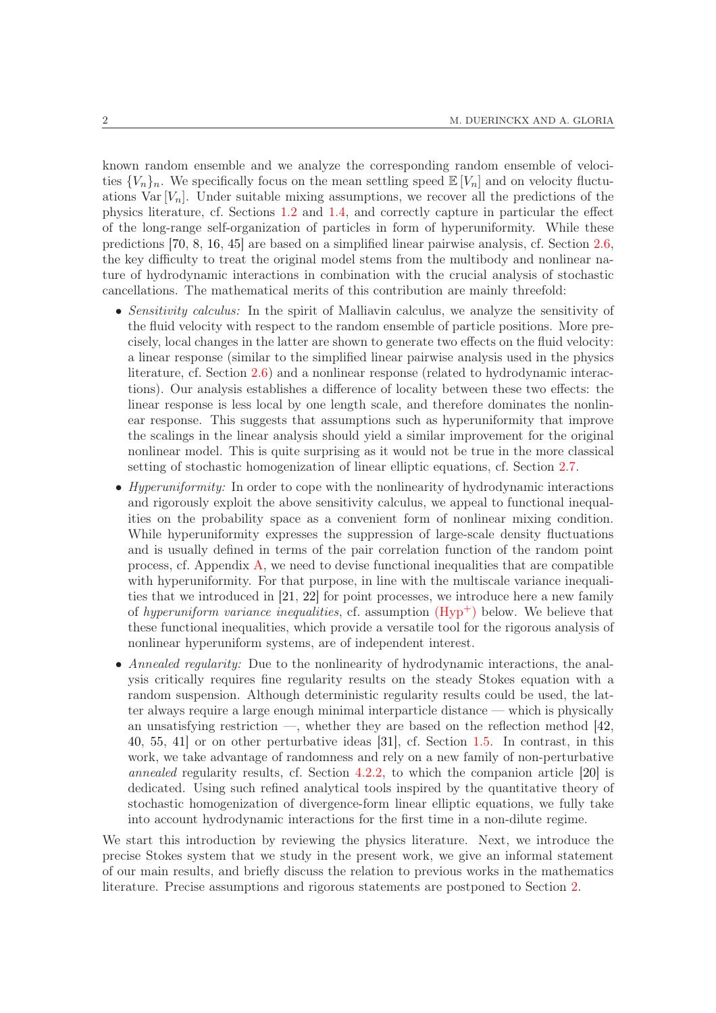known random ensemble and we analyze the corresponding random ensemble of velocities  $\{V_n\}_n$ . We specifically focus on the mean settling speed  $\mathbb{E}[V_n]$  and on velocity fluctuations Var  $[V_n]$ . Under suitable mixing assumptions, we recover all the predictions of the physics literature, cf. Sections [1.2](#page-2-0) and [1.4,](#page-5-0) and correctly capture in particular the effect of the long-range self-organization of particles in form of hyperuniformity. While these predictions [\[70,](#page-52-1) [8,](#page-50-4) [16,](#page-50-5) [45\]](#page-51-0) are based on a simplified linear pairwise analysis, cf. Section [2.6,](#page-14-0) the key difficulty to treat the original model stems from the multibody and nonlinear nature of hydrodynamic interactions in combination with the crucial analysis of stochastic cancellations. The mathematical merits of this contribution are mainly threefold:

- Sensitivity calculus: In the spirit of Malliavin calculus, we analyze the sensitivity of the fluid velocity with respect to the random ensemble of particle positions. More precisely, local changes in the latter are shown to generate two effects on the fluid velocity: a linear response (similar to the simplified linear pairwise analysis used in the physics literature, cf. Section [2.6\)](#page-14-0) and a nonlinear response (related to hydrodynamic interactions). Our analysis establishes a difference of locality between these two effects: the linear response is less local by one length scale, and therefore dominates the nonlinear response. This suggests that assumptions such as hyperuniformity that improve the scalings in the linear analysis should yield a similar improvement for the original nonlinear model. This is quite surprising as it would not be true in the more classical setting of stochastic homogenization of linear elliptic equations, cf. Section [2.7.](#page-15-0)
- Hyperuniformity: In order to cope with the nonlinearity of hydrodynamic interactions and rigorously exploit the above sensitivity calculus, we appeal to functional inequalities on the probability space as a convenient form of nonlinear mixing condition. While hyperuniformity expresses the suppression of large-scale density fluctuations and is usually defined in terms of the pair correlation function of the random point process, cf. Appendix [A,](#page-46-0) we need to devise functional inequalities that are compatible with hyperuniformity. For that purpose, in line with the multiscale variance inequalities that we introduced in [\[21,](#page-51-1) [22\]](#page-51-2) for point processes, we introduce here a new family of hyperuniform variance inequalities, cf. assumption  $(Hyp<sup>+</sup>)$  below. We believe that these functional inequalities, which provide a versatile tool for the rigorous analysis of nonlinear hyperuniform systems, are of independent interest.
- Annealed regularity: Due to the nonlinearity of hydrodynamic interactions, the analysis critically requires fine regularity results on the steady Stokes equation with a random suspension. Although deterministic regularity results could be used, the latter always require a large enough minimal interparticle distance — which is physically an unsatisfying restriction —, whether they are based on the reflection method  $[42]$ , [40,](#page-51-4) [55,](#page-52-2) [41\]](#page-51-5) or on other perturbative ideas [\[31\]](#page-51-6), cf. Section [1.5.](#page-6-0) In contrast, in this work, we take advantage of randomness and rely on a new family of non-perturbative annealed regularity results, cf. Section [4.2.2,](#page-25-0) to which the companion article [\[20\]](#page-51-7) is dedicated. Using such refined analytical tools inspired by the quantitative theory of stochastic homogenization of divergence-form linear elliptic equations, we fully take into account hydrodynamic interactions for the first time in a non-dilute regime.

We start this introduction by reviewing the physics literature. Next, we introduce the precise Stokes system that we study in the present work, we give an informal statement of our main results, and briefly discuss the relation to previous works in the mathematics literature. Precise assumptions and rigorous statements are postponed to Section [2.](#page-7-0)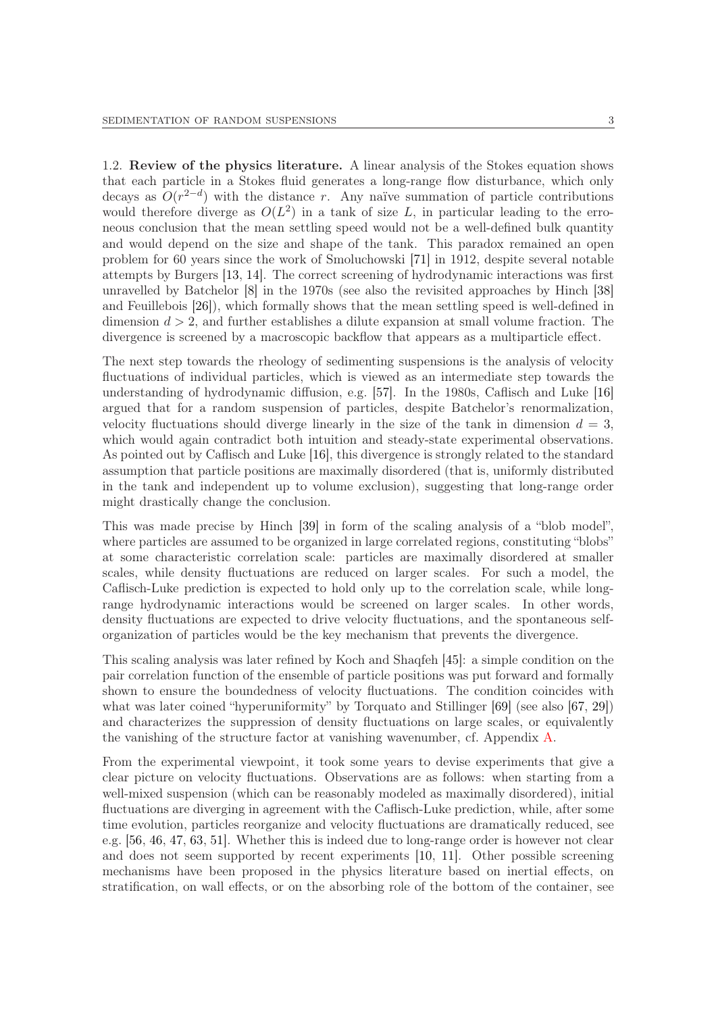<span id="page-2-0"></span>1.2. Review of the physics literature. A linear analysis of the Stokes equation shows that each particle in a Stokes fluid generates a long-range flow disturbance, which only decays as  $O(r^{2-d})$  with the distance r. Any naïve summation of particle contributions would therefore diverge as  $O(L^2)$  in a tank of size L, in particular leading to the erroneous conclusion that the mean settling speed would not be a well-defined bulk quantity and would depend on the size and shape of the tank. This paradox remained an open problem for 60 years since the work of Smoluchowski [\[71\]](#page-52-0) in 1912, despite several notable attempts by Burgers [\[13,](#page-50-2) [14\]](#page-50-3). The correct screening of hydrodynamic interactions was first unravelled by Batchelor [\[8\]](#page-50-4) in the 1970s (see also the revisited approaches by Hinch [\[38\]](#page-51-8) and Feuillebois [\[26\]](#page-51-9)), which formally shows that the mean settling speed is well-defined in dimension  $d > 2$ , and further establishes a dilute expansion at small volume fraction. The divergence is screened by a macroscopic backflow that appears as a multiparticle effect.

The next step towards the rheology of sedimenting suspensions is the analysis of velocity fluctuations of individual particles, which is viewed as an intermediate step towards the understanding of hydrodynamic diffusion, e.g. [\[57\]](#page-52-3). In the 1980s, Caflisch and Luke [\[16\]](#page-50-5) argued that for a random suspension of particles, despite Batchelor's renormalization, velocity fluctuations should diverge linearly in the size of the tank in dimension  $d = 3$ , which would again contradict both intuition and steady-state experimental observations. As pointed out by Caflisch and Luke [\[16\]](#page-50-5), this divergence is strongly related to the standard assumption that particle positions are maximally disordered (that is, uniformly distributed in the tank and independent up to volume exclusion), suggesting that long-range order might drastically change the conclusion.

This was made precise by Hinch [\[39\]](#page-51-10) in form of the scaling analysis of a "blob model", where particles are assumed to be organized in large correlated regions, constituting "blobs" at some characteristic correlation scale: particles are maximally disordered at smaller scales, while density fluctuations are reduced on larger scales. For such a model, the Caflisch-Luke prediction is expected to hold only up to the correlation scale, while longrange hydrodynamic interactions would be screened on larger scales. In other words, density fluctuations are expected to drive velocity fluctuations, and the spontaneous selforganization of particles would be the key mechanism that prevents the divergence.

This scaling analysis was later refined by Koch and Shaqfeh [\[45\]](#page-51-0): a simple condition on the pair correlation function of the ensemble of particle positions was put forward and formally shown to ensure the boundedness of velocity fluctuations. The condition coincides with what was later coined "hyperuniformity" by Torquato and Stillinger [\[69\]](#page-52-4) (see also [\[67,](#page-52-5) [29\]](#page-51-11)) and characterizes the suppression of density fluctuations on large scales, or equivalently the vanishing of the structure factor at vanishing wavenumber, cf. Appendix [A.](#page-46-0)

From the experimental viewpoint, it took some years to devise experiments that give a clear picture on velocity fluctuations. Observations are as follows: when starting from a well-mixed suspension (which can be reasonably modeled as maximally disordered), initial fluctuations are diverging in agreement with the Caflisch-Luke prediction, while, after some time evolution, particles reorganize and velocity fluctuations are dramatically reduced, see e.g. [\[56,](#page-52-6) [46,](#page-51-12) [47,](#page-52-7) [63,](#page-52-8) [51\]](#page-52-9). Whether this is indeed due to long-range order is however not clear and does not seem supported by recent experiments [\[10,](#page-50-6) [11\]](#page-50-7). Other possible screening mechanisms have been proposed in the physics literature based on inertial effects, on stratification, on wall effects, or on the absorbing role of the bottom of the container, see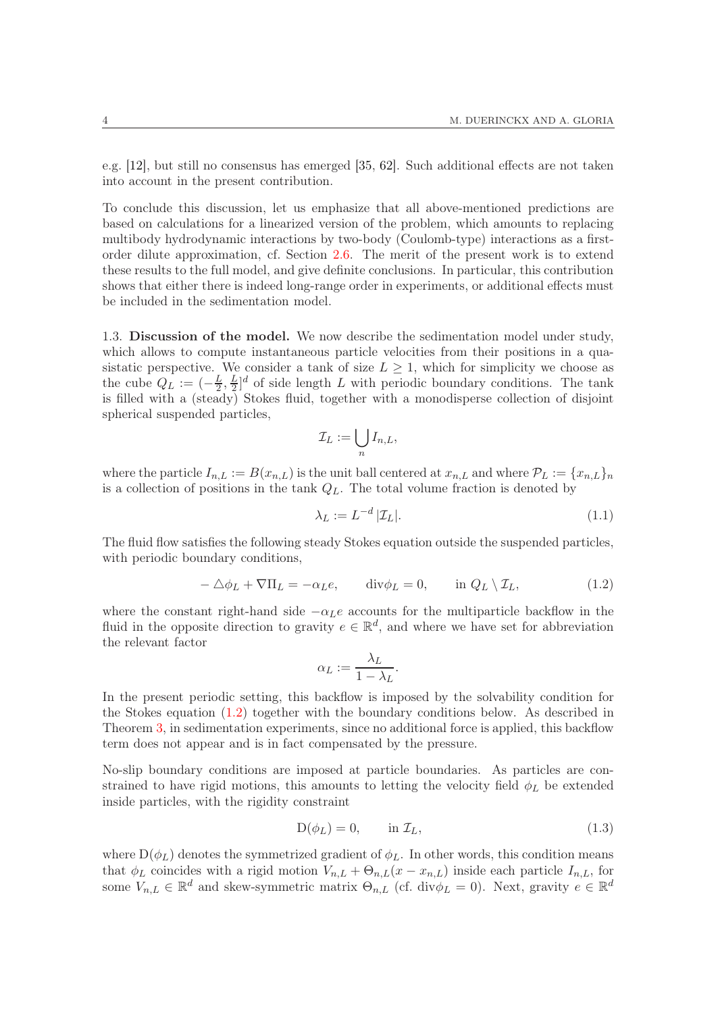e.g. [\[12\]](#page-50-8), but still no consensus has emerged [\[35,](#page-51-13) [62\]](#page-52-10). Such additional effects are not taken into account in the present contribution.

To conclude this discussion, let us emphasize that all above-mentioned predictions are based on calculations for a linearized version of the problem, which amounts to replacing multibody hydrodynamic interactions by two-body (Coulomb-type) interactions as a firstorder dilute approximation, cf. Section [2.6.](#page-14-0) The merit of the present work is to extend these results to the full model, and give definite conclusions. In particular, this contribution shows that either there is indeed long-range order in experiments, or additional effects must be included in the sedimentation model.

<span id="page-3-0"></span>1.3. Discussion of the model. We now describe the sedimentation model under study, which allows to compute instantaneous particle velocities from their positions in a quasistatic perspective. We consider a tank of size  $L \geq 1$ , which for simplicity we choose as the cube  $Q_L := \left(-\frac{L}{2}, \frac{L}{2}\right)$  $\frac{L}{2}$ <sup>d</sup> of side length L with periodic boundary conditions. The tank is filled with a (steady) Stokes fluid, together with a monodisperse collection of disjoint spherical suspended particles,

$$
\mathcal{I}_L := \bigcup_n I_{n,L},
$$

where the particle  $I_{n,L} := B(x_{n,L})$  is the unit ball centered at  $x_{n,L}$  and where  $\mathcal{P}_L := \{x_{n,L}\}_n$ is a collection of positions in the tank  $Q_L$ . The total volume fraction is denoted by

<span id="page-3-2"></span>
$$
\lambda_L := L^{-d} |\mathcal{I}_L|.\tag{1.1}
$$

The fluid flow satisfies the following steady Stokes equation outside the suspended particles, with periodic boundary conditions,

<span id="page-3-1"></span>
$$
-\Delta\phi_L + \nabla\Pi_L = -\alpha_L e, \qquad \text{div}\phi_L = 0, \qquad \text{in } Q_L \setminus \mathcal{I}_L,\tag{1.2}
$$

where the constant right-hand side  $-\alpha_L e$  accounts for the multiparticle backflow in the fluid in the opposite direction to gravity  $e \in \mathbb{R}^d$ , and where we have set for abbreviation the relevant factor

$$
\alpha_L := \frac{\lambda_L}{1 - \lambda_L}.
$$

In the present periodic setting, this backflow is imposed by the solvability condition for the Stokes equation [\(1.2\)](#page-3-1) together with the boundary conditions below. As described in Theorem [3,](#page-12-0) in sedimentation experiments, since no additional force is applied, this backflow term does not appear and is in fact compensated by the pressure.

No-slip boundary conditions are imposed at particle boundaries. As particles are constrained to have rigid motions, this amounts to letting the velocity field  $\phi_L$  be extended inside particles, with the rigidity constraint

$$
D(\phi_L) = 0, \qquad \text{in } \mathcal{I}_L,\tag{1.3}
$$

where  $D(\phi_L)$  denotes the symmetrized gradient of  $\phi_L$ . In other words, this condition means that  $\phi_L$  coincides with a rigid motion  $V_{n,L} + \Theta_{n,L}(x - x_{n,L})$  inside each particle  $I_{n,L}$ , for some  $V_{n,L} \in \mathbb{R}^d$  and skew-symmetric matrix  $\Theta_{n,L}$  (cf. div $\phi_L = 0$ ). Next, gravity  $e \in \mathbb{R}^d$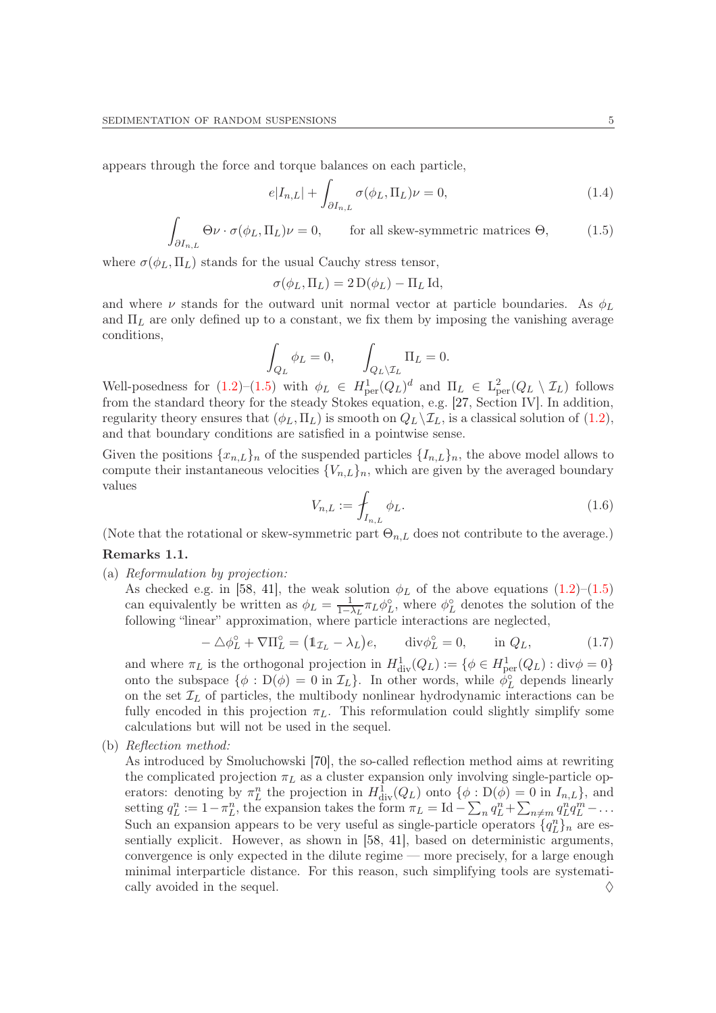appears through the force and torque balances on each particle,

$$
e|I_{n,L}| + \int_{\partial I_{n,L}} \sigma(\phi_L, \Pi_L)\nu = 0,
$$
\n(1.4)

$$
\int_{\partial I_{n,L}} \Theta \nu \cdot \sigma(\phi_L, \Pi_L) \nu = 0, \qquad \text{for all skew-symmetric matrices } \Theta,
$$
\n(1.5)

where  $\sigma(\phi_L, \Pi_L)$  stands for the usual Cauchy stress tensor,

<span id="page-4-0"></span>
$$
\sigma(\phi_L, \Pi_L) = 2 D(\phi_L) - \Pi_L \operatorname{Id},
$$

and where  $\nu$  stands for the outward unit normal vector at particle boundaries. As  $\phi_L$ and  $\Pi_L$  are only defined up to a constant, we fix them by imposing the vanishing average conditions,

$$
\int_{Q_L} \phi_L = 0, \qquad \int_{Q_L \backslash \mathcal{I}_L} \Pi_L = 0.
$$

Well-posedness for  $(1.2)$ – $(1.5)$  with  $\phi_L \in H^1_{per}(Q_L)^d$  and  $\Pi_L \in L^2_{per}(Q_L \setminus \mathcal{I}_L)$  follows from the standard theory for the steady Stokes equation, e.g. [\[27,](#page-51-14) Section IV]. In addition, regularity theory ensures that  $(\phi_L, \Pi_L)$  is smooth on  $Q_L \backslash \mathcal{I}_L$ , is a classical solution of  $(1.2)$ , and that boundary conditions are satisfied in a pointwise sense.

Given the positions  ${x_{n,L}}_n$  of the suspended particles  ${I_{n,L}}_n$ , the above model allows to compute their instantaneous velocities  ${V_{n,L}}_n$ , which are given by the averaged boundary values

<span id="page-4-2"></span>
$$
V_{n,L} := \int_{I_{n,L}} \phi_L.
$$
\n
$$
(1.6)
$$

(Note that the rotational or skew-symmetric part  $\Theta_{n,L}$  does not contribute to the average.)

### <span id="page-4-1"></span>Remarks 1.1.

(a) Reformulation by projection:

As checked e.g. in [\[58,](#page-52-11) [41\]](#page-51-5), the weak solution  $\phi_L$  of the above equations  $(1.2)$ – $(1.5)$ can equivalently be written as  $\phi_L = \frac{1}{1-\lambda}$  $\frac{1}{1-\lambda_L} \pi_L \phi_L^{\circ}$ , where  $\phi_L^{\circ}$  denotes the solution of the following "linear" approximation, where particle interactions are neglected,

$$
-\Delta \phi_L^{\circ} + \nabla \Pi_L^{\circ} = (1_{\mathcal{I}_L} - \lambda_L)e, \quad \text{div}\phi_L^{\circ} = 0, \quad \text{in } Q_L,
$$
 (1.7)

and where  $\pi_L$  is the orthogonal projection in  $H^1_{\text{div}}(Q_L) := \{ \phi \in H^1_{\text{per}}(Q_L) : \text{div}\phi = 0 \}$ onto the subspace  $\{\phi : D(\phi) = 0 \text{ in } \mathcal{I}_L\}$ . In other words, while  $\phi_L^{\circ}$  depends linearly on the set  $\mathcal{I}_L$  of particles, the multibody nonlinear hydrodynamic interactions can be fully encoded in this projection  $\pi_L$ . This reformulation could slightly simplify some calculations but will not be used in the sequel.

(b) Reflection method:

As introduced by Smoluchowski [\[70\]](#page-52-1), the so-called reflection method aims at rewriting the complicated projection  $\pi_L$  as a cluster expansion only involving single-particle operators: denoting by  $\pi_L^n$  the projection in  $H^1_{\text{div}}(Q_L)$  onto  $\{\phi : D(\phi) = 0 \text{ in } I_{n,L}\}\)$ , and setting  $q_L^n := 1 - \pi_L^n$ , the expansion takes the form  $\pi_L = \text{Id} - \sum_n q_L^n + \sum_{n \neq m} q_L^n q_L^m - \dots$ Such an expansion appears to be very useful as single-particle operators  $\{q_L^n\}_n$  are essentially explicit. However, as shown in [\[58,](#page-52-11) [41\]](#page-51-5), based on deterministic arguments, convergence is only expected in the dilute regime — more precisely, for a large enough minimal interparticle distance. For this reason, such simplifying tools are systematically avoided in the sequel.  $\Diamond$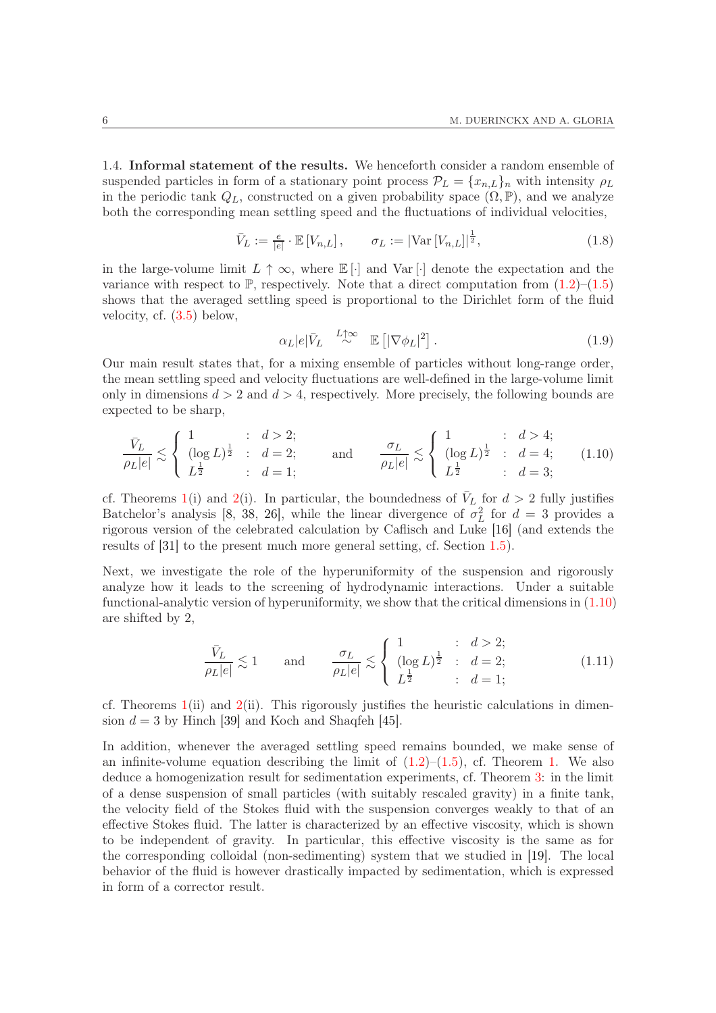<span id="page-5-0"></span>1.4. Informal statement of the results. We henceforth consider a random ensemble of suspended particles in form of a stationary point process  $\mathcal{P}_L = \{x_{n,L}\}_n$  with intensity  $\rho_L$ in the periodic tank  $Q_L$ , constructed on a given probability space  $(\Omega, \mathbb{P})$ , and we analyze both the corresponding mean settling speed and the fluctuations of individual velocities,

<span id="page-5-2"></span>
$$
\bar{V}_L := \frac{e}{|e|} \cdot \mathbb{E}\left[V_{n,L}\right], \qquad \sigma_L := |\text{Var}\left[V_{n,L}\right]|^{\frac{1}{2}},\tag{1.8}
$$

in the large-volume limit  $L \uparrow \infty$ , where  $\mathbb{E}[\cdot]$  and  $\text{Var}[\cdot]$  denote the expectation and the variance with respect to  $\mathbb{P}$ , respectively. Note that a direct computation from  $(1.2)$ – $(1.5)$ shows that the averaged settling speed is proportional to the Dirichlet form of the fluid velocity, cf. [\(3.5\)](#page-19-0) below,

<span id="page-5-3"></span>
$$
\alpha_L|e|\bar{V}_L \stackrel{L\uparrow\infty}{\sim} \mathbb{E}\left[|\nabla\phi_L|^2\right].\tag{1.9}
$$

Our main result states that, for a mixing ensemble of particles without long-range order, the mean settling speed and velocity fluctuations are well-defined in the large-volume limit only in dimensions  $d > 2$  and  $d > 4$ , respectively. More precisely, the following bounds are expected to be sharp,

<span id="page-5-1"></span>
$$
\frac{\bar{V}_L}{\rho_L|e|} \lesssim \begin{cases} 1 & : d > 2; \\ (\log L)^{\frac{1}{2}} & : d = 2; \\ L^{\frac{1}{2}} & : d = 1; \end{cases} \quad \text{and} \quad \frac{\sigma_L}{\rho_L|e|} \lesssim \begin{cases} 1 & : d > 4; \\ (\log L)^{\frac{1}{2}} & : d = 4; \\ L^{\frac{1}{2}} & : d = 3; \end{cases} \tag{1.10}
$$

cf. Theorems [1\(](#page-9-0)i) and [2\(](#page-10-0)i). In particular, the boundedness of  $\bar{V}_L$  for  $d > 2$  fully justifies Batchelor's analysis [\[8,](#page-50-4) [38,](#page-51-8) [26\]](#page-51-9), while the linear divergence of  $\sigma_L^2$  for  $d = 3$  provides a rigorous version of the celebrated calculation by Caflisch and Luke [\[16\]](#page-50-5) (and extends the results of [\[31\]](#page-51-6) to the present much more general setting, cf. Section [1.5\)](#page-6-0).

Next, we investigate the role of the hyperuniformity of the suspension and rigorously analyze how it leads to the screening of hydrodynamic interactions. Under a suitable functional-analytic version of hyperuniformity, we show that the critical dimensions in  $(1.10)$ are shifted by 2,

$$
\frac{\bar{V}_L}{\rho_L|e|} \lesssim 1 \quad \text{and} \quad \frac{\sigma_L}{\rho_L|e|} \lesssim \begin{cases} 1 & : \ d > 2; \\ (\log L)^{\frac{1}{2}} & : \ d = 2; \\ L^{\frac{1}{2}} & : \ d = 1; \end{cases} \tag{1.11}
$$

cf. Theorems  $1(ii)$  $1(ii)$  and  $2(ii)$  $2(ii)$ . This rigorously justifies the heuristic calculations in dimension  $d = 3$  by Hinch [\[39\]](#page-51-10) and Koch and Shaqfeh [\[45\]](#page-51-0).

In addition, whenever the averaged settling speed remains bounded, we make sense of an infinite-volume equation describing the limit of  $(1.2)$  $(1.2)$  $(1.2)$ – $(1.5)$ , cf. Theorem 1. We also deduce a homogenization result for sedimentation experiments, cf. Theorem [3:](#page-12-0) in the limit of a dense suspension of small particles (with suitably rescaled gravity) in a finite tank, the velocity field of the Stokes fluid with the suspension converges weakly to that of an effective Stokes fluid. The latter is characterized by an effective viscosity, which is shown to be independent of gravity. In particular, this effective viscosity is the same as for the corresponding colloidal (non-sedimenting) system that we studied in [\[19\]](#page-51-15). The local behavior of the fluid is however drastically impacted by sedimentation, which is expressed in form of a corrector result.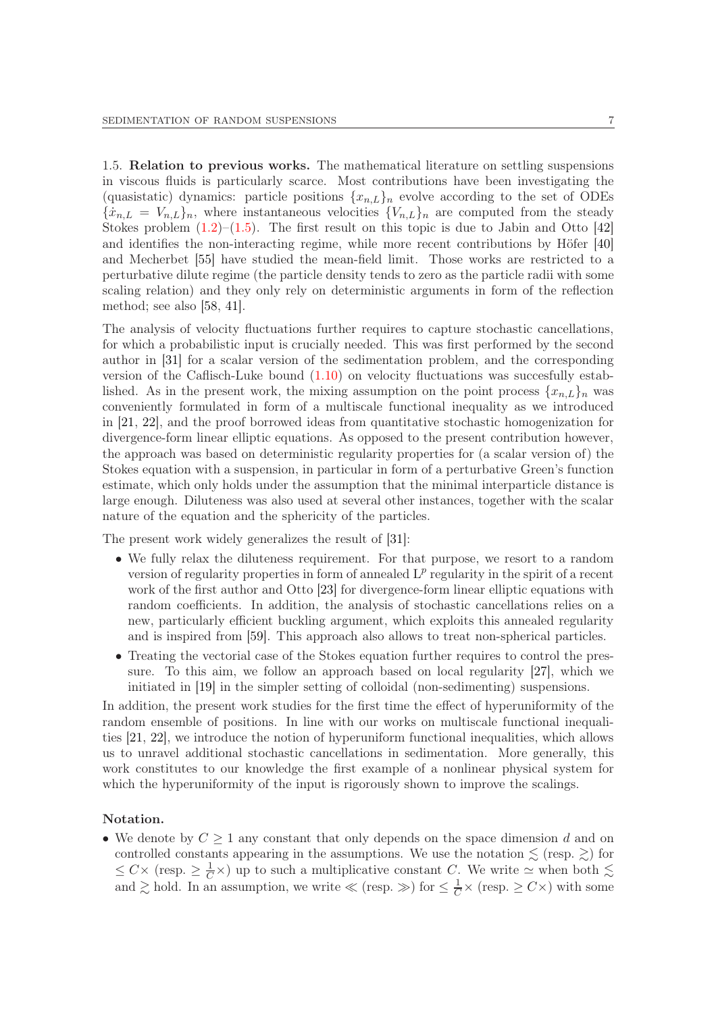<span id="page-6-0"></span>1.5. Relation to previous works. The mathematical literature on settling suspensions in viscous fluids is particularly scarce. Most contributions have been investigating the (quasistatic) dynamics: particle positions  ${x_{n,L}}_n$  evolve according to the set of ODEs  ${x_{n,L} = V_{n,L}}_n$ , where instantaneous velocities  ${V_{n,L}}_n$  are computed from the steady Stokes problem  $(1.2)$ – $(1.5)$ . The first result on this topic is due to Jabin and Otto [\[42\]](#page-51-3) and identifies the non-interacting regime, while more recent contributions by Höfer [\[40\]](#page-51-4) and Mecherbet [\[55\]](#page-52-2) have studied the mean-field limit. Those works are restricted to a perturbative dilute regime (the particle density tends to zero as the particle radii with some scaling relation) and they only rely on deterministic arguments in form of the reflection method; see also [\[58,](#page-52-11) [41\]](#page-51-5).

The analysis of velocity fluctuations further requires to capture stochastic cancellations, for which a probabilistic input is crucially needed. This was first performed by the second author in [\[31\]](#page-51-6) for a scalar version of the sedimentation problem, and the corresponding version of the Caflisch-Luke bound [\(1.10\)](#page-5-1) on velocity fluctuations was succesfully established. As in the present work, the mixing assumption on the point process  $\{x_{n,L}\}\$ n was conveniently formulated in form of a multiscale functional inequality as we introduced in [\[21,](#page-51-1) [22\]](#page-51-2), and the proof borrowed ideas from quantitative stochastic homogenization for divergence-form linear elliptic equations. As opposed to the present contribution however, the approach was based on deterministic regularity properties for (a scalar version of) the Stokes equation with a suspension, in particular in form of a perturbative Green's function estimate, which only holds under the assumption that the minimal interparticle distance is large enough. Diluteness was also used at several other instances, together with the scalar nature of the equation and the sphericity of the particles.

The present work widely generalizes the result of [\[31\]](#page-51-6):

- We fully relax the diluteness requirement. For that purpose, we resort to a random version of regularity properties in form of annealed  $L^p$  regularity in the spirit of a recent work of the first author and Otto [\[23\]](#page-51-16) for divergence-form linear elliptic equations with random coefficients. In addition, the analysis of stochastic cancellations relies on a new, particularly efficient buckling argument, which exploits this annealed regularity and is inspired from [\[59\]](#page-52-12). This approach also allows to treat non-spherical particles.
- Treating the vectorial case of the Stokes equation further requires to control the pressure. To this aim, we follow an approach based on local regularity [\[27\]](#page-51-14), which we initiated in [\[19\]](#page-51-15) in the simpler setting of colloidal (non-sedimenting) suspensions.

In addition, the present work studies for the first time the effect of hyperuniformity of the random ensemble of positions. In line with our works on multiscale functional inequalities [\[21,](#page-51-1) [22\]](#page-51-2), we introduce the notion of hyperuniform functional inequalities, which allows us to unravel additional stochastic cancellations in sedimentation. More generally, this work constitutes to our knowledge the first example of a nonlinear physical system for which the hyperuniformity of the input is rigorously shown to improve the scalings.

## Notation.

• We denote by  $C \geq 1$  any constant that only depends on the space dimension d and on controlled constants appearing in the assumptions. We use the notation  $\lesssim$  (resp.  $\gtrsim$ ) for  $\leq C \times (\text{resp.} \geq \frac{1}{C} \times)$  up to such a multiplicative constant C. We write  $\simeq$  when both  $\lesssim$ and  $\gtrsim$  hold. In an assumption, we write  $\ll$  (resp.  $\gg$ ) for  $\leq \frac{1}{C} \times$  (resp.  $\geq C \times$ ) with some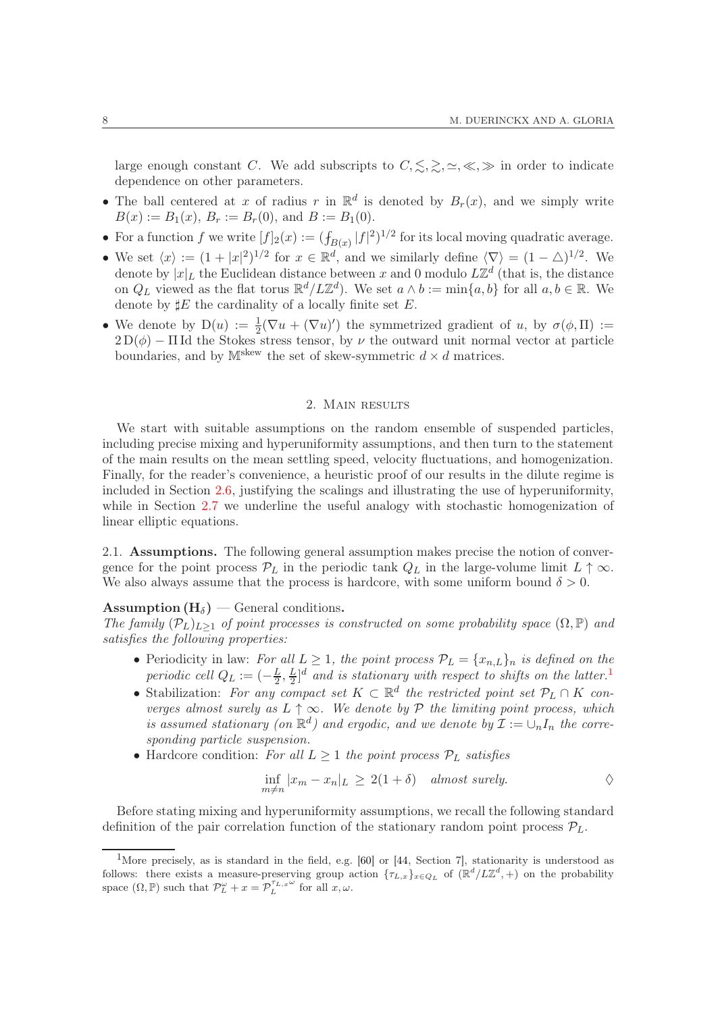large enough constant C. We add subscripts to  $C, \leq, \geq, \leq, \leq, \gg$  in order to indicate dependence on other parameters.

- The ball centered at x of radius r in  $\mathbb{R}^d$  is denoted by  $B_r(x)$ , and we simply write  $B(x) := B_1(x), B_r := B_r(0)$ , and  $B := B_1(0)$ .
- For a function f we write  $[f]_2(x) := (f_{B(x)} |f|^2)^{1/2}$  for its local moving quadratic average.
- We set  $\langle x \rangle := (1 + |x|^2)^{1/2}$  for  $x \in \mathbb{R}^d$ , and we similarly define  $\langle \nabla \rangle = (1 \triangle)^{1/2}$ . We denote by  $|x|_L$  the Euclidean distance between x and 0 modulo  $L\mathbb{Z}^d$  (that is, the distance on  $Q_L$  viewed as the flat torus  $\mathbb{R}^d / L\mathbb{Z}^d$ . We set  $a \wedge b := \min\{a, b\}$  for all  $a, b \in \mathbb{R}$ . We denote by  $\sharp E$  the cardinality of a locally finite set E.
- We denote by  $D(u) := \frac{1}{2}(\nabla u + (\nabla u)')$  the symmetrized gradient of u, by  $\sigma(\phi, \Pi) :=$  $2D(\phi) - \Pi$ Id the Stokes stress tensor, by  $\nu$  the outward unit normal vector at particle boundaries, and by  $M^{skew}$  the set of skew-symmetric  $d \times d$  matrices.

## 2. Main results

<span id="page-7-0"></span>We start with suitable assumptions on the random ensemble of suspended particles, including precise mixing and hyperuniformity assumptions, and then turn to the statement of the main results on the mean settling speed, velocity fluctuations, and homogenization. Finally, for the reader's convenience, a heuristic proof of our results in the dilute regime is included in Section [2.6,](#page-14-0) justifying the scalings and illustrating the use of hyperuniformity, while in Section [2.7](#page-15-0) we underline the useful analogy with stochastic homogenization of linear elliptic equations.

<span id="page-7-2"></span>2.1. Assumptions. The following general assumption makes precise the notion of convergence for the point process  $\mathcal{P}_L$  in the periodic tank  $Q_L$  in the large-volume limit  $L \uparrow \infty$ . We also always assume that the process is hardcore, with some uniform bound  $\delta > 0$ .

## **Assumption**  $(H_{\delta})$  — General conditions.

The family  $(\mathcal{P}_L)_{L\geq 1}$  of point processes is constructed on some probability space  $(\Omega, \mathbb{P})$  and satisfies the following properties:

- Periodicity in law: For all  $L \geq 1$ , the point process  $\mathcal{P}_L = \{x_{n,L}\}_n$  is defined on the periodic cell  $Q_L := \left(-\frac{L}{2}\right)$  $\frac{L}{2},\frac{L}{2}$  $\frac{L}{2}$ <sup>d</sup> and is stationary with respect to shifts on the latter.<sup>[1](#page-7-1)</sup>
- Stabilization: For any compact set  $K \subset \mathbb{R}^d$  the restricted point set  $\mathcal{P}_L \cap K$  converges almost surely as  $L \uparrow \infty$ . We denote by  $\mathcal P$  the limiting point process, which is assumed stationary (on  $\mathbb{R}^d$ ) and ergodic, and we denote by  $\mathcal{I} := \cup_n I_n$  the corresponding particle suspension.
- Hardcore condition: For all  $L \geq 1$  the point process  $\mathcal{P}_L$  satisfies

$$
\inf_{m \neq n} |x_m - x_n|_L \ge 2(1 + \delta) \quad almost \ surely.
$$

Before stating mixing and hyperuniformity assumptions, we recall the following standard definition of the pair correlation function of the stationary random point process  $\mathcal{P}_L$ .

<span id="page-7-1"></span><sup>&</sup>lt;sup>1</sup>More precisely, as is standard in the field, e.g. [\[60\]](#page-52-13) or [\[44,](#page-51-17) Section 7], stationarity is understood as follows: there exists a measure-preserving group action  $\{\tau_{L,x}\}_{x\in Q_L}$  of  $(\mathbb{R}^d/L\mathbb{Z}^d, +)$  on the probability space  $(\Omega, \mathbb{P})$  such that  $\mathcal{P}_L^{\omega} + x = \mathcal{P}_L^{\tau_{L,x}\omega}$  for all  $x, \omega$ .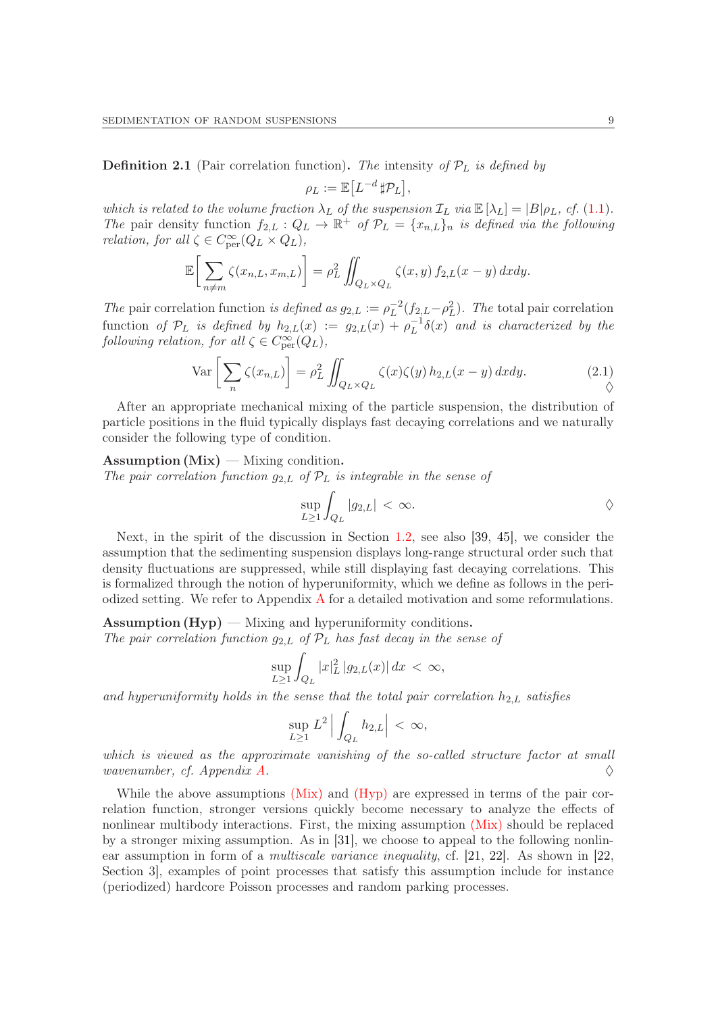<span id="page-8-1"></span>**Definition 2.1** (Pair correlation function). The intensity of  $\mathcal{P}_L$  is defined by

$$
\rho_L := \mathbb{E} \big[ L^{-d} \, \sharp \mathcal{P}_L \big],
$$

which is related to the volume fraction  $\lambda_L$  of the suspension  $\mathcal{I}_L$  via  $\mathbb{E}[\lambda_L] = |B|\rho_L$ , cf. [\(1.1\)](#page-3-2). The pair density function  $f_{2,L}: Q_L \to \mathbb{R}^+$  of  $\mathcal{P}_L = \{x_{n,L}\}_n$  is defined via the following *relation, for all*  $\zeta \in C_{\text{per}}^{\infty}(Q_L \times Q_L)$ ,

$$
\mathbb{E}\bigg[\sum_{n\neq m}\zeta(x_{n,L},x_{m,L})\bigg]=\rho_L^2\iint_{Q_L\times Q_L}\zeta(x,y)\,f_{2,L}(x-y)\,dxdy.
$$

The pair correlation function is defined as  $g_{2,L} := \rho_L^{-2}(f_{2,L}-\rho_L^2)$ . The total pair correlation function of  $\mathcal{P}_L$  is defined by  $h_{2,L}(x) := g_{2,L}(x) + \rho_L^{-1} \delta(x)$  and is characterized by the following relation, for all  $\zeta \in C^{\infty}_{per}(Q_L)$ ,

<span id="page-8-0"></span>
$$
\operatorname{Var}\left[\sum_{n}\zeta(x_{n,L})\right] = \rho_L^2 \iint_{Q_L \times Q_L} \zeta(x)\zeta(y) h_{2,L}(x-y) dx dy.
$$
 (2.1)

After an appropriate mechanical mixing of the particle suspension, the distribution of particle positions in the fluid typically displays fast decaying correlations and we naturally consider the following type of condition.

## Assumption  $(Mix)$  — Mixing condition.

The pair correlation function  $g_{2,L}$  of  $\mathcal{P}_L$  is integrable in the sense of

$$
\sup_{L\geq 1} \int_{Q_L} |g_{2,L}| \, < \, \infty.
$$

Next, in the spirit of the discussion in Section [1.2,](#page-2-0) see also [\[39,](#page-51-10) [45\]](#page-51-0), we consider the assumption that the sedimenting suspension displays long-range structural order such that density fluctuations are suppressed, while still displaying fast decaying correlations. This is formalized through the notion of hyperuniformity, which we define as follows in the periodized setting. We refer to Appendix [A](#page-46-0) for a detailed motivation and some reformulations.

**Assumption (Hyp)** — Mixing and hyperuniformity conditions. The pair correlation function  $g_{2,L}$  of  $\mathcal{P}_L$  has fast decay in the sense of

$$
\sup_{L\geq 1} \int_{Q_L} |x|_L^2 |g_{2,L}(x)| dx < \infty,
$$

and hyperuniformity holds in the sense that the total pair correlation  $h_{2,L}$  satisfies

$$
\sup_{L\geq 1} L^2 \left| \int_{Q_L} h_{2,L} \right| < \infty,
$$

which is viewed as the approximate vanishing of the so-called structure factor at small wavenumber, cf. Appendix [A.](#page-46-0)  $\Diamond$ 

While the above assumptions [\(Mix\)](#page-8-0) and [\(Hyp\)](#page-8-0) are expressed in terms of the pair correlation function, stronger versions quickly become necessary to analyze the effects of nonlinear multibody interactions. First, the mixing assumption [\(Mix\)](#page-8-0) should be replaced by a stronger mixing assumption. As in [\[31\]](#page-51-6), we choose to appeal to the following nonlinear assumption in form of a multiscale variance inequality, cf. [\[21,](#page-51-1) [22\]](#page-51-2). As shown in [\[22,](#page-51-2) Section 3], examples of point processes that satisfy this assumption include for instance (periodized) hardcore Poisson processes and random parking processes.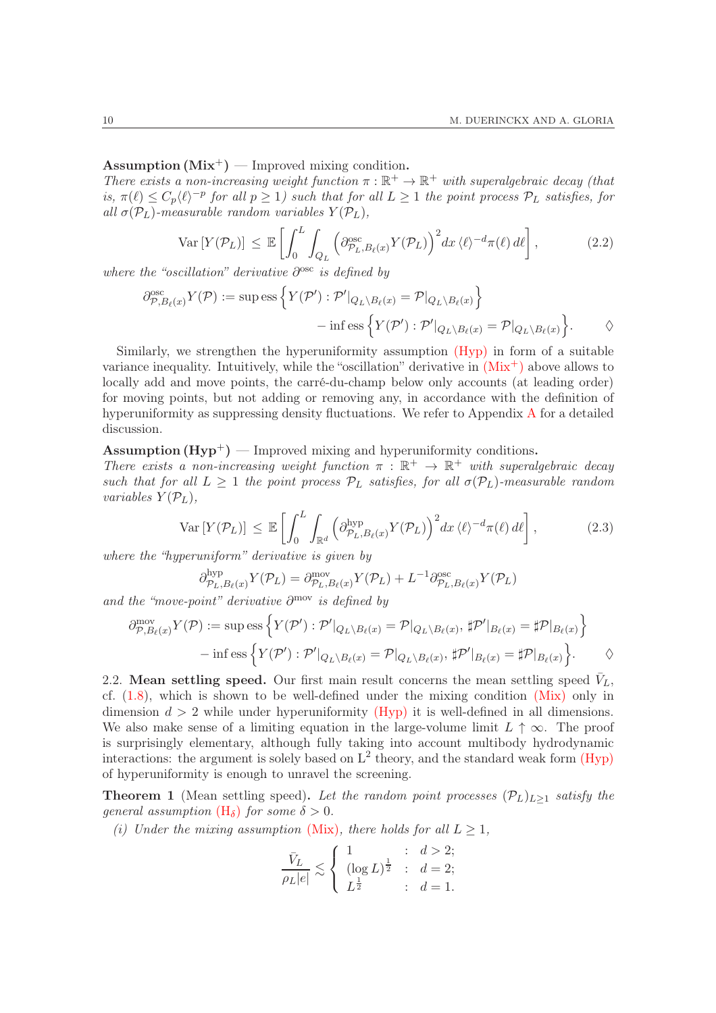# Assumption  $(Mix^+)$  — Improved mixing condition.

There exists a non-increasing weight function  $\pi : \mathbb{R}^+ \to \mathbb{R}^+$  with superalgebraic decay (that is,  $\pi(\ell) \leq C_p \langle \ell \rangle^{-p}$  for all  $p \geq 1$ ) such that for all  $L \geq 1$  the point process  $\mathcal{P}_L$  satisfies, for all  $\sigma(\mathcal{P}_L)$ -measurable random variables  $Y(\mathcal{P}_L)$ ,

<span id="page-9-1"></span>
$$
\text{Var}\left[Y(\mathcal{P}_L)\right] \leq \mathbb{E}\left[\int_0^L \int_{Q_L} \left(\partial_{\mathcal{P}_L, B_\ell(x)}^{\text{osc}} Y(\mathcal{P}_L)\right)^2 dx \langle \ell \rangle^{-d} \pi(\ell) d\ell\right],\tag{2.2}
$$

where the "oscillation" derivative  $\partial^{\rm osc}$  is defined by

$$
\partial_{\mathcal{P},B_{\ell}(x)}^{\text{osc}} Y(\mathcal{P}) := \sup \text{ess}\left\{Y(\mathcal{P}') : \mathcal{P}'|_{Q_L \setminus B_{\ell}(x)} = \mathcal{P}|_{Q_L \setminus B_{\ell}(x)}\right\} \n- \inf \text{ess}\left\{Y(\mathcal{P}') : \mathcal{P}'|_{Q_L \setminus B_{\ell}(x)} = \mathcal{P}|_{Q_L \setminus B_{\ell}(x)}\right\}.
$$

Similarly, we strengthen the hyperuniformity assumption [\(Hyp\)](#page-8-0) in form of a suitable variance inequality. Intuitively, while the "oscillation" derivative in  $(Mix^+)$  $(Mix^+)$  above allows to locally add and move points, the carré-du-champ below only accounts (at leading order) for moving points, but not adding or removing any, in accordance with the definition of hyperuniformity as suppressing density fluctuations. We refer to [A](#page-46-0)ppendix A for a detailed discussion.

Assumption  $(Hyp^+)$  — Improved mixing and hyperuniformity conditions.

There exists a non-increasing weight function  $\pi : \mathbb{R}^+ \to \mathbb{R}^+$  with superalgebraic decay such that for all  $L \geq 1$  the point process  $P_L$  satisfies, for all  $\sigma(P_L)$ -measurable random variables  $Y(\mathcal{P}_L)$ ,

<span id="page-9-2"></span>
$$
\text{Var}\left[Y(\mathcal{P}_L)\right] \leq \mathbb{E}\left[\int_0^L \int_{\mathbb{R}^d} \left(\partial_{\mathcal{P}_L, B_\ell(x)}^{\text{hyp}} Y(\mathcal{P}_L)\right)^2 dx \langle \ell \rangle^{-d} \pi(\ell) d\ell\right],\tag{2.3}
$$

where the "hyperuniform" derivative is given by

$$
\partial_{\mathcal{P}_L, B_\ell(x)}^{\text{hyp}} Y(\mathcal{P}_L) = \partial_{\mathcal{P}_L, B_\ell(x)}^{\text{mov}} Y(\mathcal{P}_L) + L^{-1} \partial_{\mathcal{P}_L, B_\ell(x)}^{\text{osc}} Y(\mathcal{P}_L)
$$

and the "move-point" derivative ∂ mov is defined by

$$
\partial_{\mathcal{P},B_{\ell}(x)}^{\text{mov}} Y(\mathcal{P}) := \sup \text{ess} \left\{ Y(\mathcal{P}') : \mathcal{P}'|_{Q_L \setminus B_{\ell}(x)} = \mathcal{P}|_{Q_L \setminus B_{\ell}(x)}, \ \sharp \mathcal{P}'|_{B_{\ell}(x)} = \sharp \mathcal{P}|_{B_{\ell}(x)} \right\}
$$

$$
- \inf \text{ess} \left\{ Y(\mathcal{P}') : \mathcal{P}'|_{Q_L \setminus B_{\ell}(x)} = \mathcal{P}|_{Q_L \setminus B_{\ell}(x)}, \ \sharp \mathcal{P}'|_{B_{\ell}(x)} = \sharp \mathcal{P}|_{B_{\ell}(x)} \right\}.
$$

2.2. Mean settling speed. Our first main result concerns the mean settling speed  $\bar{V}_L$ , cf.  $(1.8)$ , which is shown to be well-defined under the mixing condition  $(Mix)$  only in dimension  $d > 2$  while under hyperuniformity [\(Hyp\)](#page-8-0) it is well-defined in all dimensions. We also make sense of a limiting equation in the large-volume limit  $L \uparrow \infty$ . The proof is surprisingly elementary, although fully taking into account multibody hydrodynamic interactions: the argument is solely based on  $L^2$  theory, and the standard weak form  $(Hyp)$ of hyperuniformity is enough to unravel the screening.

<span id="page-9-0"></span>**Theorem 1** (Mean settling speed). Let the random point processes  $(\mathcal{P}_L)_{L\geq 1}$  satisfy the qeneral assumption  $(H_{\delta})$  $(H_{\delta})$  for some  $\delta > 0$ .

(i) Under the mixing assumption [\(Mix\)](#page-8-0), there holds for all  $L \geq 1$ ,

$$
\frac{\bar{V}_L}{\rho_L|e|} \lesssim \left\{ \begin{array}{ll} 1 & : & d > 2; \\ (\log L)^{\frac{1}{2}} & : & d = 2; \\ L^{\frac{1}{2}} & : & d = 1. \end{array} \right.
$$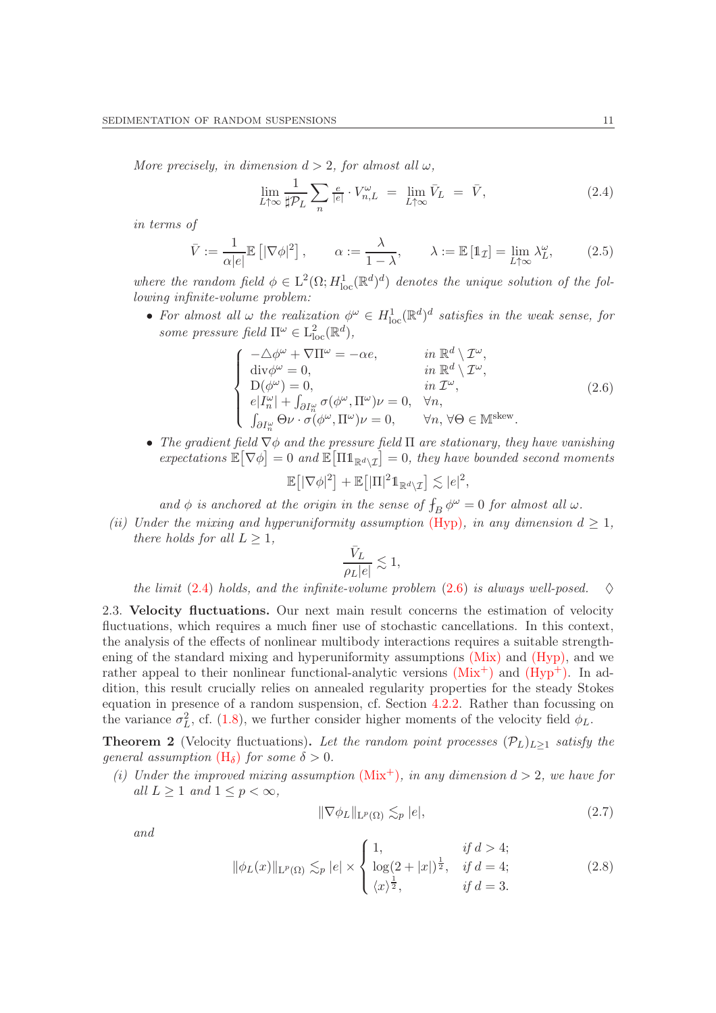More precisely, in dimension  $d > 2$ , for almost all  $\omega$ ,

<span id="page-10-1"></span>
$$
\lim_{L \uparrow \infty} \frac{1}{\sharp \mathcal{P}_L} \sum_n \frac{e}{|e|} \cdot V_{n,L}^{\omega} = \lim_{L \uparrow \infty} \bar{V}_L = \bar{V}, \tag{2.4}
$$

in terms of

$$
\bar{V} := \frac{1}{\alpha|e|} \mathbb{E} \left[ |\nabla \phi|^2 \right], \qquad \alpha := \frac{\lambda}{1 - \lambda}, \qquad \lambda := \mathbb{E} \left[ \mathbb{1}_{\mathcal{I}} \right] = \lim_{L \uparrow \infty} \lambda_L^{\omega}, \tag{2.5}
$$

where the random field  $\phi \in L^2(\Omega; H^1_{loc}(\mathbb{R}^d)^d)$  denotes the unique solution of the following infinite-volume problem:

• For almost all  $\omega$  the realization  $\phi^{\omega} \in H_{\text{loc}}^1(\mathbb{R}^d)^d$  satisfies in the weak sense, for some pressure field  $\Pi^{\omega} \in L^2_{loc}(\mathbb{R}^d)$ ,

<span id="page-10-2"></span>
$$
\begin{cases}\n-\Delta \phi^{\omega} + \nabla \Pi^{\omega} = -\alpha e, & \text{in } \mathbb{R}^{d} \setminus \mathcal{I}^{\omega}, \\
\text{div} \phi^{\omega} = 0, & \text{in } \mathbb{R}^{d} \setminus \mathcal{I}^{\omega}, \\
D(\phi^{\omega}) = 0, & \text{in } \mathcal{I}^{\omega}, \\
e|I^{\omega}_{n}| + \int_{\partial I^{\omega}_{n}} \sigma(\phi^{\omega}, \Pi^{\omega}) \nu = 0, & \forall n, \\
\int_{\partial I^{\omega}_{n}} \Theta \nu \cdot \sigma(\phi^{\omega}, \Pi^{\omega}) \nu = 0, & \forall n, \forall \Theta \in \mathbb{M}^{\text{skew}}.\n\end{cases} (2.6)
$$

• The gradient field  $\nabla \phi$  and the pressure field  $\Pi$  are stationary, they have vanishing expectations  $\mathbb{E}[\nabla \phi] = 0$  and  $\mathbb{E}[\Pi \mathbb{1}_{\mathbb{R}^d \setminus \mathcal{I}}] = 0$ , they have bounded second moments

$$
\mathbb{E}\big[|\nabla \phi|^2\big]+\mathbb{E}\big[|\Pi|^2 1\!\!1_{\mathbb{R}^d\backslash\mathcal{I}}\big]\lesssim |e|^2,
$$

and  $\phi$  is anchored at the origin in the sense of  $f_B \phi^{\omega} = 0$  for almost all  $\omega$ .

(ii) Under the mixing and hyperuniformity assumption [\(Hyp\)](#page-8-0), in any dimension  $d \geq 1$ , there holds for all  $L \geq 1$ ,

$$
\frac{\bar{V}_L}{\rho_L|e|} \lesssim 1,
$$

the limit [\(2.4\)](#page-10-1) holds, and the infinite-volume problem [\(2.6\)](#page-10-2) is always well-posed.  $\diamond$ 

2.3. Velocity fluctuations. Our next main result concerns the estimation of velocity fluctuations, which requires a much finer use of stochastic cancellations. In this context, the analysis of the effects of nonlinear multibody interactions requires a suitable strengthening of the standard mixing and hyperuniformity assumptions  $(Mix)$  and  $(Hyp)$ , and we rather appeal to their nonlinear functional-analytic versions  $(Mix^+)$  $(Mix^+)$  and  $(Hyp^+)$ . In addition, this result crucially relies on annealed regularity properties for the steady Stokes equation in presence of a random suspension, cf. Section [4.2.2.](#page-25-0) Rather than focussing on the variance  $\sigma_L^2$ , cf. [\(1.8\)](#page-5-2), we further consider higher moments of the velocity field  $\phi_L$ .

<span id="page-10-0"></span>**Theorem 2** (Velocity fluctuations). Let the random point processes  $(\mathcal{P}_L)_{L>1}$  satisfy the qeneral assumption  $(H_{\delta})$  $(H_{\delta})$  for some  $\delta > 0$ .

(i) Under the improved mixing assumption  $(Mix^+)$  $(Mix^+)$ , in any dimension  $d > 2$ , we have for all  $L \geq 1$  and  $1 \leq p < \infty$ ,

<span id="page-10-3"></span>
$$
\|\nabla \phi_L\|_{\mathcal{L}^p(\Omega)} \lesssim_p |e|,\tag{2.7}
$$

and

<span id="page-10-4"></span>
$$
\|\phi_L(x)\|_{\mathcal{L}^p(\Omega)} \lesssim_p |e| \times \begin{cases} 1, & \text{if } d > 4; \\ \log(2+|x|)^{\frac{1}{2}}, & \text{if } d = 4; \\ \langle x \rangle^{\frac{1}{2}}, & \text{if } d = 3. \end{cases} \tag{2.8}
$$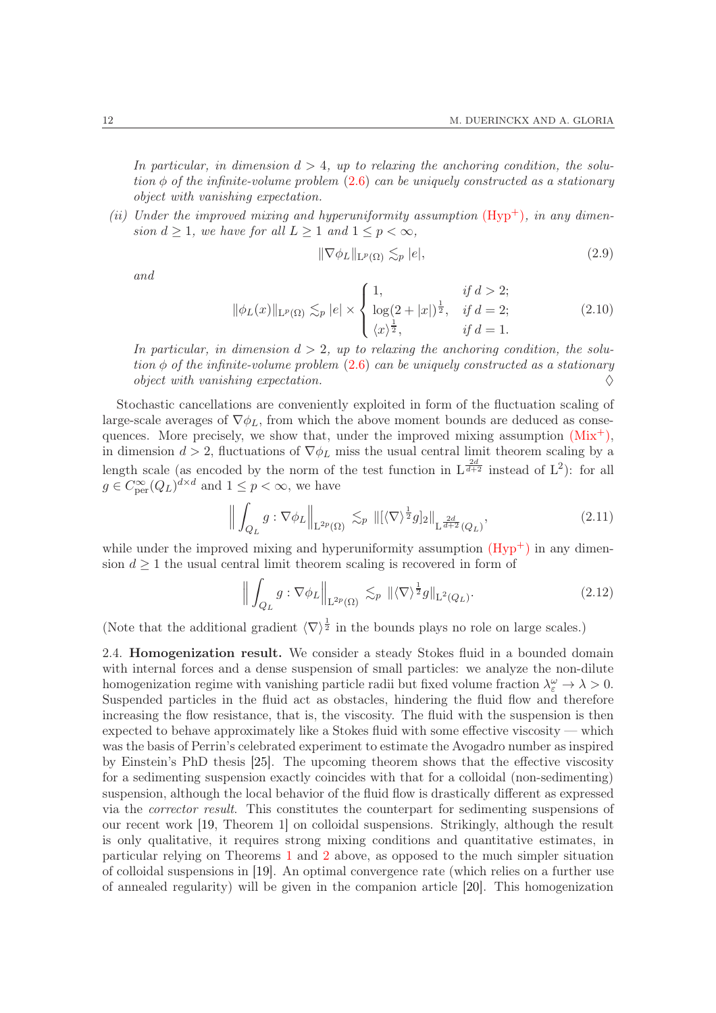In particular, in dimension  $d > 4$ , up to relaxing the anchoring condition, the solution  $\phi$  of the infinite-volume problem [\(2.6\)](#page-10-2) can be uniquely constructed as a stationary object with vanishing expectation.

(ii) Under the improved mixing and hyperuniformity assumption  $(Hyp<sup>+</sup>)$ , in any dimension  $d \geq 1$ , we have for all  $L \geq 1$  and  $1 \leq p < \infty$ ,

<span id="page-11-2"></span>
$$
\|\nabla \phi_L\|_{\mathcal{L}^p(\Omega)} \lesssim_p |e|,\tag{2.9}
$$

and

<span id="page-11-3"></span>
$$
\|\phi_L(x)\|_{\mathcal{L}^p(\Omega)} \lesssim_p |e| \times \begin{cases} 1, & \text{if } d > 2; \\ \log(2+|x|)^{\frac{1}{2}}, & \text{if } d = 2; \\ \langle x \rangle^{\frac{1}{2}}, & \text{if } d = 1. \end{cases} \tag{2.10}
$$

In particular, in dimension  $d > 2$ , up to relaxing the anchoring condition, the solution  $\phi$  of the infinite-volume problem [\(2.6\)](#page-10-2) can be uniquely constructed as a stationary object with vanishing expectation.  $\Diamond$ 

Stochastic cancellations are conveniently exploited in form of the fluctuation scaling of large-scale averages of  $\nabla \phi_L$ , from which the above moment bounds are deduced as consequences. More precisely, we show that, under the improved mixing assumption  $(Mix^+),$  $(Mix^+),$ in dimension  $d > 2$ , fluctuations of  $\nabla \phi_L$  miss the usual central limit theorem scaling by a length scale (as encoded by the norm of the test function in  $L^{\frac{2d}{d+2}}$  instead of  $L^2$ ): for all  $g \in C_{\text{per}}^{\infty}(Q_L)^{d \times d}$  and  $1 \leq p < \infty$ , we have

<span id="page-11-0"></span>
$$
\left\| \int_{Q_L} g : \nabla \phi_L \right\|_{\mathcal{L}^{2p}(\Omega)} \lesssim_p \left\| [\langle \nabla \rangle^{\frac{1}{2}} g]_2 \right\|_{\mathcal{L}^{\frac{2d}{d+2}}(Q_L)},\tag{2.11}
$$

while under the improved mixing and hyperuniformity assumption  $(Hvp<sup>+</sup>)$  in any dimension  $d \geq 1$  the usual central limit theorem scaling is recovered in form of

<span id="page-11-1"></span>
$$
\left\| \int_{Q_L} g : \nabla \phi_L \right\|_{\mathcal{L}^{2p}(\Omega)} \lesssim_p \|\langle \nabla \rangle^{\frac{1}{2}} g\|_{\mathcal{L}^2(Q_L)}.
$$
\n(2.12)

(Note that the additional gradient  $\langle \nabla \rangle^{\frac{1}{2}}$  in the bounds plays no role on large scales.)

2.4. Homogenization result. We consider a steady Stokes fluid in a bounded domain with internal forces and a dense suspension of small particles: we analyze the non-dilute homogenization regime with vanishing particle radii but fixed volume fraction  $\lambda_{\varepsilon}^{\omega} \to \lambda > 0$ . Suspended particles in the fluid act as obstacles, hindering the fluid flow and therefore increasing the flow resistance, that is, the viscosity. The fluid with the suspension is then expected to behave approximately like a Stokes fluid with some effective viscosity — which was the basis of Perrin's celebrated experiment to estimate the Avogadro number as inspired by Einstein's PhD thesis [\[25\]](#page-51-18). The upcoming theorem shows that the effective viscosity for a sedimenting suspension exactly coincides with that for a colloidal (non-sedimenting) suspension, although the local behavior of the fluid flow is drastically different as expressed via the corrector result. This constitutes the counterpart for sedimenting suspensions of our recent work [\[19,](#page-51-15) Theorem 1] on colloidal suspensions. Strikingly, although the result is only qualitative, it requires strong mixing conditions and quantitative estimates, in particular relying on Theorems [1](#page-9-0) and [2](#page-10-0) above, as opposed to the much simpler situation of colloidal suspensions in [\[19\]](#page-51-15). An optimal convergence rate (which relies on a further use of annealed regularity) will be given in the companion article [\[20\]](#page-51-7). This homogenization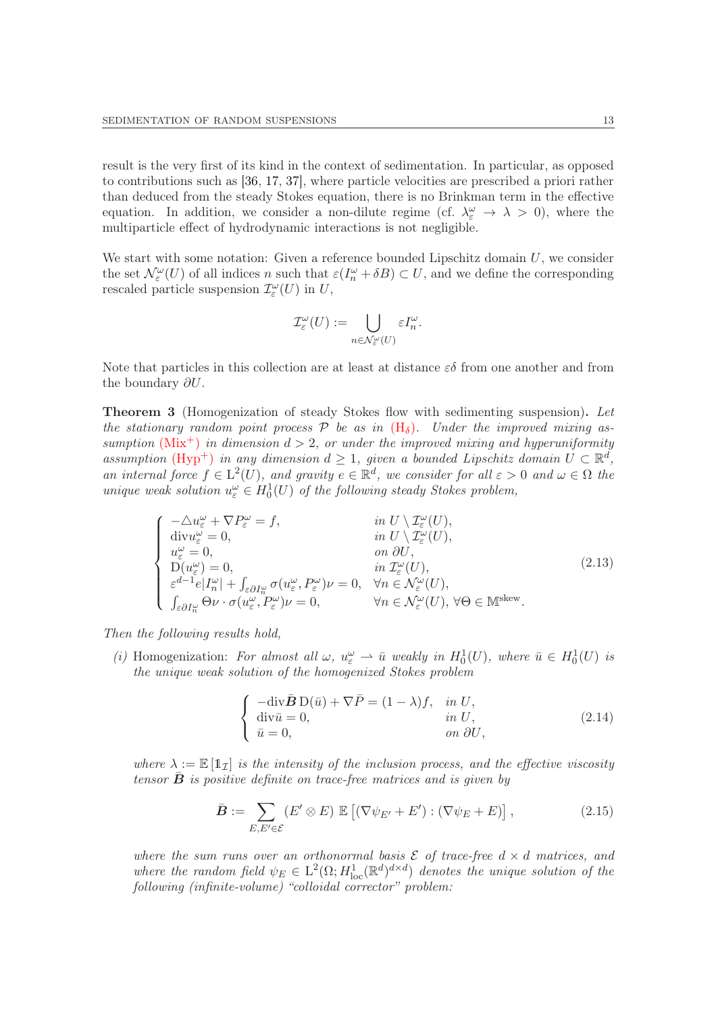result is the very first of its kind in the context of sedimentation. In particular, as opposed to contributions such as [\[36,](#page-51-19) [17,](#page-50-9) [37\]](#page-51-20), where particle velocities are prescribed a priori rather than deduced from the steady Stokes equation, there is no Brinkman term in the effective equation. In addition, we consider a non-dilute regime (cf.  $\lambda_{\varepsilon}^{\omega} \to \lambda > 0$ ), where the multiparticle effect of hydrodynamic interactions is not negligible.

We start with some notation: Given a reference bounded Lipschitz domain  $U$ , we consider the set  $\mathcal{N}_{\varepsilon}^{\omega}(U)$  of all indices n such that  $\varepsilon(I_n^{\omega} + \delta B) \subset U$ , and we define the corresponding rescaled particle suspension  $\mathcal{I}_{\varepsilon}^{\omega}(U)$  in U,

$$
\mathcal{I}_{\varepsilon}^{\omega}(U) := \bigcup_{n \in \mathcal{N}_{\varepsilon}^{\omega}(U)} \varepsilon I_{n}^{\omega}.
$$

Note that particles in this collection are at least at distance  $\varepsilon\delta$  from one another and from the boundary  $\partial U$ .

<span id="page-12-0"></span>**Theorem 3** (Homogenization of steady Stokes flow with sedimenting suspension). Let the stationary random point process  $P$  be as in  $(H_{\delta})$  $(H_{\delta})$ . Under the improved mixing assumption  $(Mix^+)$  $(Mix^+)$  in dimension  $d > 2$ , or under the improved mixing and hyperuniformity assumption (Hyp<sup>+</sup>) in any dimension  $d \geq 1$ , given a bounded Lipschitz domain  $U \subset \mathbb{R}^d$ , an internal force  $f \in L^2(U)$ , and gravity  $e \in \mathbb{R}^d$ , we consider for all  $\varepsilon > 0$  and  $\omega \in \Omega$  the unique weak solution  $u_{\varepsilon}^{\omega} \in H_0^1(U)$  of the following steady Stokes problem,

<span id="page-12-1"></span>
$$
\begin{cases}\n-\Delta u_{\varepsilon}^{\omega} + \nabla P_{\varepsilon}^{\omega} = f, & \text{in } U \setminus \mathcal{I}_{\varepsilon}^{\omega}(U), \\
\text{div} u_{\varepsilon}^{\omega} = 0, & \text{in } U \setminus \mathcal{I}_{\varepsilon}^{\omega}(U), \\
u_{\varepsilon}^{\omega} = 0, & \text{on } \partial U, \\
D(u_{\varepsilon}^{\omega}) = 0, & \text{in } \mathcal{I}_{\varepsilon}^{\omega}(U), \\
\varepsilon^{d-1} e |I_{n}^{\omega}| + \int_{\varepsilon} \partial I_{n}^{\omega} \sigma(u_{\varepsilon}^{\omega}, P_{\varepsilon}^{\omega}) \nu = 0, \quad \forall n \in \mathcal{N}_{\varepsilon}^{\omega}(U), \\
\int_{\varepsilon} \partial I_{n}^{\omega} \Theta \nu \cdot \sigma(u_{\varepsilon}^{\omega}, P_{\varepsilon}^{\omega}) \nu = 0, & \forall n \in \mathcal{N}_{\varepsilon}^{\omega}(U), \forall \Theta \in \mathbb{M}^{\text{skew}}.\n\end{cases} (2.13)
$$

Then the following results hold,

(i) Homogenization: For almost all  $\omega$ ,  $u_{\varepsilon}^{\omega} \rightharpoonup \bar{u}$  weakly in  $H_0^1(U)$ , where  $\bar{u} \in H_0^1(U)$  is the unique weak solution of the homogenized Stokes problem

<span id="page-12-2"></span>
$$
\begin{cases}\n-\text{div}\,\bar{\mathbf{B}}\,\mathrm{D}(\bar{u}) + \nabla\bar{P} = (1 - \lambda)f, & \text{in } U, \\
\text{div}\,\bar{u} = 0, & \text{in } U, \\
\bar{u} = 0, & \text{on } \partial U,\n\end{cases}
$$
\n(2.14)

where  $\lambda := \mathbb{E} [\mathbb{1}_{\mathcal{I}}]$  is the intensity of the inclusion process, and the effective viscosity tensor  $\bf{B}$  is positive definite on trace-free matrices and is given by

$$
\bar{\boldsymbol{B}} := \sum_{E, E' \in \mathcal{E}} (E' \otimes E) \mathbb{E} \left[ (\nabla \psi_{E'} + E') : (\nabla \psi_E + E) \right], \tag{2.15}
$$

where the sum runs over an orthonormal basis  $\mathcal E$  of trace-free  $d \times d$  matrices, and where the random field  $\psi_E \in L^2(\Omega; H^1_{loc}(\mathbb{R}^d)^{d \times d})$  denotes the unique solution of the following (infinite-volume) "colloidal corrector" problem: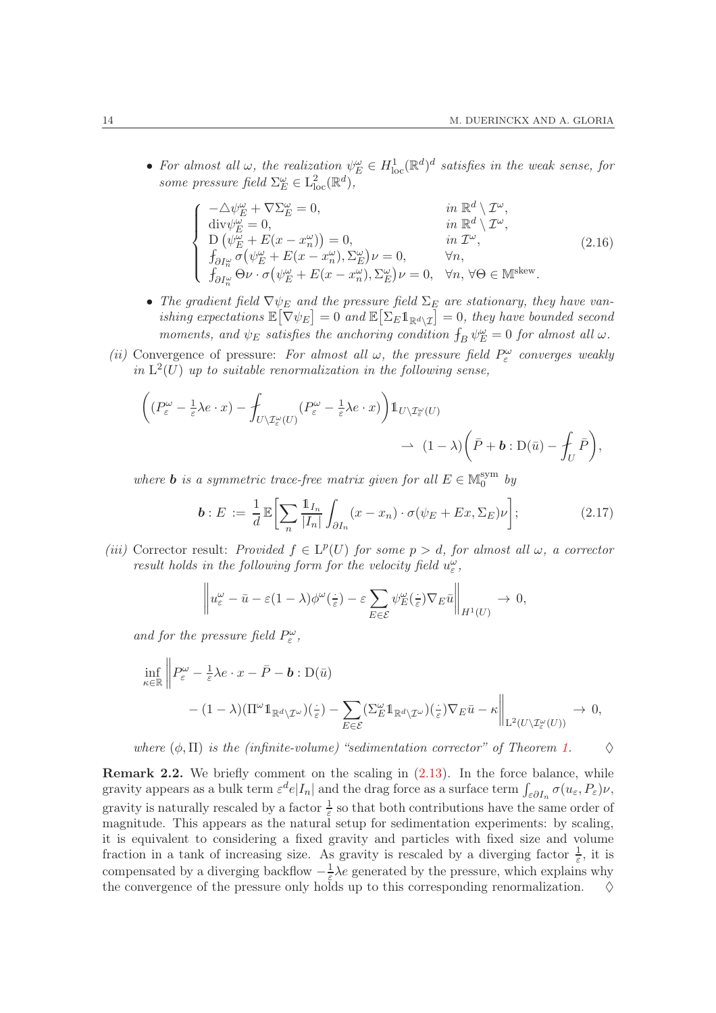• For almost all  $\omega$ , the realization  $\psi_E^{\omega} \in H^1_{loc}(\mathbb{R}^d)^d$  satisfies in the weak sense, for some pressure field  $\Sigma_{E}^{\omega} \in L_{\text{loc}}^{2}(\mathbb{R}^{d}),$ 

$$
\begin{cases}\n-\Delta \psi_E^{\omega} + \nabla \Sigma_E^{\omega} = 0, & in \mathbb{R}^d \setminus \mathcal{I}^{\omega}, \\
\text{div}\psi_E^{\omega} = 0, & in \mathbb{R}^d \setminus \mathcal{I}^{\omega}, \\
D(\psi_E^{\omega} + E(x - x_n^{\omega})) = 0, & in \mathcal{I}^{\omega}, \\
f_{\partial I_n^{\omega}} \sigma(\psi_E^{\omega} + E(x - x_n^{\omega}), \Sigma_E^{\omega}) \nu = 0, & \forall n, \\
f_{\partial I_n^{\omega}} \Theta \nu \cdot \sigma(\psi_E^{\omega} + E(x - x_n^{\omega}), \Sigma_E^{\omega}) \nu = 0, & \forall n, \forall \Theta \in \mathbb{M}^{\text{skew}}.\n\end{cases} (2.16)
$$

- The gradient field  $\nabla \psi_E$  and the pressure field  $\Sigma_E$  are stationary, they have vanishing expectations  $\mathbb{E}[\nabla \psi_E] = 0$  and  $\mathbb{E}[\Sigma_E 1_{\mathbb{R}^d \setminus \mathcal{I}}] = 0$ , they have bounded second moments, and  $\psi_E$  satisfies the anchoring condition  $\int_B \psi_E^{\omega} = 0$  for almost all  $\omega$ .
- (ii) Convergence of pressure: For almost all  $\omega$ , the pressure field  $P_{\varepsilon}^{\omega}$  converges weakly in  $L^2(U)$  up to suitable renormalization in the following sense,

$$
\begin{split} \bigg((P_\varepsilon^\omega-\tfrac{1}{\varepsilon}\lambda e\cdot x)-\int_{U\backslash\mathcal{I}_\varepsilon^\omega(U)}(P_\varepsilon^\omega-\tfrac{1}{\varepsilon}\lambda e\cdot x)\bigg)\mathbbm{1}_{U\backslash\mathcal{I}_\varepsilon^\omega(U)}\\ &\to\ (1-\lambda)\bigg(\bar P+b:{\rm D}(\bar u)-\int_U\bar P\bigg), \end{split}
$$

where **b** is a symmetric trace-free matrix given for all  $E \in \mathbb{M}_0^{\text{sym}}$  $_0^{\rm sym}$  by

$$
\boldsymbol{b} : E := \frac{1}{d} \mathbb{E} \bigg[ \sum_{n} \frac{\mathbb{1}_{I_n}}{|I_n|} \int_{\partial I_n} (x - x_n) \cdot \sigma(\psi_E + Ex, \Sigma_E) \nu \bigg]; \tag{2.17}
$$

(iii) Corrector result: Provided  $f \in L^p(U)$  for some  $p > d$ , for almost all  $\omega$ , a corrector result holds in the following form for the velocity field  $u_\varepsilon^\omega$ ,

$$
\left\|u_{\varepsilon}^{\omega}-\bar{u}-\varepsilon(1-\lambda)\phi^{\omega}(\frac{\cdot}{\varepsilon})-\varepsilon\sum_{E\in\mathcal{E}}\psi_E^{\omega}(\frac{\cdot}{\varepsilon})\nabla_E\bar{u}\right\|_{H^1(U)}\to 0,
$$

and for the pressure field  $P_{\varepsilon}^{\omega}$ ,

$$
\inf_{\kappa \in \mathbb{R}} \left\| P_{\varepsilon}^{\omega} - \frac{1}{\varepsilon} \lambda e \cdot x - \bar{P} - \mathbf{b} : \mathcal{D}(\bar{u}) \right\|_{\mathcal{H}^{d}(\mathcal{I}^{\omega})} \n- (1 - \lambda) \left( \Pi^{\omega} \mathbb{1}_{\mathbb{R}^{d} \setminus \mathcal{I}^{\omega}} \right) \left( \frac{\cdot}{\varepsilon} \right) - \sum_{E \in \mathcal{E}} \left( \Sigma_{E}^{\omega} \mathbb{1}_{\mathbb{R}^{d} \setminus \mathcal{I}^{\omega}} \right) \left( \frac{\cdot}{\varepsilon} \right) \nabla_{E} \bar{u} - \kappa \left\|_{\mathcal{L}^{2}(U \setminus \mathcal{I}^{\omega}_{\varepsilon}(U))} \to 0,
$$

where  $(\phi, \Pi)$  is the (infinite-volume) "sedimentation corrector" of Theorem [1.](#page-9-0)  $\diamond$ 

Remark 2.2. We briefly comment on the scaling in  $(2.13)$ . In the force balance, while gravity appears as a bulk term  $\varepsilon^d e|I_n|$  and the drag force as a surface term  $\int_{\varepsilon \partial I_n} \sigma(u_\varepsilon, P_\varepsilon) \nu$ , gravity is naturally rescaled by a factor  $\frac{1}{\varepsilon}$  so that both contributions have the same order of magnitude. This appears as the natural setup for sedimentation experiments: by scaling, it is equivalent to considering a fixed gravity and particles with fixed size and volume fraction in a tank of increasing size. As gravity is rescaled by a diverging factor  $\frac{1}{\varepsilon}$ , it is compensated by a diverging backflow  $-\frac{1}{\varepsilon}$  $\frac{1}{\varepsilon} \lambda e$  generated by the pressure, which explains why the convergence of the pressure only holds up to this corresponding renormalization.  $\diamond$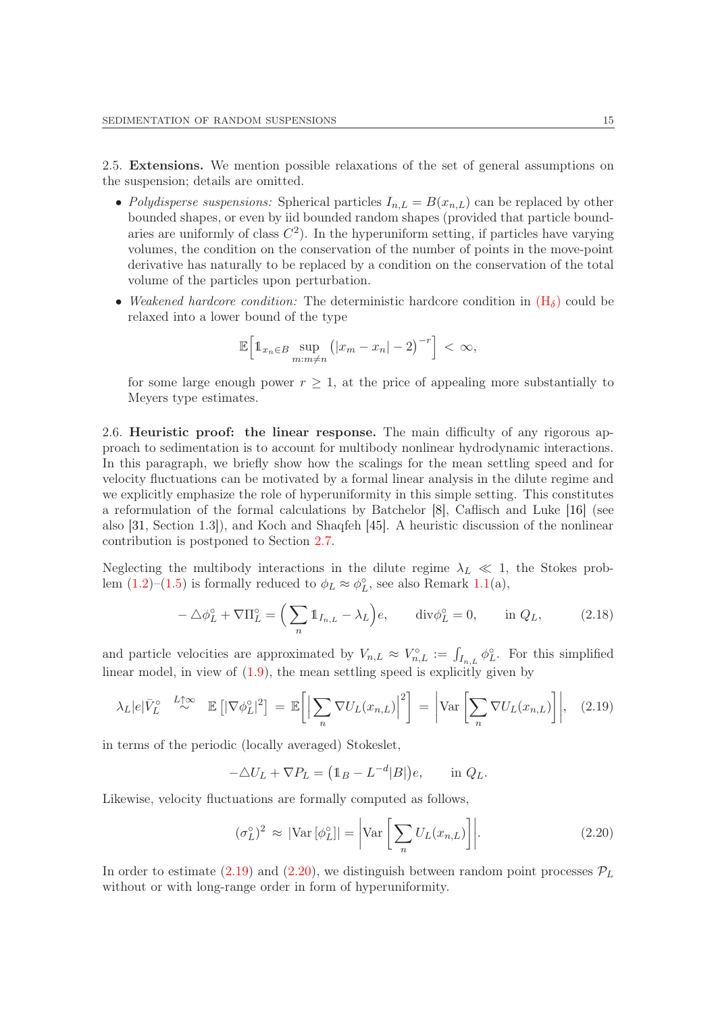2.5. Extensions. We mention possible relaxations of the set of general assumptions on the suspension; details are omitted.

- Polydisperse suspensions: Spherical particles  $I_{n,L} = B(x_{n,L})$  can be replaced by other bounded shapes, or even by iid bounded random shapes (provided that particle boundaries are uniformly of class  $C^2$ ). In the hyperuniform setting, if particles have varying volumes, the condition on the conservation of the number of points in the move-point derivative has naturally to be replaced by a condition on the conservation of the total volume of the particles upon perturbation.
- Weakened hardcore condition: The deterministic hardcore condition in  $(H_{\delta})$  $(H_{\delta})$  could be relaxed into a lower bound of the type

$$
\mathbb{E}\Big[\mathbb{1}_{x_n\in B}\sup_{m:m\neq n}\big(|x_m-x_n|-2\big)^{-r}\Big]<\infty,
$$

for some large enough power  $r \geq 1$ , at the price of appealing more substantially to Meyers type estimates.

<span id="page-14-0"></span>2.6. Heuristic proof: the linear response. The main difficulty of any rigorous approach to sedimentation is to account for multibody nonlinear hydrodynamic interactions. In this paragraph, we briefly show how the scalings for the mean settling speed and for velocity fluctuations can be motivated by a formal linear analysis in the dilute regime and we explicitly emphasize the role of hyperuniformity in this simple setting. This constitutes a reformulation of the formal calculations by Batchelor [\[8\]](#page-50-4), Caflisch and Luke [\[16\]](#page-50-5) (see also [\[31,](#page-51-6) Section 1.3]), and Koch and Shaqfeh [\[45\]](#page-51-0). A heuristic discussion of the nonlinear contribution is postponed to Section [2.7.](#page-15-0)

Neglecting the multibody interactions in the dilute regime  $\lambda_L \ll 1$ , the Stokes problem  $(1.2)$ – $(1.5)$  is formally reduced to  $\phi_L \approx \phi_L^{\circ}$ , see also Remark [1.1\(](#page-4-1)a),

$$
-\Delta\phi_L^{\circ} + \nabla\Pi_L^{\circ} = \left(\sum_n \mathbb{1}_{I_{n,L}} - \lambda_L\right) e, \qquad \text{div}\phi_L^{\circ} = 0, \qquad \text{in } Q_L,\tag{2.18}
$$

and particle velocities are approximated by  $V_{n,L} \approx V_{n,L}^{\circ} := \int_{I_{n,L}} \phi_L^{\circ}$ . For this simplified linear model, in view of [\(1.9\)](#page-5-3), the mean settling speed is explicitly given by

<span id="page-14-1"></span>
$$
\lambda_L |e| \bar{V}_L^{\circ} \stackrel{L \uparrow \infty}{\sim} \mathbb{E} \left[ |\nabla \phi_L^{\circ}|^2 \right] = \mathbb{E} \left[ \left| \sum_n \nabla U_L(x_{n,L}) \right|^2 \right] = \left| \text{Var} \left[ \sum_n \nabla U_L(x_{n,L}) \right] \right|, \quad (2.19)
$$

in terms of the periodic (locally averaged) Stokeslet,

$$
-\Delta U_L + \nabla P_L = \left(\mathbb{1}_B - L^{-d} |B|\right) e, \quad \text{in } Q_L.
$$

Likewise, velocity fluctuations are formally computed as follows,

<span id="page-14-2"></span>
$$
(\sigma_L^{\circ})^2 \approx |\text{Var}[\phi_L^{\circ}]| = \left| \text{Var}\left[\sum_n U_L(x_{n,L})\right] \right|.
$$
 (2.20)

In order to estimate [\(2.19\)](#page-14-1) and [\(2.20\)](#page-14-2), we distinguish between random point processes  $\mathcal{P}_L$ without or with long-range order in form of hyperuniformity.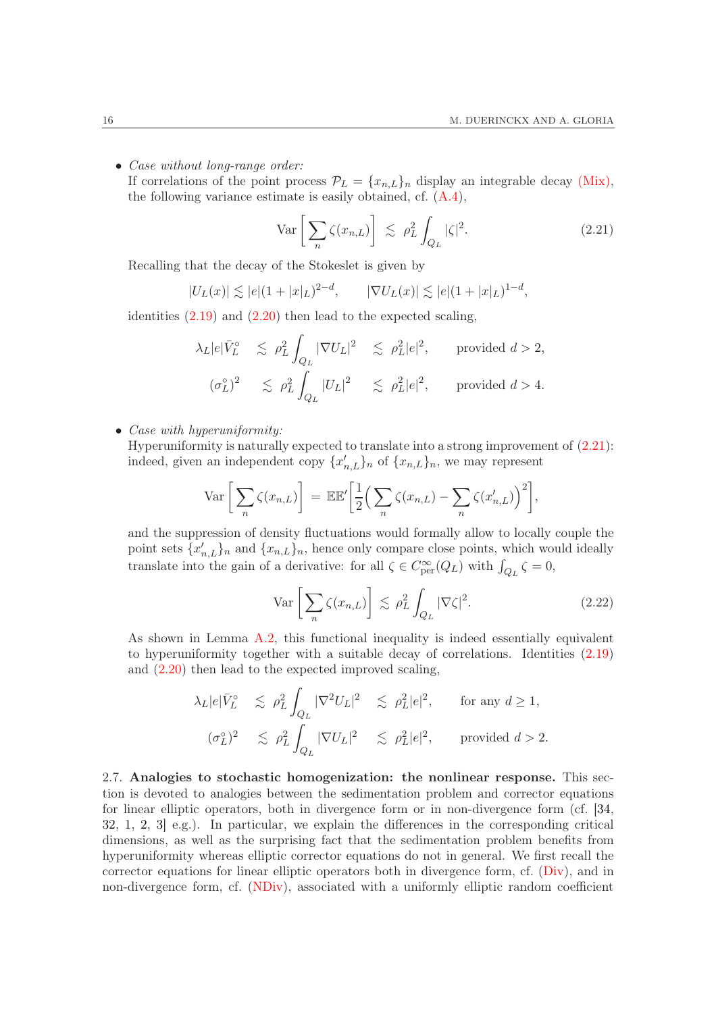• *Case without long-range order:* 

If correlations of the point process  $\mathcal{P}_L = \{x_{n,L}\}_n$  display an integrable decay [\(Mix\),](#page-8-0) the following variance estimate is easily obtained, cf. [\(A.4\)](#page-48-0),

<span id="page-15-1"></span>
$$
\operatorname{Var}\left[\sum_{n} \zeta(x_{n,L})\right] \leq \rho_L^2 \int_{Q_L} |\zeta|^2. \tag{2.21}
$$

Recalling that the decay of the Stokeslet is given by

$$
|U_L(x)| \lesssim |e|(1+|x|_L)^{2-d}, \qquad |\nabla U_L(x)| \lesssim |e|(1+|x|_L)^{1-d},
$$

identities [\(2.19\)](#page-14-1) and [\(2.20\)](#page-14-2) then lead to the expected scaling,

$$
\lambda_L |e| \bar{V}_L^{\circ} \le \rho_L^2 \int_{Q_L} |\nabla U_L|^2 \le \rho_L^2 |e|^2, \quad \text{provided } d > 2,
$$
  

$$
(\sigma_L^{\circ})^2 \le \rho_L^2 \int_{Q_L} |U_L|^2 \le \rho_L^2 |e|^2, \quad \text{provided } d > 4.
$$

• *Case with hyperuniformity:* 

Hyperuniformity is naturally expected to translate into a strong improvement of [\(2.21\)](#page-15-1): indeed, given an independent copy  $\{x'_{n,L}\}_n$  of  $\{x_{n,L}\}_n$ , we may represent

$$
\operatorname{Var}\left[\sum_{n}\zeta(x_{n,L})\right] = \mathbb{E}\mathbb{E}'\left[\frac{1}{2}\Big(\sum_{n}\zeta(x_{n,L}) - \sum_{n}\zeta(x'_{n,L})\Big)^{2}\right],
$$

and the suppression of density fluctuations would formally allow to locally couple the point sets  $\{x'_{n,L}\}_n$  and  $\{x_{n,L}\}_n$ , hence only compare close points, which would ideally translate into the gain of a derivative: for all  $\zeta \in C^{\infty}_{per}(Q_L)$  with  $\int_{Q_L} \zeta = 0$ ,

<span id="page-15-2"></span>
$$
\operatorname{Var}\left[\sum_{n} \zeta(x_{n,L})\right] \lesssim \rho_L^2 \int_{Q_L} |\nabla \zeta|^2. \tag{2.22}
$$

As shown in Lemma [A.2,](#page-48-1) this functional inequality is indeed essentially equivalent to hyperuniformity together with a suitable decay of correlations. Identities [\(2.19\)](#page-14-1) and [\(2.20\)](#page-14-2) then lead to the expected improved scaling,

$$
\lambda_L |e| \bar{V}_L^{\circ} \le \rho_L^2 \int_{Q_L} |\nabla^2 U_L|^2 \le \rho_L^2 |e|^2, \quad \text{for any } d \ge 1,
$$
  

$$
(\sigma_L^{\circ})^2 \le \rho_L^2 \int_{Q_L} |\nabla U_L|^2 \le \rho_L^2 |e|^2, \quad \text{provided } d > 2.
$$

<span id="page-15-0"></span>2.7. Analogies to stochastic homogenization: the nonlinear response. This section is devoted to analogies between the sedimentation problem and corrector equations for linear elliptic operators, both in divergence form or in non-divergence form (cf. [\[34,](#page-51-21) [32,](#page-51-22) [1,](#page-50-10) [2,](#page-50-11) [3\]](#page-50-12) e.g.). In particular, we explain the differences in the corresponding critical dimensions, as well as the surprising fact that the sedimentation problem benefits from hyperuniformity whereas elliptic corrector equations do not in general. We first recall the corrector equations for linear elliptic operators both in divergence form, cf. [\(Div\)](#page-16-0), and in non-divergence form, cf. [\(NDiv\)](#page-16-1), associated with a uniformly elliptic random coefficient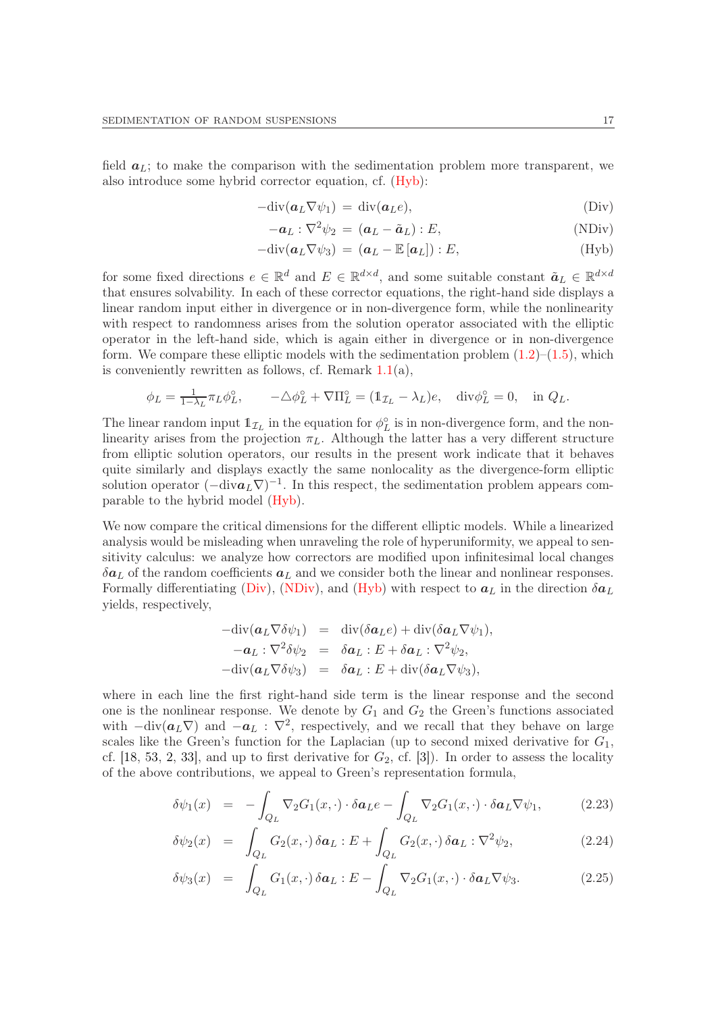field  $a_L$ ; to make the comparison with the sedimentation problem more transparent, we also introduce some hybrid corrector equation, cf. [\(Hyb\)](#page-16-2):

<span id="page-16-1"></span><span id="page-16-0"></span>
$$
-\text{div}(\boldsymbol{a}_L \nabla \psi_1) = \text{div}(\boldsymbol{a}_L e), \qquad (\text{Div})
$$

$$
-a_L : \nabla^2 \psi_2 = (a_L - \tilde{a}_L) : E,
$$
 (NDiv)

<span id="page-16-2"></span>
$$
-\text{div}(\boldsymbol{a}_L \nabla \psi_3) = (\boldsymbol{a}_L - \mathbb{E}[\boldsymbol{a}_L]): E, \tag{Hyb}
$$

for some fixed directions  $e \in \mathbb{R}^d$  and  $E \in \mathbb{R}^{d \times d}$ , and some suitable constant  $\tilde{a}_L \in \mathbb{R}^{d \times d}$ that ensures solvability. In each of these corrector equations, the right-hand side displays a linear random input either in divergence or in non-divergence form, while the nonlinearity with respect to randomness arises from the solution operator associated with the elliptic operator in the left-hand side, which is again either in divergence or in non-divergence form. We compare these elliptic models with the sedimentation problem  $(1.2)$ – $(1.5)$ , which is conveniently rewritten as follows, cf. Remark  $1.1(a)$  $1.1(a)$ ,

$$
\phi_L = \frac{1}{1 - \lambda_L} \pi_L \phi_L^{\circ}, \qquad -\triangle \phi_L^{\circ} + \nabla \Pi_L^{\circ} = (\mathbb{1}_{\mathcal{I}_L} - \lambda_L)e, \quad \text{div}\phi_L^{\circ} = 0, \quad \text{in } Q_L.
$$

The linear random input  $\mathbb{1}_{\mathcal{I}_L}$  in the equation for  $\phi_L^{\circ}$  is in non-divergence form, and the nonlinearity arises from the projection  $\pi_L$ . Although the latter has a very different structure from elliptic solution operators, our results in the present work indicate that it behaves quite similarly and displays exactly the same nonlocality as the divergence-form elliptic solution operator  $(-\text{div}a_L\nabla)^{-1}$ . In this respect, the sedimentation problem appears comparable to the hybrid model [\(Hyb\)](#page-16-2).

We now compare the critical dimensions for the different elliptic models. While a linearized analysis would be misleading when unraveling the role of hyperuniformity, we appeal to sensitivity calculus: we analyze how correctors are modified upon infinitesimal local changes  $\delta a_L$  of the random coefficients  $a_L$  and we consider both the linear and nonlinear responses. Formally differentiating [\(Div\)](#page-16-0), [\(NDiv\)](#page-16-1), and [\(Hyb\)](#page-16-2) with respect to  $a_L$  in the direction  $\delta a_L$ yields, respectively,

$$
-\text{div}(\boldsymbol{a}_L \nabla \delta \psi_1) = \text{div}(\delta \boldsymbol{a}_L e) + \text{div}(\delta \boldsymbol{a}_L \nabla \psi_1),
$$
  
\n
$$
-\boldsymbol{a}_L : \nabla^2 \delta \psi_2 = \delta \boldsymbol{a}_L : E + \delta \boldsymbol{a}_L : \nabla^2 \psi_2,
$$
  
\n
$$
-\text{div}(\boldsymbol{a}_L \nabla \delta \psi_3) = \delta \boldsymbol{a}_L : E + \text{div}(\delta \boldsymbol{a}_L \nabla \psi_3),
$$

where in each line the first right-hand side term is the linear response and the second one is the nonlinear response. We denote by  $G_1$  and  $G_2$  the Green's functions associated with  $-\text{div}(\boldsymbol{a}_L \nabla)$  and  $-\boldsymbol{a}_L : \nabla^2$ , respectively, and we recall that they behave on large scales like the Green's function for the Laplacian (up to second mixed derivative for  $G_1$ , cf. [\[18,](#page-50-13) [53,](#page-52-14) [2,](#page-50-11) [33\]](#page-51-23), and up to first derivative for  $G_2$ , cf. [\[3\]](#page-50-12)). In order to assess the locality of the above contributions, we appeal to Green's representation formula,

<span id="page-16-3"></span>
$$
\delta\psi_1(x) = -\int_{Q_L} \nabla_2 G_1(x,\cdot) \cdot \delta a_L e - \int_{Q_L} \nabla_2 G_1(x,\cdot) \cdot \delta a_L \nabla \psi_1, \tag{2.23}
$$

$$
\delta\psi_2(x) = \int_{Q_L} G_2(x,\cdot) \delta a_L : E + \int_{Q_L} G_2(x,\cdot) \delta a_L : \nabla^2 \psi_2,
$$
\n(2.24)

$$
\delta\psi_3(x) = \int_{Q_L} G_1(x,\cdot) \delta a_L : E - \int_{Q_L} \nabla_2 G_1(x,\cdot) \cdot \delta a_L \nabla \psi_3.
$$
 (2.25)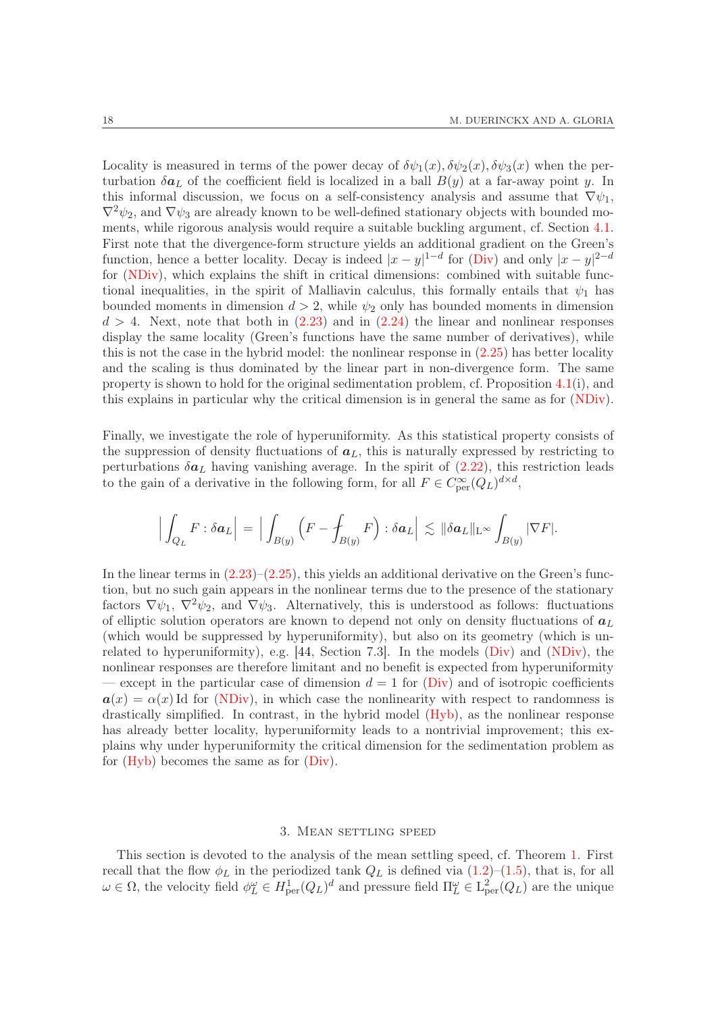Locality is measured in terms of the power decay of  $\delta \psi_1(x), \delta \psi_2(x), \delta \psi_3(x)$  when the perturbation  $\delta a_L$  of the coefficient field is localized in a ball  $B(y)$  at a far-away point y. In this informal discussion, we focus on a self-consistency analysis and assume that  $\nabla \psi_1$ ,  $\nabla^2 \psi_2$ , and  $\nabla \psi_3$  are already known to be well-defined stationary objects with bounded moments, while rigorous analysis would require a suitable buckling argument, cf. Section [4.1.](#page-22-0) First note that the divergence-form structure yields an additional gradient on the Green's function, hence a better locality. Decay is indeed  $|x-y|^{1-d}$  for [\(Div\)](#page-16-0) and only  $|x-y|^{2-d}$ for [\(NDiv\)](#page-16-1), which explains the shift in critical dimensions: combined with suitable functional inequalities, in the spirit of Malliavin calculus, this formally entails that  $\psi_1$  has bounded moments in dimension  $d > 2$ , while  $\psi_2$  only has bounded moments in dimension  $d > 4$ . Next, note that both in  $(2.23)$  and in  $(2.24)$  the linear and nonlinear responses display the same locality (Green's functions have the same number of derivatives), while this is not the case in the hybrid model: the nonlinear response in [\(2.25\)](#page-16-3) has better locality and the scaling is thus dominated by the linear part in non-divergence form. The same property is shown to hold for the original sedimentation problem, cf. Proposition [4.1\(](#page-22-1)i), and this explains in particular why the critical dimension is in general the same as for [\(NDiv\)](#page-16-1).

Finally, we investigate the role of hyperuniformity. As this statistical property consists of the suppression of density fluctuations of  $a<sub>L</sub>$ , this is naturally expressed by restricting to perturbations  $\delta a_L$  having vanishing average. In the spirit of [\(2.22\)](#page-15-2), this restriction leads to the gain of a derivative in the following form, for all  $F \in C_{\text{per}}^{\infty}(Q_L)^{d \times d}$ ,

$$
\Big|\int_{Q_L} F : \delta a_L \Big| = \Big|\int_{B(y)} \Big(F - \oint_{B(y)} F\Big) : \delta a_L \Big| \lesssim \|\delta a_L\|_{\mathrm{L}^\infty} \int_{B(y)} |\nabla F|.
$$

In the linear terms in  $(2.23)$ – $(2.25)$ , this yields an additional derivative on the Green's function, but no such gain appears in the nonlinear terms due to the presence of the stationary factors  $\nabla \psi_1$ ,  $\nabla^2 \psi_2$ , and  $\nabla \psi_3$ . Alternatively, this is understood as follows: fluctuations of elliptic solution operators are known to depend not only on density fluctuations of  $a_L$ (which would be suppressed by hyperuniformity), but also on its geometry (which is unrelated to hyperuniformity), e.g.  $[44, Section 7.3]$ . In the models  $(Div)$  and  $(NDiv)$ , the nonlinear responses are therefore limitant and no benefit is expected from hyperuniformity — except in the particular case of dimension  $d = 1$  for [\(Div\)](#page-16-0) and of isotropic coefficients  $a(x) = \alpha(x)$  Id for [\(NDiv\)](#page-16-1), in which case the nonlinearity with respect to randomness is drastically simplified. In contrast, in the hybrid model [\(Hyb\)](#page-16-2), as the nonlinear response has already better locality, hyperuniformity leads to a nontrivial improvement; this explains why under hyperuniformity the critical dimension for the sedimentation problem as for [\(Hyb\)](#page-16-2) becomes the same as for [\(Div\)](#page-16-0).

### 3. Mean settling speed

<span id="page-17-0"></span>This section is devoted to the analysis of the mean settling speed, cf. Theorem [1.](#page-9-0) First recall that the flow  $\phi_L$  in the periodized tank  $Q_L$  is defined via  $(1.2)$ – $(1.5)$ , that is, for all  $\omega \in \Omega$ , the velocity field  $\phi_L^{\omega} \in H^1_{per}(Q_L)^d$  and pressure field  $\Pi_L^{\omega} \in L^2_{per}(Q_L)$  are the unique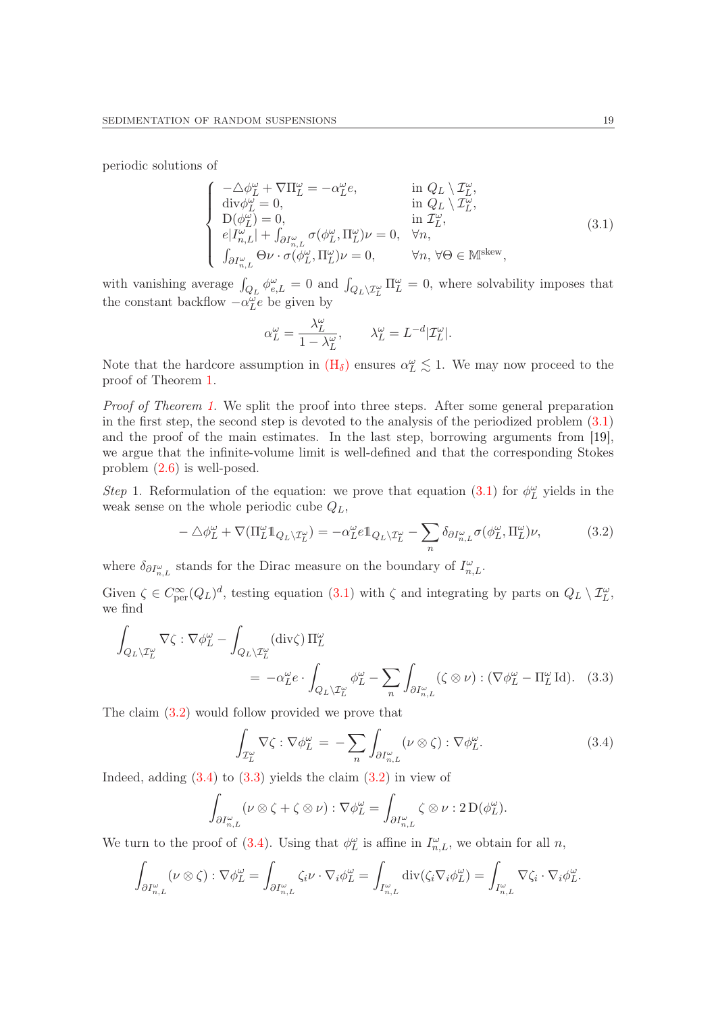periodic solutions of

<span id="page-18-0"></span>
$$
\begin{cases}\n-\Delta \phi_L^{\omega} + \nabla \Pi_L^{\omega} = -\alpha_L^{\omega} e, & \text{in } Q_L \setminus \mathcal{I}_L^{\omega}, \\
\text{div} \phi_L^{\omega} = 0, & \text{in } Q_L \setminus \mathcal{I}_L^{\omega}, \\
D(\phi_L^{\omega}) = 0, & \text{in } \mathcal{I}_L^{\omega}, \\
e|I_{n,L}^{\omega}| + \int_{\partial I_{n,L}^{\omega}} \sigma(\phi_L^{\omega}, \Pi_L^{\omega}) \nu = 0, & \forall n, \\
\int_{\partial I_{n,L}^{\omega}} \Theta \nu \cdot \sigma(\phi_L^{\omega}, \Pi_L^{\omega}) \nu = 0, & \forall n, \forall \Theta \in \mathbb{M}^{\text{skew}},\n\end{cases} (3.1)
$$

with vanishing average  $\int_{Q_L} \phi_{e,L}^{\omega} = 0$  and  $\int_{Q_L\setminus\mathcal{I}_L^{\omega}} \Pi_L^{\omega} = 0$ , where solvability imposes that the constant backflow  $-\alpha_{L}^{\omega}e$  be given by

$$
\alpha_L^{\omega} = \frac{\lambda_L^{\omega}}{1 - \lambda_L^{\omega}}, \qquad \lambda_L^{\omega} = L^{-d} |\mathcal{I}_L^{\omega}|.
$$

Note that the hardcore assumption in  $(H_{\delta})$  $(H_{\delta})$  ensures  $\alpha_L^{\omega} \lesssim 1$ . We may now proceed to the proof of Theorem [1.](#page-9-0)

Proof of Theorem [1.](#page-9-0) We split the proof into three steps. After some general preparation in the first step, the second step is devoted to the analysis of the periodized problem  $(3.1)$ and the proof of the main estimates. In the last step, borrowing arguments from [\[19\]](#page-51-15), we argue that the infinite-volume limit is well-defined and that the corresponding Stokes problem [\(2.6\)](#page-10-2) is well-posed.

Step 1. Reformulation of the equation: we prove that equation [\(3.1\)](#page-18-0) for  $\phi_L^{\omega}$  yields in the weak sense on the whole periodic cube  $Q_L$ ,

<span id="page-18-1"></span>
$$
-\Delta\phi_L^{\omega} + \nabla(\Pi_L^{\omega}\mathbb{1}_{Q_L\setminus\mathcal{I}_L^{\omega}}) = -\alpha_L^{\omega}e\mathbb{1}_{Q_L\setminus\mathcal{I}_L^{\omega}} - \sum_n \delta_{\partial I_{n,L}^{\omega}}\sigma(\phi_L^{\omega}, \Pi_L^{\omega})\nu,
$$
(3.2)

where  $\delta_{\partial I^\omega_{n,L}}$  stands for the Dirac measure on the boundary of  $I^\omega_{n,L}$ .

Given  $\zeta \in C_{\text{per}}^{\infty}(Q_L)^d$ , testing equation [\(3.1\)](#page-18-0) with  $\zeta$  and integrating by parts on  $Q_L \setminus \mathcal{I}_L^{\omega}$ , we find

$$
\int_{Q_L \setminus \mathcal{I}_L^{\omega}} \nabla \zeta : \nabla \phi_L^{\omega} - \int_{Q_L \setminus \mathcal{I}_L^{\omega}} (\text{div}\zeta) \Pi_L^{\omega} \n= -\alpha_L^{\omega} e \cdot \int_{Q_L \setminus \mathcal{I}_L^{\omega}} \phi_L^{\omega} - \sum_n \int_{\partial I_{n,L}^{\omega}} (\zeta \otimes \nu) : (\nabla \phi_L^{\omega} - \Pi_L^{\omega} \text{Id}).
$$
\n(3.3)

The claim [\(3.2\)](#page-18-1) would follow provided we prove that

<span id="page-18-3"></span><span id="page-18-2"></span>
$$
\int_{\mathcal{I}_L^{\omega}} \nabla \zeta : \nabla \phi_L^{\omega} = -\sum_n \int_{\partial I_{n,L}^{\omega}} (\nu \otimes \zeta) : \nabla \phi_L^{\omega}.
$$
\n(3.4)

Indeed, adding  $(3.4)$  to  $(3.3)$  yields the claim  $(3.2)$  in view of

$$
\int_{\partial I_{n,L}^{\omega}} (\nu \otimes \zeta + \zeta \otimes \nu) : \nabla \phi_L^{\omega} = \int_{\partial I_{n,L}^{\omega}} \zeta \otimes \nu : 2 \mathcal{D}(\phi_L^{\omega}).
$$

We turn to the proof of [\(3.4\)](#page-18-2). Using that  $\phi_L^{\omega}$  is affine in  $I_{n,L}^{\omega}$ , we obtain for all n,

$$
\int_{\partial I_{n,L}^{\omega}} (\nu \otimes \zeta) : \nabla \phi_L^{\omega} = \int_{\partial I_{n,L}^{\omega}} \zeta_i \nu \cdot \nabla_i \phi_L^{\omega} = \int_{I_{n,L}^{\omega}} \operatorname{div}(\zeta_i \nabla_i \phi_L^{\omega}) = \int_{I_{n,L}^{\omega}} \nabla \zeta_i \cdot \nabla_i \phi_L^{\omega}.
$$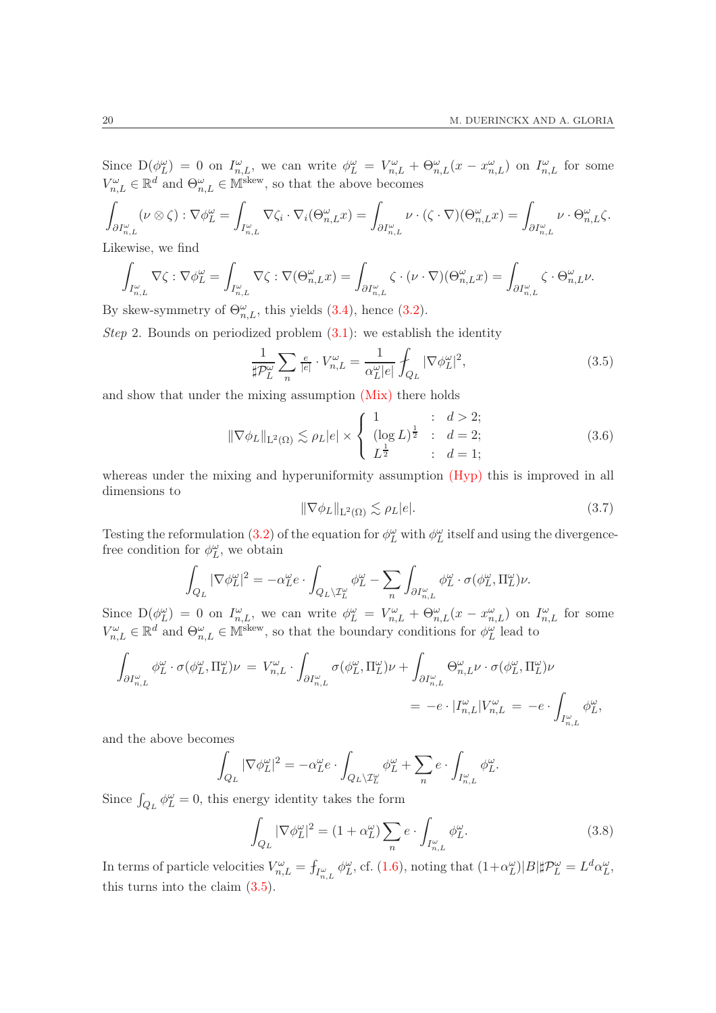Since  $D(\phi_L^{\omega}) = 0$  on  $I_{n,L}^{\omega}$ , we can write  $\phi_L^{\omega} = V_{n,L}^{\omega} + \Theta_{n,L}^{\omega}(x - x_{n,L}^{\omega})$  on  $I_{n,L}^{\omega}$  for some  $V_{n,L}^{\omega} \in \mathbb{R}^d$  and  $\Theta_{n,L}^{\omega} \in \mathbb{M}^{\text{skew}},$  so that the above becomes

$$
\int_{\partial I^{\omega}_{n,L}} (\nu \otimes \zeta) : \nabla \phi^{\omega}_L = \int_{I^{\omega}_{n,L}} \nabla \zeta_i \cdot \nabla_i (\Theta^{\omega}_{n,L} x) = \int_{\partial I^{\omega}_{n,L}} \nu \cdot (\zeta \cdot \nabla) (\Theta^{\omega}_{n,L} x) = \int_{\partial I^{\omega}_{n,L}} \nu \cdot \Theta^{\omega}_{n,L} \zeta.
$$

Likewise, we find

$$
\int_{I^\omega_{n,L}} \nabla \zeta : \nabla \phi_L^\omega = \int_{I^\omega_{n,L}} \nabla \zeta : \nabla (\Theta_{n,L}^\omega x) = \int_{\partial I^\omega_{n,L}} \zeta \cdot (\nu \cdot \nabla)(\Theta_{n,L}^\omega x) = \int_{\partial I^\omega_{n,L}} \zeta \cdot \Theta_{n,L}^\omega \nu.
$$

By skew-symmetry of  $\Theta_{n,L}^{\omega}$ , this yields [\(3.4\)](#page-18-2), hence [\(3.2\)](#page-18-1).

Step 2. Bounds on periodized problem  $(3.1)$ : we establish the identity

<span id="page-19-0"></span>
$$
\frac{1}{\sharp \mathcal{P}_L^{\omega}} \sum_n \frac{e}{|e|} \cdot V_{n,L}^{\omega} = \frac{1}{\alpha_L^{\omega} |e|} \oint_{Q_L} |\nabla \phi_L^{\omega}|^2,
$$
\n(3.5)

and show that under the mixing assumption [\(Mix\)](#page-8-0) there holds

<span id="page-19-2"></span>
$$
\|\nabla \phi_L\|_{\mathcal{L}^2(\Omega)} \lesssim \rho_L |e| \times \begin{cases} 1 & \text{if } d > 2; \\ (\log L)^{\frac{1}{2}} & \text{if } d = 2; \\ L^{\frac{1}{2}} & \text{if } d = 1; \end{cases}
$$
(3.6)

whereas under the mixing and hyperuniformity assumption  $(Hyp)$  this is improved in all dimensions to

<span id="page-19-3"></span>
$$
\|\nabla \phi_L\|_{\mathcal{L}^2(\Omega)} \lesssim \rho_L |e|.\tag{3.7}
$$

Testing the reformulation [\(3.2\)](#page-18-1) of the equation for  $\phi_L^{\omega}$  with  $\phi_L^{\omega}$  itself and using the divergencefree condition for  $\phi_L^{\omega}$ , we obtain

$$
\int_{Q_L} |\nabla \phi_L^\omega|^2 = -\alpha_L^\omega e \cdot \int_{Q_L \backslash \mathcal{I}_L^\omega} \phi_L^\omega - \sum_n \int_{\partial I_{n,L}^\omega} \phi_L^\omega \cdot \sigma(\phi_L^\omega, \Pi_L^\omega) \nu.
$$

Since  $D(\phi_L^{\omega}) = 0$  on  $I_{n,L}^{\omega}$ , we can write  $\phi_L^{\omega} = V_{n,L}^{\omega} + \Theta_{n,L}^{\omega}(x - x_{n,L}^{\omega})$  on  $I_{n,L}^{\omega}$  for some  $V_{n,L}^{\omega} \in \mathbb{R}^d$  and  $\Theta_{n,L}^{\omega} \in \mathbb{M}^{\text{skew}},$  so that the boundary conditions for  $\phi_L^{\omega}$  lead to

$$
\begin{aligned} \int_{\partial I^{\omega}_{n,L}} \phi^{\omega}_L \cdot \sigma(\phi^{\omega}_L, \Pi^{\omega}_L) \nu \, & = \, V^{\omega}_{n,L} \cdot \int_{\partial I^{\omega}_{n,L}} \sigma(\phi^{\omega}_L, \Pi^{\omega}_L) \nu \, + \int_{\partial I^{\omega}_{n,L}} \Theta^{\omega}_{n,L} \nu \cdot \sigma(\phi^{\omega}_L, \Pi^{\omega}_L) \nu \\ & = \, -e \cdot |I^{\omega}_{n,L}| V^{\omega}_{n,L} \, = \, -e \cdot \int_{I^{\omega}_{n,L}} \phi^{\omega}_L, \end{aligned}
$$

and the above becomes

$$
\int_{Q_L} |\nabla \phi_L^{\omega}|^2 = -\alpha_L^{\omega} e \cdot \int_{Q_L \setminus \mathcal{I}_L^{\omega}} \phi_L^{\omega} + \sum_n e \cdot \int_{I_{n,L}^{\omega}} \phi_L^{\omega}.
$$

Since  $\int_{Q_L} \phi_L^{\omega} = 0$ , this energy identity takes the form

<span id="page-19-1"></span>
$$
\int_{Q_L} |\nabla \phi_L^{\omega}|^2 = (1 + \alpha_L^{\omega}) \sum_n e \cdot \int_{I_{n,L}^{\omega}} \phi_L^{\omega}.
$$
\n(3.8)

In terms of particle velocities  $V_{n,L}^{\omega} = f_{I_{n,L}^{\omega}} \phi_L^{\omega}$ , cf. [\(1.6\)](#page-4-2), noting that  $(1+\alpha_L^{\omega})|B||\mathcal{P}_L^{\omega} = L^d \alpha_L^{\omega}$ , this turns into the claim [\(3.5\)](#page-19-0).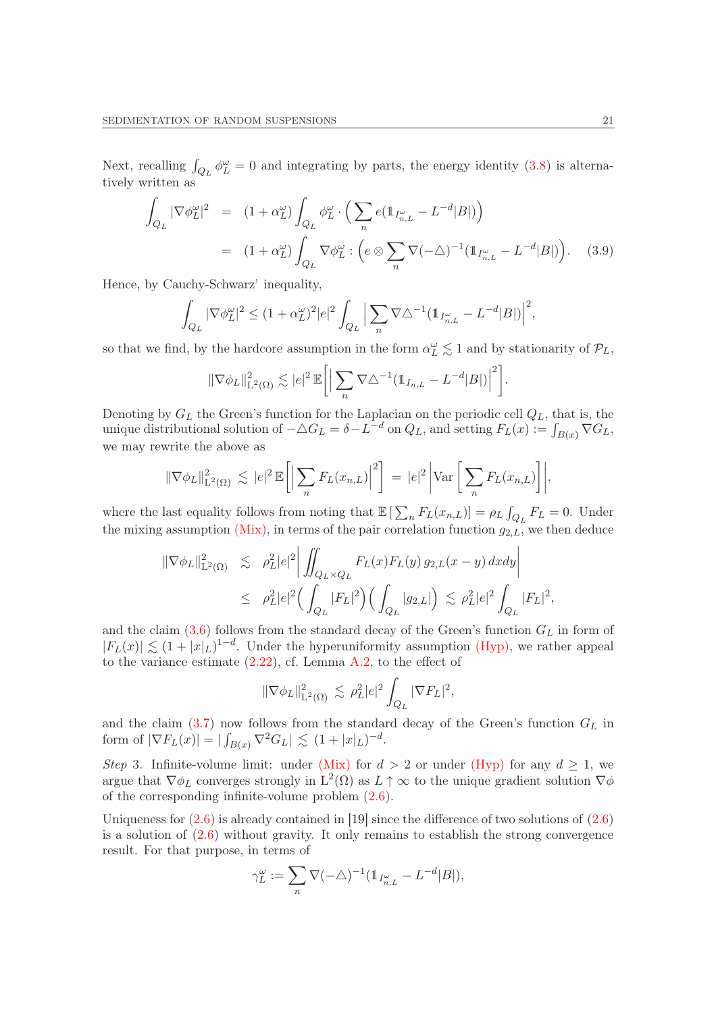Next, recalling  $\int_{Q_L} \phi_L^{\omega} = 0$  and integrating by parts, the energy identity [\(3.8\)](#page-19-1) is alternatively written as

<span id="page-20-0"></span>
$$
\int_{Q_L} |\nabla \phi_L^{\omega}|^2 = (1 + \alpha_L^{\omega}) \int_{Q_L} \phi_L^{\omega} \cdot \left( \sum_n e(\mathbb{1}_{I_{n,L}^{\omega}} - L^{-d} |B|) \right)
$$
\n
$$
= (1 + \alpha_L^{\omega}) \int_{Q_L} \nabla \phi_L^{\omega} : \left( e \otimes \sum_n \nabla (-\Delta)^{-1} (\mathbb{1}_{I_{n,L}^{\omega}} - L^{-d} |B|) \right). \quad (3.9)
$$

Hence, by Cauchy-Schwarz' inequality,

$$
\int_{Q_L} |\nabla \phi_L^{\omega}|^2 \le (1 + \alpha_L^{\omega})^2 |e|^2 \int_{Q_L} \Big| \sum_n \nabla \triangle^{-1} (\mathbb{1}_{I_{n,L}^{\omega}} - L^{-d} |B|) \Big|^2,
$$

so that we find, by the hardcore assumption in the form  $\alpha_L^{\omega} \lesssim 1$  and by stationarity of  $\mathcal{P}_L$ ,

$$
\|\nabla \phi_L\|_{\mathcal{L}^2(\Omega)}^2 \lesssim |e|^2 \, \mathbb{E}\bigg[\Big|\sum_n \nabla \triangle^{-1}(\mathbb{1}_{I_{n,L}} - L^{-d}|B|)\Big|^2\bigg].
$$

Denoting by  $G_L$  the Green's function for the Laplacian on the periodic cell  $Q_L$ , that is, the unique distributional solution of  $-\triangle G_L = \delta - L^{-d}$  on  $Q_L$ , and setting  $F_L(x) := \int_{B(x)} \nabla G_L$ , we may rewrite the above as

$$
\|\nabla \phi_L\|_{\mathcal{L}^2(\Omega)}^2 \lesssim |e|^2 \mathbb{E}\bigg[\Big|\sum_n F_L(x_{n,L})\Big|^2\bigg] = |e|^2 \Big|\text{Var}\bigg[\sum_n F_L(x_{n,L})\bigg]\Big|,
$$

where the last equality follows from noting that  $\mathbb{E} \left[ \sum_n F_L(x_{n,L}) \right] = \rho_L \int_{Q_L} F_L = 0$ . Under the mixing assumption  $(Mix)$ , in terms of the pair correlation function  $g_{2,L}$ , we then deduce

$$
\begin{array}{lcl} \|\nabla \phi_L\|_{\mathrm{L}^2(\Omega)}^2 & \lesssim & \rho_L^2 |e|^2 \bigg| \iint_{Q_L \times Q_L} F_L(x) F_L(y) \, g_{2,L}(x-y) \, dxdy \bigg| \\ & \leq & \rho_L^2 |e|^2 \Big( \int_{Q_L} |F_L|^2 \Big) \Big( \int_{Q_L} |g_{2,L}| \Big) \, \lesssim & \rho_L^2 |e|^2 \int_{Q_L} |F_L|^2, \end{array}
$$

and the claim  $(3.6)$  follows from the standard decay of the Green's function  $G_L$  in form of  $|F_L(x)| \lesssim (1+|x|_L)^{1-d}$ . Under the hyperuniformity assumption [\(Hyp\),](#page-8-0) we rather appeal to the variance estimate [\(2.22\)](#page-15-2), cf. Lemma [A.2,](#page-48-1) to the effect of

$$
\|\nabla \phi_L\|_{\mathcal{L}^2(\Omega)}^2 \lesssim \rho_L^2 |e|^2 \int_{Q_L} |\nabla F_L|^2,
$$

and the claim  $(3.7)$  now follows from the standard decay of the Green's function  $G_L$  in form of  $|\nabla F_L(x)| = |\int_{B(x)} \nabla^2 G_L| \lesssim (1+|x|_L)^{-d}$ .

Step 3. Infinite-volume limit: under [\(Mix\)](#page-8-0) for  $d > 2$  or under [\(Hyp\)](#page-8-0) for any  $d \ge 1$ , we argue that  $\nabla \phi_L$  converges strongly in  $L^2(\Omega)$  as  $L \uparrow \infty$  to the unique gradient solution  $\nabla \phi$ of the corresponding infinite-volume problem [\(2.6\)](#page-10-2).

Uniqueness for  $(2.6)$  is already contained in [\[19\]](#page-51-15) since the difference of two solutions of  $(2.6)$ is a solution of  $(2.6)$  without gravity. It only remains to establish the strong convergence result. For that purpose, in terms of

$$
\gamma_L^\omega:=\sum_n\nabla(-\triangle)^{-1}(\mathbb{1}_{I_{n,L}^\omega}-L^{-d}|B|),
$$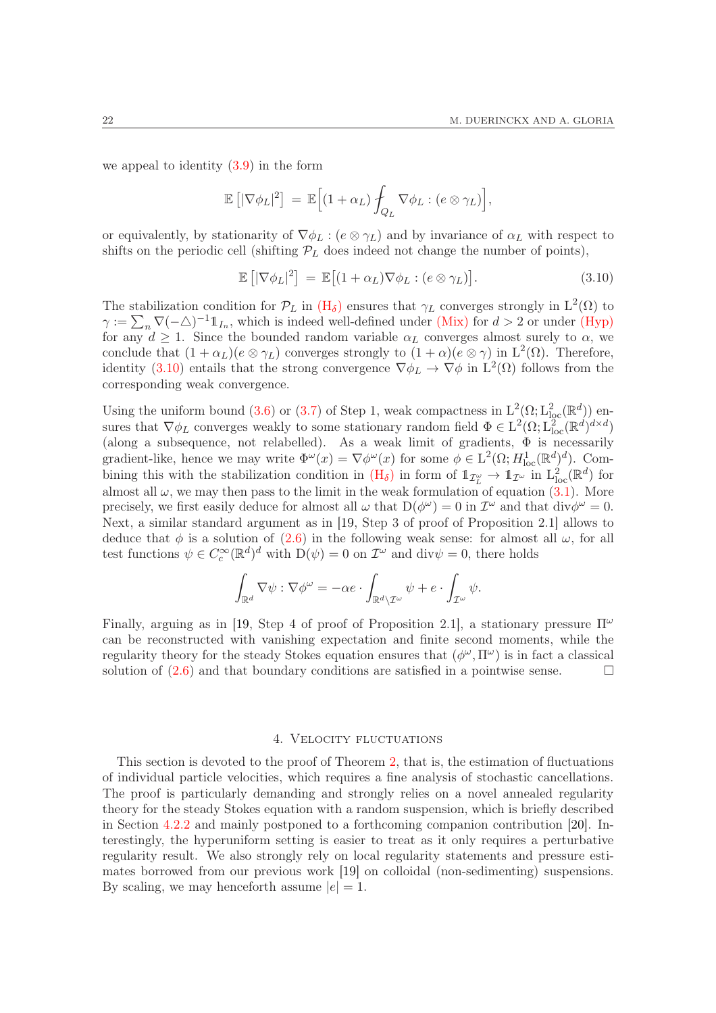we appeal to identity [\(3.9\)](#page-20-0) in the form

$$
\mathbb{E}\left[|\nabla\phi_L|^2\right] = \mathbb{E}\Big[(1+\alpha_L)\int_{Q_L}\nabla\phi_L : (e\otimes\gamma_L)\Big],
$$

or equivalently, by stationarity of  $\nabla \phi_L : (e \otimes \gamma_L)$  and by invariance of  $\alpha_L$  with respect to shifts on the periodic cell (shifting  $\mathcal{P}_L$  does indeed not change the number of points),

<span id="page-21-1"></span>
$$
\mathbb{E}\left[|\nabla\phi_L|^2\right] = \mathbb{E}\left[(1+\alpha_L)\nabla\phi_L : (e \otimes \gamma_L)\right].\tag{3.10}
$$

The stabilization condition for  $\mathcal{P}_L$  in  $(H_\delta)$  $(H_\delta)$  ensures that  $\gamma_L$  converges strongly in  $L^2(\Omega)$  to  $\gamma := \sum_n \nabla(-\triangle)^{-1} 1\!\!1_{I_n}$ , which is indeed well-defined under [\(Mix\)](#page-8-0) for  $d > 2$  or under [\(Hyp\)](#page-8-0) for any  $d \geq 1$ . Since the bounded random variable  $\alpha_L$  converges almost surely to  $\alpha$ , we conclude that  $(1 + \alpha_L)(e \otimes \gamma_L)$  converges strongly to  $(1 + \alpha)(e \otimes \gamma)$  in  $L^2(\Omega)$ . Therefore, identity [\(3.10\)](#page-21-1) entails that the strong convergence  $\nabla \phi_L \to \nabla \phi$  in  $L^2(\Omega)$  follows from the corresponding weak convergence.

Using the uniform bound [\(3.6\)](#page-19-2) or [\(3.7\)](#page-19-3) of Step 1, weak compactness in  $L^2(\Omega; L^2_{loc}(\mathbb{R}^d))$  ensures that  $\nabla \phi_L$  converges weakly to some stationary random field  $\Phi \in L^2(\Omega; L^2_{loc}(\mathbb{R}^d)^{d \times d})$ (along a subsequence, not relabelled). As a weak limit of gradients,  $\Phi$  is necessarily gradient-like, hence we may write  $\Phi^{\omega}(x) = \nabla \phi^{\omega}(x)$  for some  $\phi \in L^{2}(\Omega; H_{\text{loc}}^{1}(\mathbb{R}^{d}))^{d}$ . Combining this with the stabilization condition in  $(H_{\delta})$  $(H_{\delta})$  in form of  $1\!\!1_{\mathcal{I}_L^{\omega}} \to 1\!\!1_{\mathcal{I}^{\omega}}$  in  $L^2_{loc}(\mathbb{R}^d)$  for almost all  $\omega$ , we may then pass to the limit in the weak formulation of equation [\(3.1\)](#page-18-0). More precisely, we first easily deduce for almost all  $\omega$  that  $D(\phi^{\omega}) = 0$  in  $\mathcal{I}^{\omega}$  and that  $\text{div}\phi^{\omega} = 0$ . Next, a similar standard argument as in [\[19,](#page-51-15) Step 3 of proof of Proposition 2.1] allows to deduce that  $\phi$  is a solution of [\(2.6\)](#page-10-2) in the following weak sense: for almost all  $\omega$ , for all test functions  $\psi \in C_c^{\infty}(\mathbb{R}^d)^d$  with  $\mathcal{D}(\psi) = 0$  on  $\mathcal{I}^{\omega}$  and  $\text{div}\psi = 0$ , there holds

$$
\int_{\mathbb{R}^d} \nabla \psi : \nabla \phi^{\omega} = -\alpha e \cdot \int_{\mathbb{R}^d \setminus \mathcal{I}^{\omega}} \psi + e \cdot \int_{\mathcal{I}^{\omega}} \psi.
$$

Finally, arguing as in [\[19,](#page-51-15) Step 4 of proof of Proposition 2.1], a stationary pressure  $\Pi^{\omega}$ can be reconstructed with vanishing expectation and finite second moments, while the regularity theory for the steady Stokes equation ensures that  $(\phi^{\omega}, \Pi^{\omega})$  is in fact a classical solution of  $(2.6)$  and that boundary conditions are satisfied in a pointwise sense.

#### 4. Velocity fluctuations

<span id="page-21-0"></span>This section is devoted to the proof of Theorem [2,](#page-10-0) that is, the estimation of fluctuations of individual particle velocities, which requires a fine analysis of stochastic cancellations. The proof is particularly demanding and strongly relies on a novel annealed regularity theory for the steady Stokes equation with a random suspension, which is briefly described in Section [4.2.2](#page-25-0) and mainly postponed to a forthcoming companion contribution [\[20\]](#page-51-7). Interestingly, the hyperuniform setting is easier to treat as it only requires a perturbative regularity result. We also strongly rely on local regularity statements and pressure estimates borrowed from our previous work [\[19\]](#page-51-15) on colloidal (non-sedimenting) suspensions. By scaling, we may henceforth assume  $|e|=1$ .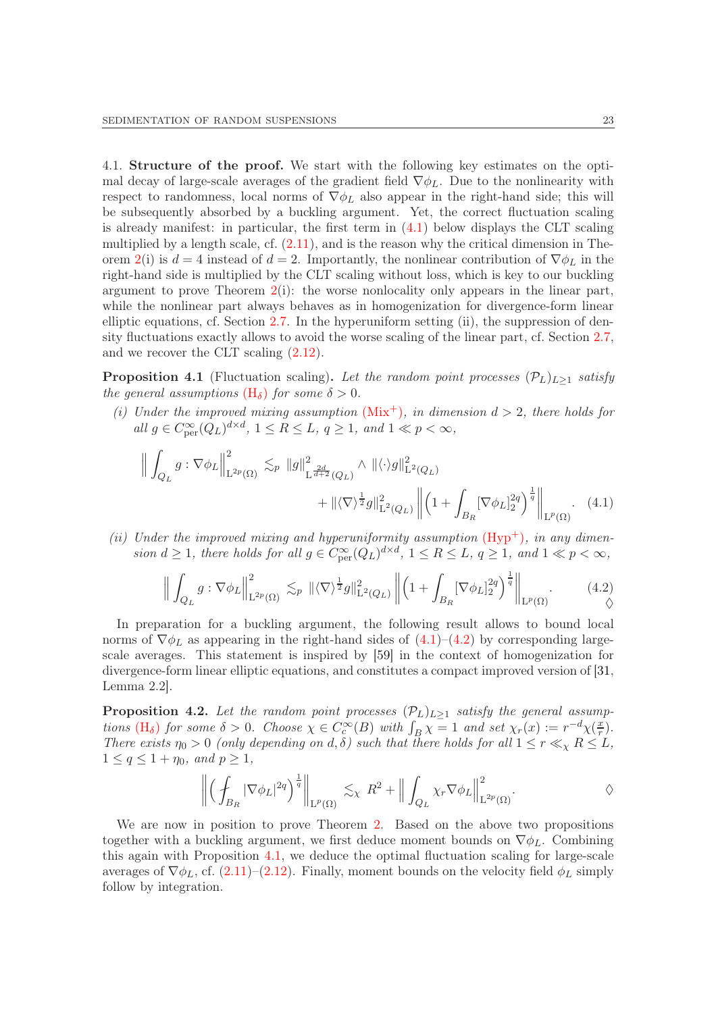<span id="page-22-0"></span>4.1. Structure of the proof. We start with the following key estimates on the optimal decay of large-scale averages of the gradient field  $\nabla \phi_L$ . Due to the nonlinearity with respect to randomness, local norms of  $\nabla \phi_L$  also appear in the right-hand side; this will be subsequently absorbed by a buckling argument. Yet, the correct fluctuation scaling is already manifest: in particular, the first term in [\(4.1\)](#page-22-2) below displays the CLT scaling multiplied by a length scale, cf.  $(2.11)$ , and is the reason why the critical dimension in The-orem [2\(](#page-10-0)i) is  $d = 4$  instead of  $d = 2$ . Importantly, the nonlinear contribution of  $\nabla \phi_L$  in the right-hand side is multiplied by the CLT scaling without loss, which is key to our buckling argument to prove Theorem  $2(i)$  $2(i)$ : the worse nonlocality only appears in the linear part, while the nonlinear part always behaves as in homogenization for divergence-form linear elliptic equations, cf. Section [2.7.](#page-15-0) In the hyperuniform setting (ii), the suppression of density fluctuations exactly allows to avoid the worse scaling of the linear part, cf. Section [2.7,](#page-15-0) and we recover the CLT scaling [\(2.12\)](#page-11-1).

<span id="page-22-1"></span>**Proposition 4.1** (Fluctuation scaling). Let the random point processes  $(\mathcal{P}_L)_{L>1}$  satisfy the general assumptions  $(H_{\delta})$  $(H_{\delta})$  for some  $\delta > 0$ .

(i) Under the improved mixing assumption  $(Mix^+)$  $(Mix^+)$ , in dimension  $d > 2$ , there holds for all  $g \in C_{\text{per}}^{\infty}(Q_L)^{d \times d}$ ,  $1 \leq R \leq L$ ,  $q \geq 1$ , and  $1 \ll p < \infty$ ,

$$
\left\| \int_{Q_L} g : \nabla \phi_L \right\|_{\mathcal{L}^{2p}(\Omega)}^2 \lesssim_p \|g\|_{\mathcal{L}^{\frac{2d}{d+2}}(Q_L)}^2 \wedge \|\langle \cdot \rangle g\|_{\mathcal{L}^2(Q_L)}^2 + \|\langle \nabla \rangle^{\frac{1}{2}} g\|_{\mathcal{L}^2(Q_L)}^2 \left\| \left(1 + \int_{B_R} [\nabla \phi_L]_2^{2q} \right)^{\frac{1}{q}} \right\|_{\mathcal{L}^p(\Omega)} . \tag{4.1}
$$

(ii) Under the improved mixing and hyperuniformity assumption  $(Hyp<sup>+</sup>)$ , in any dimension  $d \geq 1$ , there holds for all  $g \in C^{\infty}_{per}(Q_L)^{d \times d}$ ,  $1 \leq R \leq L$ ,  $q \geq 1$ , and  $1 \ll p < \infty$ ,

<span id="page-22-3"></span><span id="page-22-2"></span>
$$
\Big\| \int_{Q_L} g : \nabla \phi_L \Big\|_{\mathcal{L}^{2p}(\Omega)}^2 \lesssim_p \|\langle \nabla \rangle^{\frac{1}{2}} g\|_{\mathcal{L}^2(Q_L)}^2 \Big\| \Big( 1 + \int_{B_R} [\nabla \phi_L]_2^{2q} \Big)^{\frac{1}{q}} \Big\|_{\mathcal{L}^p(\Omega)}.
$$
 (4.2)

In preparation for a buckling argument, the following result allows to bound local norms of  $\nabla \phi_L$  as appearing in the right-hand sides of  $(4.1)$ – $(4.2)$  by corresponding largescale averages. This statement is inspired by [\[59\]](#page-52-12) in the context of homogenization for divergence-form linear elliptic equations, and constitutes a compact improved version of [\[31,](#page-51-6) Lemma 2.2].

<span id="page-22-4"></span>**Proposition 4.2.** Let the random point processes  $(\mathcal{P}_L)_{L\geq 1}$  satisfy the general assumptions  $(H_\delta)$  $(H_\delta)$  for some  $\delta > 0$ . Choose  $\chi \in C_c^{\infty}(B)$  with  $\int_B \chi = 1$  and set  $\chi_r(x) := r^{-d} \chi(\frac{x}{r})$  $\frac{x}{r}$ ). There exists  $\eta_0 > 0$  (only depending on d,  $\delta$ ) such that there holds for all  $1 \leq r \ll_{\chi} R \leq L$ ,  $1 \leq q \leq 1 + \eta_0$ , and  $p \geq 1$ ,

$$
\left\| \left( \int_{B_R} |\nabla \phi_L|^{2q} \right)^{\frac{1}{q}} \right\|_{\mathcal{L}^p(\Omega)} \lesssim_{\chi} R^2 + \left\| \int_{Q_L} \chi_r \nabla \phi_L \right\|_{\mathcal{L}^{2p}(\Omega)}^2.
$$

We are now in position to prove Theorem [2.](#page-10-0) Based on the above two propositions together with a buckling argument, we first deduce moment bounds on  $\nabla \phi_L$ . Combining this again with Proposition [4.1,](#page-22-1) we deduce the optimal fluctuation scaling for large-scale averages of  $\nabla \phi_L$ , cf. [\(2.11\)](#page-11-0)–[\(2.12\)](#page-11-1). Finally, moment bounds on the velocity field  $\phi_L$  simply follow by integration.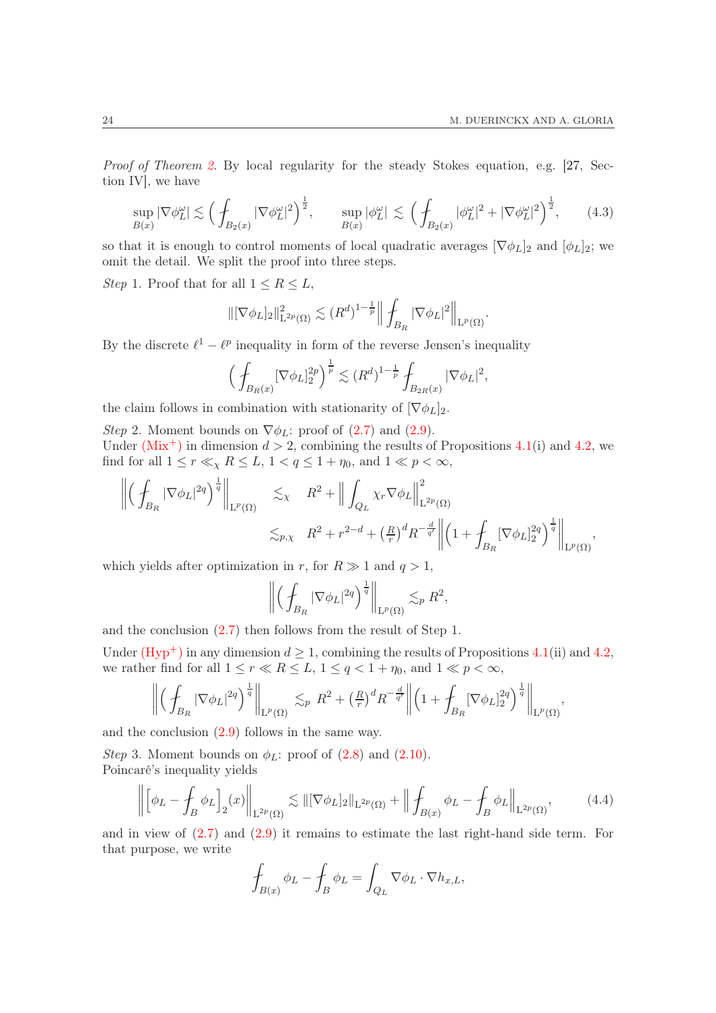,

Proof of Theorem [2.](#page-10-0) By local regularity for the steady Stokes equation, e.g. [\[27,](#page-51-14) Section IV], we have

<span id="page-23-1"></span>
$$
\sup_{B(x)} |\nabla \phi_L^{\omega}| \lesssim \left(\int_{B_2(x)} |\nabla \phi_L^{\omega}|^2\right)^{\frac{1}{2}}, \qquad \sup_{B(x)} |\phi_L^{\omega}| \lesssim \left(\int_{B_2(x)} |\phi_L^{\omega}|^2 + |\nabla \phi_L^{\omega}|^2\right)^{\frac{1}{2}},\tag{4.3}
$$

so that it is enough to control moments of local quadratic averages  $[\nabla \phi_L]_2$  and  $[\phi_L]_2$ ; we omit the detail. We split the proof into three steps.

Step 1. Proof that for all  $1 \leq R \leq L$ ,

$$
\|[\nabla \phi_L]_2\|_{\mathcal{L}^{2p}(\Omega)}^2 \lesssim (R^d)^{1-\frac{1}{p}} \Big\| \int_{B_R} |\nabla \phi_L|^2 \Big\|_{\mathcal{L}^p(\Omega)}.
$$

By the discrete  $\ell^1 - \ell^p$  inequality in form of the reverse Jensen's inequality

$$
\Big(\int_{B_R(x)} [\nabla \phi_L]_2^{2p} \Big)^{\frac{1}{p}} \lesssim (R^d)^{1-\frac{1}{p}} \int_{B_{2R}(x)} |\nabla \phi_L|^2
$$

the claim follows in combination with stationarity of  $[\nabla \phi_L]_2$ .

Step 2. Moment bounds on  $\nabla \phi_L$ : proof of [\(2.7\)](#page-10-3) and [\(2.9\)](#page-11-2). Under ( $Mix^{+}$ ) in dimension  $d > 2$ , combining the results of Propositions [4.1\(](#page-22-1)i) and [4.2,](#page-22-4) we find for all  $1 \le r \ll_{\chi} R \le L$ ,  $1 < q \le 1 + \eta_0$ , and  $1 \ll p < \infty$ ,

$$
\left\| \left( \int_{B_R} |\nabla \phi_L|^{2q} \right)^{\frac{1}{q}} \right\|_{\mathcal{L}^p(\Omega)} \lesssim_{\chi} R^2 + \left\| \int_{Q_L} \chi_r \nabla \phi_L \right\|_{\mathcal{L}^{2p}(\Omega)}^2
$$
  

$$
\lesssim_{p,\chi} R^2 + r^{2-d} + \left( \frac{R}{r} \right)^d R^{-\frac{d}{q'}} \left\| \left( 1 + \int_{B_R} [\nabla \phi_L]_2^{2q} \right)^{\frac{1}{q}} \right\|_{\mathcal{L}^p(\Omega)},
$$

which yields after optimization in r, for  $R \gg 1$  and  $q > 1$ ,

$$
\left\| \left( \int_{B_R} |\nabla \phi_L|^{2q} \right)^{\frac{1}{q}} \right\|_{\mathrm{L}^p(\Omega)} \lesssim_p R^2,
$$

and the conclusion [\(2.7\)](#page-10-3) then follows from the result of Step 1.

Under  $(Hyp^+)$  in any dimension  $d \ge 1$ , combining the results of Propositions [4.1\(](#page-22-1)ii) and [4.2,](#page-22-4) we rather find for all  $1 \le r \ll R \le L$ ,  $1 \le q < 1 + \eta_0$ , and  $1 \ll p < \infty$ ,

$$
\left\| \left( \left. \int_{B_R} |\nabla \phi_L|^{2q} \right)^{\frac{1}{q}} \right\|_{\mathrm{L}^p(\Omega)} \lesssim_p R^2 + \left( \frac{R}{r} \right)^d R^{-\frac{d}{q'}} \left\| \left( 1 + \int_{B_R} [\nabla \phi_L]_2^{2q} \right)^{\frac{1}{q}} \right\|_{\mathrm{L}^p(\Omega)},
$$

and the conclusion [\(2.9\)](#page-11-2) follows in the same way.

*Step* 3. Moment bounds on  $\phi_L$ : proof of  $(2.8)$  and  $(2.10)$ . Poincaré's inequality yields

<span id="page-23-0"></span>
$$
\left\| \left[ \phi_L - \oint_B \phi_L \right]_2(x) \right\|_{\mathcal{L}^{2p}(\Omega)} \lesssim \| [\nabla \phi_L]_2 \|_{\mathcal{L}^{2p}(\Omega)} + \left\| \oint_{B(x)} \phi_L - \oint_B \phi_L \right\|_{\mathcal{L}^{2p}(\Omega)},\tag{4.4}
$$

and in view of [\(2.7\)](#page-10-3) and [\(2.9\)](#page-11-2) it remains to estimate the last right-hand side term. For that purpose, we write

$$
\oint_{B(x)} \phi_L - \oint_B \phi_L = \int_{Q_L} \nabla \phi_L \cdot \nabla h_{x,L},
$$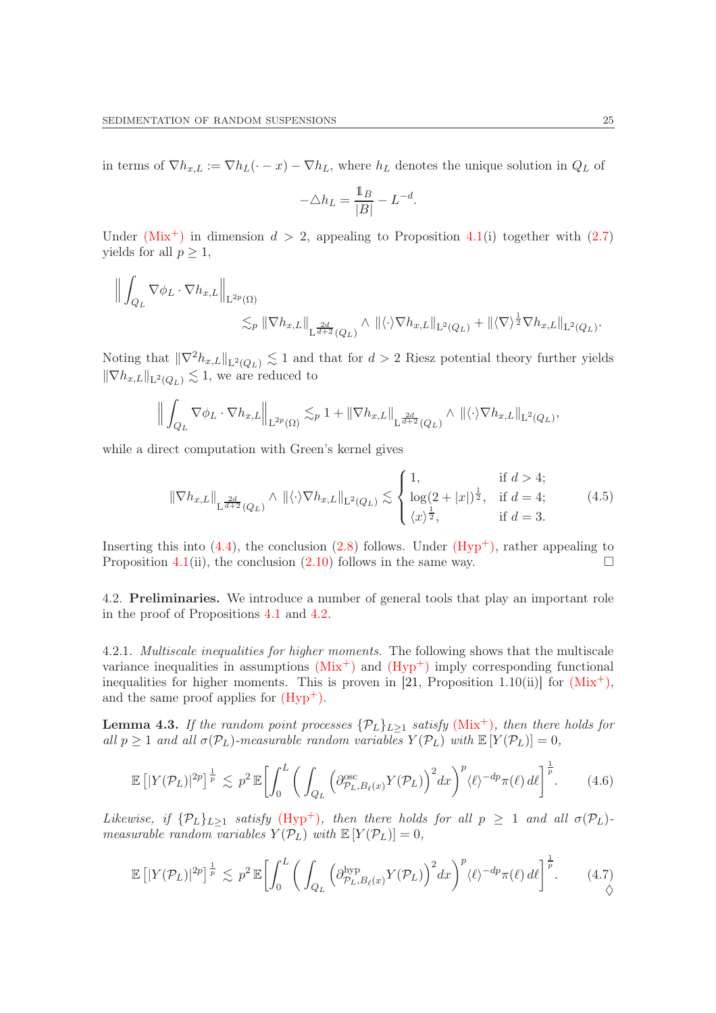in terms of  $\nabla h_{x,L} := \nabla h_L(\cdot - x) - \nabla h_L$ , where  $h_L$  denotes the unique solution in  $Q_L$  of

$$
-\triangle h_L = \frac{\mathbb{1}_B}{|B|} - L^{-d}.
$$

Under  $(Mix^+)$  $(Mix^+)$  in dimension  $d > 2$ , appealing to Proposition [4.1\(](#page-22-1)i) together with [\(2.7\)](#page-10-3) yields for all  $p \geq 1$ ,

$$
\begin{aligned}\n\left\| \int_{Q_L} \nabla \phi_L \cdot \nabla h_{x,L} \right\|_{\mathcal{L}^{2p}(\Omega)} \\
&\lesssim_p \|\nabla h_{x,L}\|_{\mathcal{L}^{\frac{2d}{d+2}}(Q_L)} \wedge \|\langle \cdot \rangle \nabla h_{x,L}\|_{\mathcal{L}^2(Q_L)} + \|\langle \nabla \rangle^{\frac{1}{2}} \nabla h_{x,L}\|_{\mathcal{L}^2(Q_L)}.\n\end{aligned}
$$

Noting that  $\|\nabla^2 h_{x,L}\|_{\mathcal{L}^2(Q_L)} \lesssim 1$  and that for  $d > 2$  Riesz potential theory further yields  $\|\nabla h_{x,L}\|_{\mathcal{L}^2(Q_L)} \lesssim 1$ , we are reduced to

$$
\Big\| \int_{Q_L} \nabla \phi_L \cdot \nabla h_{x,L} \Big\|_{\mathcal{L}^{2p}(\Omega)} \lesssim_p 1 + \|\nabla h_{x,L}\|_{\mathcal{L}^{\frac{2d}{d+2}}(Q_L)} \wedge \|\langle \cdot \rangle \nabla h_{x,L}\|_{\mathcal{L}^2(Q_L)},
$$

while a direct computation with Green's kernel gives

<span id="page-24-1"></span>
$$
\|\nabla h_{x,L}\|_{\mathcal{L}^{\frac{2d}{d+2}}(Q_L)} \wedge \|\langle \cdot \rangle \nabla h_{x,L}\|_{\mathcal{L}^2(Q_L)} \lesssim \begin{cases} 1, & \text{if } d > 4; \\ \log(2+|x|)^{\frac{1}{2}}, & \text{if } d = 4; \\ \langle x \rangle^{\frac{1}{2}}, & \text{if } d = 3. \end{cases} \tag{4.5}
$$

Inserting this into  $(4.4)$ , the conclusion  $(2.8)$  follows. Under  $(Hyp<sup>+</sup>)$ , rather appealing to Proposition [4.1\(](#page-22-1)ii), the conclusion [\(2.10\)](#page-11-3) follows in the same way.  $\Box$ 

4.2. Preliminaries. We introduce a number of general tools that play an important role in the proof of Propositions [4.1](#page-22-1) and [4.2.](#page-22-4)

4.2.1. Multiscale inequalities for higher moments. The following shows that the multiscale variance inequalities in assumptions  $(Mix^+)$  $(Mix^+)$  and  $(Hyp^+)$  imply corresponding functional inequalities for higher moments. This is proven in [\[21,](#page-51-1) Proposition 1.10(ii)] for  $(Mix^{+})$  $(Mix^{+})$ , and the same proof applies for  $(Hyp^+)$ .

**Lemma 4.3.** If the random point processes  $\{P_L\}_{L>1}$  satisfy [\(Mix](#page-8-0)<sup>+</sup>), then there holds for all  $p \ge 1$  and all  $\sigma(\mathcal{P}_L)$ -measurable random variables  $Y(\mathcal{P}_L)$  with  $\mathbb{E}[Y(\mathcal{P}_L)] = 0$ ,

<span id="page-24-0"></span>
$$
\mathbb{E}\left[|Y(\mathcal{P}_L)|^{2p}\right]^{\frac{1}{p}} \lesssim p^2 \mathbb{E}\left[\int_0^L \bigg(\int_{Q_L} \Big(\partial_{\mathcal{P}_L, B_\ell(x)}^{\mathrm{osc}} Y(\mathcal{P}_L)\bigg)^2 dx\bigg)^p \langle\ell\rangle^{-dp} \pi(\ell) d\ell\right]^{\frac{1}{p}}.\tag{4.6}
$$

Likewise, if  $\{\mathcal{P}_L\}_{L>1}$  satisfy  $(Hyp^+)$ , then there holds for all  $p \geq 1$  and all  $\sigma(\mathcal{P}_L)$ measurable random variables  $Y(\mathcal{P}_L)$  with  $\mathbb{E}[Y(\mathcal{P}_L)]=0$ ,

<span id="page-24-2"></span>
$$
\mathbb{E}\left[|Y(\mathcal{P}_L)|^{2p}\right]^{\frac{1}{p}} \lesssim p^2 \mathbb{E}\left[\int_0^L \bigg(\int_{Q_L} \Big(\partial_{\mathcal{P}_L, B_\ell(x)}^{\text{hyp}} Y(\mathcal{P}_L)\bigg)^2 dx\bigg)^p \langle\ell\rangle^{-dp} \pi(\ell) d\ell\right]^{\frac{1}{p}}.\tag{4.7}
$$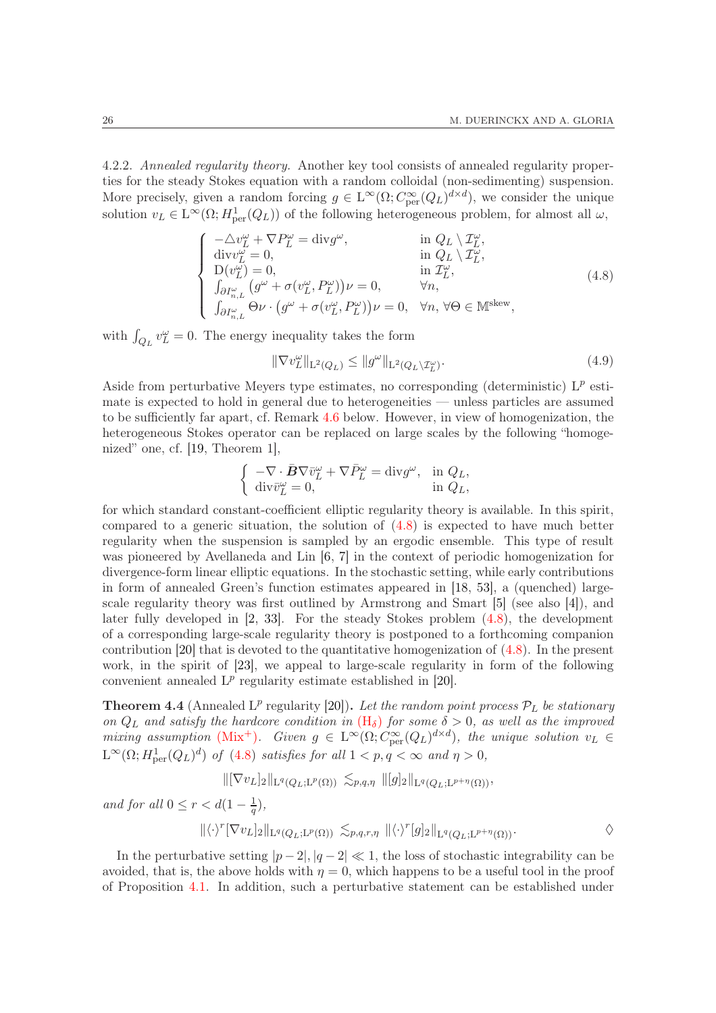<span id="page-25-0"></span>4.2.2. Annealed regularity theory. Another key tool consists of annealed regularity properties for the steady Stokes equation with a random colloidal (non-sedimenting) suspension. More precisely, given a random forcing  $g \in L^{\infty}(\Omega; C^{\infty}_{per}(Q_L)^{d \times d})$ , we consider the unique solution  $v_L \in L^{\infty}(\Omega; H^1_{per}(Q_L))$  of the following heterogeneous problem, for almost all  $\omega$ ,

<span id="page-25-1"></span>
$$
\begin{cases}\n-\Delta v_L^{\omega} + \nabla P_L^{\omega} = \text{div} g^{\omega}, & \text{in } Q_L \setminus \mathcal{I}_L^{\omega}, \\
\text{div} v_L^{\omega} = 0, & \text{in } Q_L \setminus \mathcal{I}_L^{\omega}, \\
D(v_L^{\omega}) = 0, & \text{in } \mathcal{I}_L^{\omega}, \\
\int_{\partial I_{n,L}^{\omega}} (g^{\omega} + \sigma(v_L^{\omega}, P_L^{\omega})) \nu = 0, & \forall n, \\
\int_{\partial I_{n,L}^{\omega}} \Theta \nu \cdot (g^{\omega} + \sigma(v_L^{\omega}, P_L^{\omega})) \nu = 0, & \forall n, \forall \Theta \in \mathbb{M}^{\text{skew}},\n\end{cases} (4.8)
$$

with  $\int_{Q_L} v_L^{\omega} = 0$ . The energy inequality takes the form

<span id="page-25-3"></span>
$$
\|\nabla v_L^{\omega}\|_{\mathcal{L}^2(Q_L)} \le \|g^{\omega}\|_{\mathcal{L}^2(Q_L \setminus \mathcal{I}_L^{\omega})}.\tag{4.9}
$$

Aside from perturbative Meyers type estimates, no corresponding (deterministic)  $L^p$  estimate is expected to hold in general due to heterogeneities — unless particles are assumed to be sufficiently far apart, cf. Remark [4.6](#page-26-0) below. However, in view of homogenization, the heterogeneous Stokes operator can be replaced on large scales by the following "homogenized" one, cf. [\[19,](#page-51-15) Theorem 1],

$$
\left\{\begin{array}{ll} -\nabla\cdot\bar{\pmb{B}}\nabla\bar{v}_L^\omega+\nabla\bar{P}_L^\omega=\textrm{div}g^\omega, & \textrm{in} \ \ Q_L, \\ \textrm{div}\bar{v}_L^\omega=0, & \textrm{in} \ \ Q_L, \end{array}\right.
$$

for which standard constant-coefficient elliptic regularity theory is available. In this spirit, compared to a generic situation, the solution of [\(4.8\)](#page-25-1) is expected to have much better regularity when the suspension is sampled by an ergodic ensemble. This type of result was pioneered by Avellaneda and Lin [\[6,](#page-50-14) [7\]](#page-50-15) in the context of periodic homogenization for divergence-form linear elliptic equations. In the stochastic setting, while early contributions in form of annealed Green's function estimates appeared in [\[18,](#page-50-13) [53\]](#page-52-14), a (quenched) largescale regularity theory was first outlined by Armstrong and Smart [\[5\]](#page-50-16) (see also [\[4\]](#page-50-17)), and later fully developed in [\[2,](#page-50-11) [33\]](#page-51-23). For the steady Stokes problem [\(4.8\)](#page-25-1), the development of a corresponding large-scale regularity theory is postponed to a forthcoming companion contribution [\[20\]](#page-51-7) that is devoted to the quantitative homogenization of [\(4.8\)](#page-25-1). In the present work, in the spirit of [\[23\]](#page-51-16), we appeal to large-scale regularity in form of the following convenient annealed  $L^p$  regularity estimate established in [\[20\]](#page-51-7).

<span id="page-25-2"></span>**Theorem 4.4** (Annealed L<sup>p</sup> regularity [\[20\]](#page-51-7)). Let the random point process  $\mathcal{P}_L$  be stationary on  $Q_L$  and satisfy the hardcore condition in  $(H_{\delta})$  $(H_{\delta})$  for some  $\delta > 0$ , as well as the improved mixing assumption [\(Mix](#page-8-0)<sup>+</sup>). Given  $g \in L^{\infty}(\Omega; C^{\infty}_{per}(Q_L)^{d \times d})$ , the unique solution  $v_L \in$  $L^{\infty}(\Omega; H_{\text{per}}^1(Q_L)^d)$  of [\(4.8\)](#page-25-1) satisfies for all  $1 < p, q < \infty$  and  $\eta > 0$ ,

 $\|[\nabla v_L]_2\|_{\mathcal{L}^q(Q_L;\mathcal{L}^p(\Omega))} \lesssim_{p,q,\eta} \|[g]_2\|_{\mathcal{L}^q(Q_L;\mathcal{L}^{p+\eta}(\Omega))},$ 

and for all  $0 \leq r < d(1 - \frac{1}{q}),$ 

$$
\|\langle \cdot \rangle^{r} [\nabla v_{L}]_2\|_{\mathcal{L}^q(Q_L; \mathcal{L}^p(\Omega))} \lesssim_{p,q,r,\eta} \|\langle \cdot \rangle^{r}[g]_2\|_{\mathcal{L}^q(Q_L; \mathcal{L}^{p+\eta}(\Omega))}.
$$

In the perturbative setting  $|p-2|, |q-2| \ll 1$ , the loss of stochastic integrability can be avoided, that is, the above holds with  $\eta = 0$ , which happens to be a useful tool in the proof of Proposition [4.1.](#page-22-1) In addition, such a perturbative statement can be established under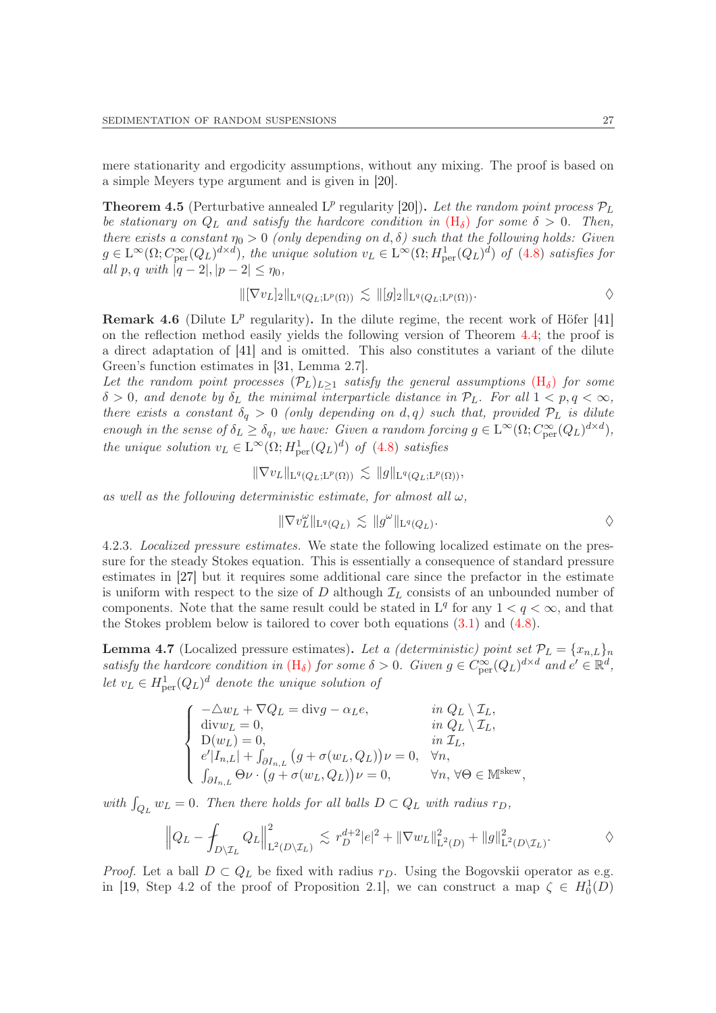mere stationarity and ergodicity assumptions, without any mixing. The proof is based on a simple Meyers type argument and is given in [\[20\]](#page-51-7).

<span id="page-26-2"></span>**Theorem 4.5** (Perturbative annealed L<sup>p</sup> regularity [\[20\]](#page-51-7)). Let the random point process  $\mathcal{P}_L$ be stationary on  $Q_L$  and satisfy the hardcore condition in  $(H_\delta)$  $(H_\delta)$  for some  $\delta > 0$ . Then, there exists a constant  $\eta_0 > 0$  (only depending on d,  $\delta$ ) such that the following holds: Given  $g \in \mathcal{L}^{\infty}(\Omega; C^{\infty}_{\text{per}}(Q_L)^{d \times d})$ , the unique solution  $v_L \in \mathcal{L}^{\infty}(\Omega; H^1_{\text{per}}(Q_L)^d)$  of  $(4.8)$  satisfies for all p, q with  $|q-2|, |p-2| \leq \eta_0$ ,

$$
\|[\nabla v_L]_2\|_{\mathcal{L}^q(Q_L;\mathcal{L}^p(\Omega))} \lesssim \|[g]_2\|_{\mathcal{L}^q(Q_L;\mathcal{L}^p(\Omega))}.
$$

<span id="page-26-0"></span>**Remark 4.6** (Dilute  $L^p$  regularity). In the dilute regime, the recent work of Höfer [\[41\]](#page-51-5) on the reflection method easily yields the following version of Theorem [4.4;](#page-25-2) the proof is a direct adaptation of [\[41\]](#page-51-5) and is omitted. This also constitutes a variant of the dilute Green's function estimates in [\[31,](#page-51-6) Lemma 2.7].

Let the random point processes  $(\mathcal{P}_L)_{L\geq 1}$  satisfy the general assumptions  $(H_\delta)$  $(H_\delta)$  for some  $\delta > 0$ , and denote by  $\delta_L$  the minimal interparticle distance in  $\mathcal{P}_L$ . For all  $1 < p, q < \infty$ , there exists a constant  $\delta_q > 0$  (only depending on d, q) such that, provided  $\mathcal{P}_L$  is dilute enough in the sense of  $\delta_L \geq \delta_q$ , we have: Given a random forcing  $g \in L^{\infty}(\Omega; C^{\infty}_{per}(Q_L)^{d \times d})$ , the unique solution  $v_L \in L^{\infty}(\Omega; H^1_{\text{per}}(Q_L)^d)$  of  $(4.8)$  satisfies

$$
\|\nabla v_L\|_{\mathcal{L}^q(Q_L;\mathcal{L}^p(\Omega))} \lesssim \|g\|_{\mathcal{L}^q(Q_L;\mathcal{L}^p(\Omega))},
$$

as well as the following deterministic estimate, for almost all  $\omega$ .

$$
\|\nabla v_L^{\omega}\|_{\mathcal{L}^q(Q_L)} \lesssim \|g^{\omega}\|_{\mathcal{L}^q(Q_L)}.
$$

4.2.3. Localized pressure estimates. We state the following localized estimate on the pressure for the steady Stokes equation. This is essentially a consequence of standard pressure estimates in [\[27\]](#page-51-14) but it requires some additional care since the prefactor in the estimate is uniform with respect to the size of  $D$  although  $\mathcal{I}_L$  consists of an unbounded number of components. Note that the same result could be stated in  $L^q$  for any  $1 < q < \infty$ , and that the Stokes problem below is tailored to cover both equations [\(3.1\)](#page-18-0) and [\(4.8\)](#page-25-1).

<span id="page-26-1"></span>**Lemma 4.7** (Localized pressure estimates). Let a *(deterministic) point set*  $\mathcal{P}_L = \{x_{n,L}\}_n$ satisfy the hardcore condition in  $(H_{\delta})$  $(H_{\delta})$  for some  $\delta > 0$ . Given  $g \in C^{\infty}_{per}(Q_L)^{d \times d}$  and  $e' \in \mathbb{R}^d$ , let  $v_L \in H^1_{\text{per}}(Q_L)^d$  denote the unique solution of

$$
\left\{\begin{array}{ll} -\triangle w_L+\nabla Q_L=\textrm{div} g-\alpha_L e, &\quad \text{ in } Q_L\setminus \mathcal{I}_L,\\ \textrm{div} w_L=0, &\quad \text{ in } Q_L\setminus \mathcal{I}_L,\\ \textrm{D}(w_L)=0, &\quad \text{ in } \mathcal{I}_L,\\ e'|I_{n,L}|+ \int_{\partial I_{n,L}}\big(g+\sigma(w_L,Q_L)\big)\nu=0, &\forall n,\\ \int_{\partial I_{n,L}}\Theta \nu\cdot\big(g+\sigma(w_L,Q_L)\big)\nu=0, &\forall n,\,\forall \Theta\in\mathbb{M}^{\textrm{skew}}, \end{array}\right.
$$

with  $\int_{Q_L} w_L = 0$ . Then there holds for all balls  $D \subset Q_L$  with radius  $r_D$ ,

$$
\left\|Q_L - \int_{D \setminus \mathcal{I}_L} Q_L\right\|_{\mathrm{L}^2(D \setminus \mathcal{I}_L)}^2 \lesssim r_D^{d+2} |e|^2 + \|\nabla w_L\|_{\mathrm{L}^2(D)}^2 + \|g\|_{\mathrm{L}^2(D \setminus \mathcal{I}_L)}^2.
$$

*Proof.* Let a ball  $D \subset Q_L$  be fixed with radius  $r_D$ . Using the Bogovskii operator as e.g. in [\[19,](#page-51-15) Step 4.2 of the proof of Proposition 2.1], we can construct a map  $\zeta \in H_0^1(D)$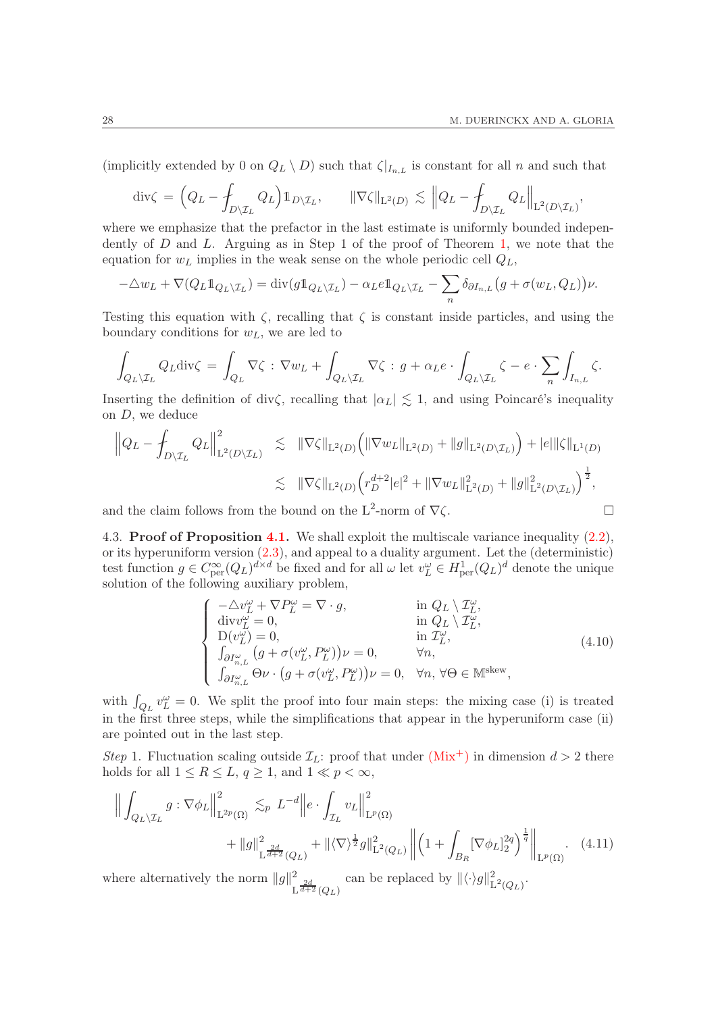(implicitly extended by 0 on  $Q_L \setminus D$ ) such that  $\zeta|_{I_{n,L}}$  is constant for all n and such that

$$
\operatorname{div}\zeta = \left(Q_L - \int_{D \setminus \mathcal{I}_L} Q_L\right) 1\!\!1_{D \setminus \mathcal{I}_L}, \qquad \|\nabla \zeta\|_{\mathrm{L}^2(D)} \lesssim \left\|Q_L - \int_{D \setminus \mathcal{I}_L} Q_L\right\|_{\mathrm{L}^2(D \setminus \mathcal{I}_L)},
$$

where we emphasize that the prefactor in the last estimate is uniformly bounded independently of  $D$  and  $L$ . Arguing as in Step 1 of the proof of Theorem [1,](#page-9-0) we note that the equation for  $w_L$  implies in the weak sense on the whole periodic cell  $Q_L$ ,

$$
-\triangle w_L + \nabla (Q_L \mathbb{1}_{Q_L \setminus \mathcal{I}_L}) = \text{div}(g \mathbb{1}_{Q_L \setminus \mathcal{I}_L}) - \alpha_L e \mathbb{1}_{Q_L \setminus \mathcal{I}_L} - \sum_n \delta_{\partial I_{n,L}} (g + \sigma(w_L, Q_L)) \nu.
$$

Testing this equation with  $\zeta$ , recalling that  $\zeta$  is constant inside particles, and using the boundary conditions for  $w<sub>L</sub>$ , we are led to

$$
\int_{Q_L\setminus\mathcal{I}_L} Q_L \text{div}\zeta = \int_{Q_L} \nabla\zeta : \nabla w_L + \int_{Q_L\setminus\mathcal{I}_L} \nabla\zeta : g + \alpha_L e \cdot \int_{Q_L\setminus\mathcal{I}_L} \zeta - e \cdot \sum_n \int_{I_{n,L}} \zeta.
$$

Inserting the definition of div $\zeta$ , recalling that  $|\alpha_L| \lesssim 1$ , and using Poincaré's inequality on D, we deduce

$$
\|Q_L - \int_{D \setminus \mathcal{I}_L} Q_L\|_{\mathrm{L}^2(D \setminus \mathcal{I}_L)}^2 \leq \| \nabla \zeta \|_{\mathrm{L}^2(D)} \left( \| \nabla w_L \|_{\mathrm{L}^2(D)} + \| g \|_{\mathrm{L}^2(D \setminus \mathcal{I}_L)} \right) + |e| \| \zeta \|_{\mathrm{L}^1(D)} \leq \| \nabla \zeta \|_{\mathrm{L}^2(D)} \left( r_D^{d+2} |e|^2 + \| \nabla w_L \|_{\mathrm{L}^2(D)}^2 + \| g \|_{\mathrm{L}^2(D \setminus \mathcal{I}_L)}^2 \right)^{\frac{1}{2}},
$$

and the claim follows from the bound on the L<sup>2</sup>-norm of  $\nabla \zeta$ .

4.3. Proof of Proposition [4.1.](#page-22-1) We shall exploit the multiscale variance inequality [\(2.2\)](#page-9-1), or its hyperuniform version [\(2.3\)](#page-9-2), and appeal to a duality argument. Let the (deterministic) test function  $g \in C_{per}^{\infty}(Q_L)^{d \times d}$  be fixed and for all  $\omega$  let  $v_L^{\omega} \in H_{per}^1(Q_L)^d$  denote the unique solution of the following auxiliary problem,

<span id="page-27-1"></span><span id="page-27-0"></span>
$$
\begin{cases}\n-\Delta v_L^{\omega} + \nabla P_L^{\omega} = \nabla \cdot g, & \text{in } Q_L \setminus \mathcal{I}_L^{\omega}, \\
\text{div} v_L^{\omega} = 0, & \text{in } Q_L \setminus \mathcal{I}_L^{\omega}, \\
D(v_L^{\omega}) = 0, & \text{in } \mathcal{I}_L^{\omega}, \\
\int_{\partial I_{n,L}^{\omega}} (g + \sigma(v_L^{\omega}, P_L^{\omega})) \nu = 0, & \forall n, \\
\int_{\partial I_{n,L}^{\omega}} \Theta \nu \cdot (g + \sigma(v_L^{\omega}, P_L^{\omega})) \nu = 0, & \forall n, \forall \Theta \in \mathbb{M}^{\text{skew}},\n\end{cases} (4.10)
$$

with  $\int_{Q_L} v_L^{\omega} = 0$ . We split the proof into four main steps: the mixing case (i) is treated in the first three steps, while the simplifications that appear in the hyperuniform case (ii) are pointed out in the last step.

Step 1. Fluctuation scaling outside  $\mathcal{I}_L$ : proof that under  $(Mix^+)$  $(Mix^+)$  in dimension  $d > 2$  there holds for all  $1 \leq R \leq L$ ,  $q \geq 1$ , and  $1 \ll p < \infty$ ,

$$
\left\| \int_{Q_L \setminus \mathcal{I}_L} g : \nabla \phi_L \right\|_{\mathcal{L}^{2p}(\Omega)}^2 \lesssim_p L^{-d} \left\| e \cdot \int_{\mathcal{I}_L} v_L \right\|_{\mathcal{L}^p(\Omega)}^2 + \|g\|_{\mathcal{L}^{2d}(\mathcal{Q}_L)}^2 + \| \langle \nabla \rangle^{\frac{1}{2}} g \|_{\mathcal{L}^2(\mathcal{Q}_L)}^2 \left\| \left( 1 + \int_{B_R} [\nabla \phi_L]_2^{2q} \right)^{\frac{1}{q}} \right\|_{\mathcal{L}^p(\Omega)} . \tag{4.11}
$$

where alternatively the norm  $||g||^2$  $\mathrm{L}^{\frac{2d}{d+2}}(Q_L)$ can be replaced by  $\|\langle \cdot \rangle g\|_{\mathcal{I}}^2$  $\operatorname{L}^2(Q_L)$ .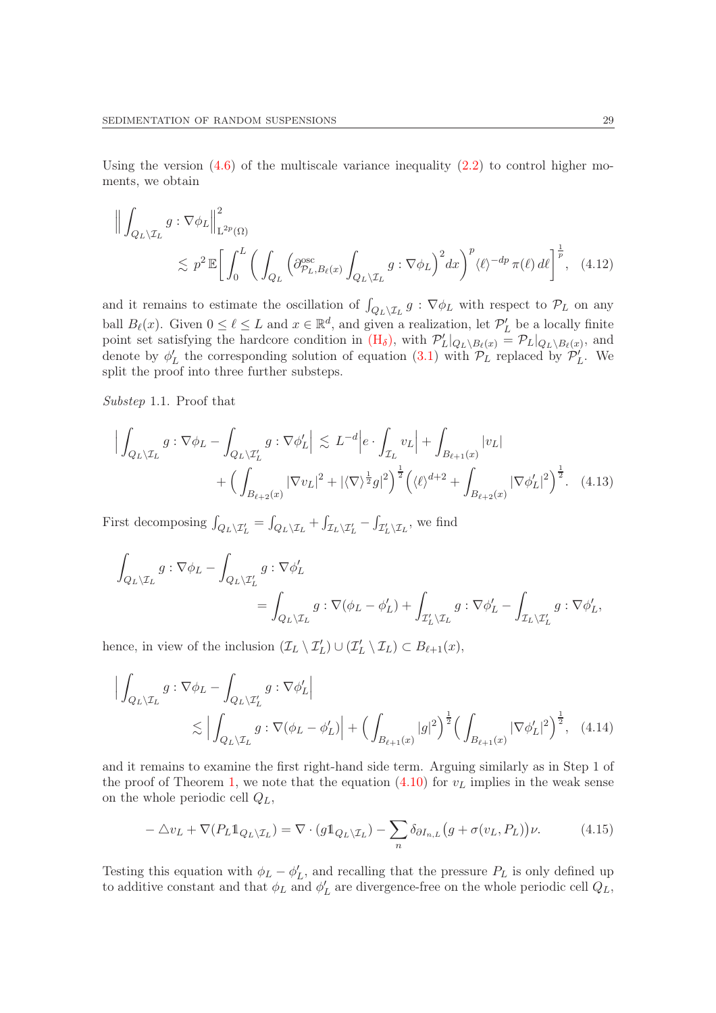Using the version  $(4.6)$  of the multiscale variance inequality  $(2.2)$  to control higher moments, we obtain

<span id="page-28-2"></span>
$$
\left\| \int_{Q_L \setminus \mathcal{I}_L} g : \nabla \phi_L \right\|_{\mathcal{L}^{2p}(\Omega)}^2
$$
  
\$\lesssim p^2 \mathbb{E} \Big[ \int\_0^L \bigg( \int\_{Q\_L} \bigg( \partial\_{\mathcal{P}\_L, B\_\ell(x)}^{\mathrm{osc}} \int\_{Q\_L \setminus \mathcal{I}\_L} g : \nabla \phi\_L \bigg)^2 dx \bigg)^p \langle \ell \rangle^{-dp} \pi(\ell) d\ell \Big]^{\frac{1}{p}}, \quad (4.12)\$

and it remains to estimate the oscillation of  $\int_{Q_L\setminus\mathcal{I}_L} g : \nabla \phi_L$  with respect to  $\mathcal{P}_L$  on any ball  $B_{\ell}(x)$ . Given  $0 \leq \ell \leq L$  and  $x \in \mathbb{R}^d$ , and given a realization, let  $\mathcal{P}'_L$  be a locally finite point set satisfying the hardcore condition in  $(H_{\delta})$  $(H_{\delta})$ , with  $\mathcal{P}'_L|_{Q_L\setminus B_{\ell}(x)} = \mathcal{P}_L|_{Q_L\setminus B_{\ell}(x)}$ , and denote by  $\phi'_{L}$  the corresponding solution of equation [\(3.1\)](#page-18-0) with  $\mathcal{P}_{L}$  replaced by  $\mathcal{P}'_{L}$ . We split the proof into three further substeps.

Substep 1.1. Proof that

<span id="page-28-1"></span>
$$
\Big| \int_{Q_L \setminus \mathcal{I}_L} g : \nabla \phi_L - \int_{Q_L \setminus \mathcal{I}'_L} g : \nabla \phi'_L \Big| \lesssim L^{-d} \Big| e \cdot \int_{\mathcal{I}_L} v_L \Big| + \int_{B_{\ell+1}(x)} |v_L| + \Big( \int_{B_{\ell+2}(x)} |\nabla v_L|^2 + |\langle \nabla \rangle^{\frac{1}{2}} g|^2 \Big)^{\frac{1}{2}} \Big( \langle \ell \rangle^{d+2} + \int_{B_{\ell+2}(x)} |\nabla \phi'_L|^2 \Big)^{\frac{1}{2}}. \tag{4.13}
$$

First decomposing  $\int_{Q_L \setminus \mathcal{I}'_L} = \int_{Q_L \setminus \mathcal{I}_L} + \int_{\mathcal{I}_L \setminus \mathcal{I}'_L} - \int_{\mathcal{I}'_L \setminus \mathcal{I}_L}$ , we find

$$
\int_{Q_L \setminus \mathcal{I}_L} g : \nabla \phi_L - \int_{Q_L \setminus \mathcal{I}'_L} g : \nabla \phi'_L
$$
\n
$$
= \int_{Q_L \setminus \mathcal{I}_L} g : \nabla (\phi_L - \phi'_L) + \int_{\mathcal{I}'_L \setminus \mathcal{I}_L} g : \nabla \phi'_L - \int_{\mathcal{I}_L \setminus \mathcal{I}'_L} g : \nabla \phi'_L,
$$

hence, in view of the inclusion  $(\mathcal{I}_L \setminus \mathcal{I}'_L) \cup (\mathcal{I}'_L \setminus \mathcal{I}_L) \subset B_{\ell+1}(x)$ ,

$$
\left| \int_{Q_L \setminus \mathcal{I}_L} g : \nabla \phi_L - \int_{Q_L \setminus \mathcal{I}'_L} g : \nabla \phi'_L \right|
$$
  
\$\lesssim \left| \int\_{Q\_L \setminus \mathcal{I}\_L} g : \nabla (\phi\_L - \phi'\_L) \right| + \left( \int\_{B\_{\ell+1}(x)} |g|^2 \right)^{\frac{1}{2}} \left( \int\_{B\_{\ell+1}(x)} |\nabla \phi'\_L|^2 \right)^{\frac{1}{2}}, \quad (4.14)\$

and it remains to examine the first right-hand side term. Arguing similarly as in Step 1 of the proof of Theorem [1,](#page-9-0) we note that the equation  $(4.10)$  for  $v<sub>L</sub>$  implies in the weak sense on the whole periodic cell  $Q_L$ ,

<span id="page-28-3"></span><span id="page-28-0"></span>
$$
-\triangle v_L + \nabla (P_L \mathbb{1}_{Q_L \setminus \mathcal{I}_L}) = \nabla \cdot (g \mathbb{1}_{Q_L \setminus \mathcal{I}_L}) - \sum_n \delta_{\partial I_{n,L}} (g + \sigma(v_L, P_L)) \nu. \tag{4.15}
$$

Testing this equation with  $\phi_L - \phi'_L$ , and recalling that the pressure  $P_L$  is only defined up to additive constant and that  $\phi_L$  and  $\phi'_L$  are divergence-free on the whole periodic cell  $Q_L$ ,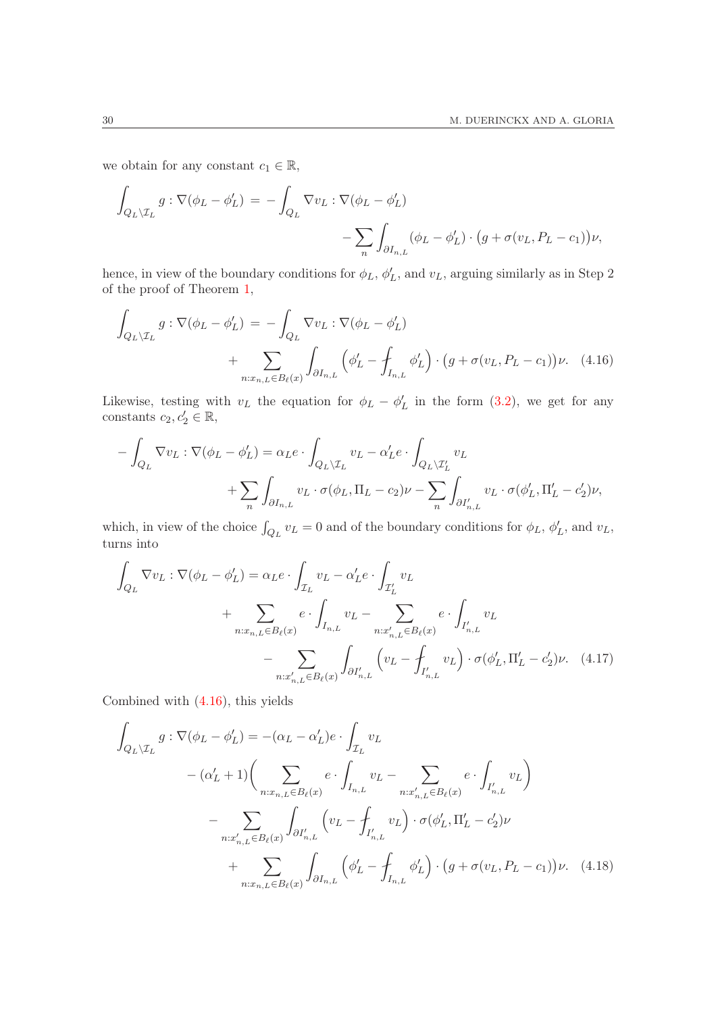we obtain for any constant  $c_1 \in \mathbb{R}$ ,

$$
\int_{Q_L \setminus \mathcal{I}_L} g : \nabla(\phi_L - \phi'_L) = - \int_{Q_L} \nabla v_L : \nabla(\phi_L - \phi'_L) - \sum_n \int_{\partial I_{n,L}} (\phi_L - \phi'_L) \cdot (g + \sigma(v_L, P_L - c_1)) \nu,
$$

hence, in view of the boundary conditions for  $\phi_L$ ,  $\phi'_L$ , and  $v_L$ , arguing similarly as in Step 2 of the proof of Theorem [1,](#page-9-0)

<span id="page-29-0"></span>
$$
\int_{Q_L \setminus \mathcal{I}_L} g : \nabla(\phi_L - \phi'_L) = - \int_{Q_L} \nabla v_L : \nabla(\phi_L - \phi'_L) \n+ \sum_{n: x_{n,L} \in B_\ell(x)} \int_{\partial I_{n,L}} \left( \phi'_L - \int_{I_{n,L}} \phi'_L \right) \cdot \left( g + \sigma(v_L, P_L - c_1) \right) \nu. \tag{4.16}
$$

Likewise, testing with  $v_L$  the equation for  $\phi_L - \phi'_L$  in the form [\(3.2\)](#page-18-1), we get for any constants  $c_2, c'_2 \in \mathbb{R}$ ,

$$
-\int_{Q_L} \nabla v_L : \nabla (\phi_L - \phi'_L) = \alpha_L e \cdot \int_{Q_L \setminus \mathcal{I}_L} v_L - \alpha'_L e \cdot \int_{Q_L \setminus \mathcal{I}'_L} v_L + \sum_n \int_{\partial I_{n,L}} v_L \cdot \sigma(\phi_L, \Pi_L - c_2) \nu - \sum_n \int_{\partial I'_{n,L}} v_L \cdot \sigma(\phi'_L, \Pi'_L - c'_2) \nu,
$$

which, in view of the choice  $\int_{Q_L} v_L = 0$  and of the boundary conditions for  $\phi_L$ ,  $\phi'_L$ , and  $v_L$ , turns into

$$
\int_{Q_L} \nabla v_L : \nabla (\phi_L - \phi'_L) = \alpha_L e \cdot \int_{\mathcal{I}_L} v_L - \alpha'_L e \cdot \int_{\mathcal{I}'_L} v_L
$$
\n
$$
+ \sum_{n: x_{n,L} \in B_\ell(x)} e \cdot \int_{I_{n,L}} v_L - \sum_{n: x'_{n,L} \in B_\ell(x)} e \cdot \int_{I'_{n,L}} v_L
$$
\n
$$
- \sum_{n: x'_{n,L} \in B_\ell(x)} \int_{\partial I'_{n,L}} \left( v_L - \int_{I'_{n,L}} v_L \right) \cdot \sigma(\phi'_L, \Pi'_L - c'_2) \nu. \tag{4.17}
$$

Combined with [\(4.16\)](#page-29-0), this yields

<span id="page-29-2"></span><span id="page-29-1"></span>
$$
\int_{Q_L \setminus \mathcal{I}_L} g : \nabla (\phi_L - \phi'_L) = -(\alpha_L - \alpha'_L) e \cdot \int_{\mathcal{I}_L} v_L \n- (\alpha'_L + 1) \Big( \sum_{n: x_{n,L} \in B_\ell(x)} e \cdot \int_{I_{n,L}} v_L - \sum_{n: x'_{n,L} \in B_\ell(x)} e \cdot \int_{I'_{n,L}} v_L \Big) \n- \sum_{n: x'_{n,L} \in B_\ell(x)} \int_{\partial I'_{n,L}} \Big( v_L - \int_{I'_{n,L}} v_L \Big) \cdot \sigma (\phi'_L, \Pi'_L - c'_2) \nu \n+ \sum_{n: x_{n,L} \in B_\ell(x)} \int_{\partial I_{n,L}} \Big( \phi'_L - \int_{I_{n,L}} \phi'_L \Big) \cdot \Big( g + \sigma (v_L, P_L - c_1) \Big) \nu. \tag{4.18}
$$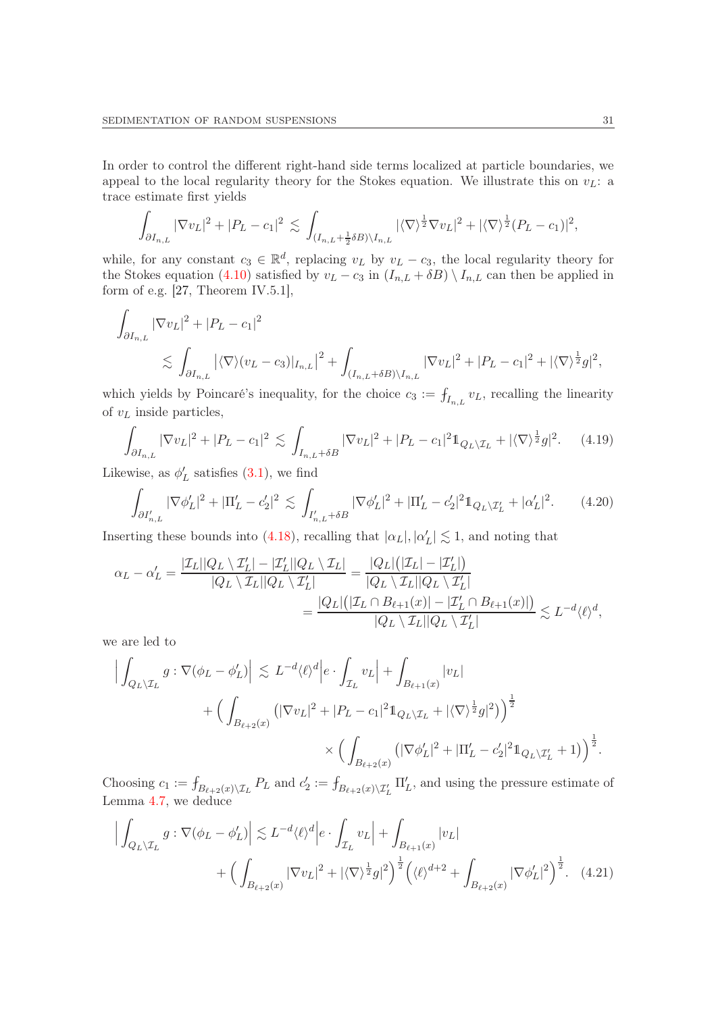In order to control the different right-hand side terms localized at particle boundaries, we appeal to the local regularity theory for the Stokes equation. We illustrate this on  $v_L$ : a trace estimate first yields

$$
\int_{\partial I_{n,L}} |\nabla v_L|^2 + |P_L - c_1|^2 \lesssim \int_{(I_{n,L} + \frac{1}{2}\delta B) \setminus I_{n,L}} |\langle \nabla \rangle^{\frac{1}{2}} \nabla v_L|^2 + |\langle \nabla \rangle^{\frac{1}{2}} (P_L - c_1)|^2,
$$

while, for any constant  $c_3 \in \mathbb{R}^d$ , replacing  $v_L$  by  $v_L - c_3$ , the local regularity theory for the Stokes equation [\(4.10\)](#page-27-0) satisfied by  $v_L - c_3$  in  $(I_{n,L} + \delta B) \setminus I_{n,L}$  can then be applied in form of e.g. [\[27,](#page-51-14) Theorem IV.5.1],

$$
\int_{\partial I_{n,L}} |\nabla v_L|^2 + |P_L - c_1|^2
$$
\n
$$
\lesssim \int_{\partial I_{n,L}} |\langle \nabla \rangle (v_L - c_3)|_{I_{n,L}}|^2 + \int_{(I_{n,L} + \delta B) \setminus I_{n,L}} |\nabla v_L|^2 + |P_L - c_1|^2 + |\langle \nabla \rangle^{\frac{1}{2}} g|^2,
$$

which yields by Poincaré's inequality, for the choice  $c_3 := \int_{I_{n,L}} v_L$ , recalling the linearity of  $v_L$  inside particles,

<span id="page-30-1"></span>
$$
\int_{\partial I_{n,L}} |\nabla v_L|^2 + |P_L - c_1|^2 \lesssim \int_{I_{n,L} + \delta B} |\nabla v_L|^2 + |P_L - c_1|^2 \mathbb{1}_{Q_L \setminus \mathcal{I}_L} + |\langle \nabla \rangle^{\frac{1}{2}} g|^2. \tag{4.19}
$$

Likewise, as  $\phi'_{L}$  satisfies  $(3.1)$ , we find

<span id="page-30-0"></span>
$$
\int_{\partial I'_{n,L}} |\nabla \phi'_L|^2 + |\Pi'_L - c'_2|^2 \lesssim \int_{I'_{n,L} + \delta B} |\nabla \phi'_L|^2 + |\Pi'_L - c'_2|^2 \mathbb{1}_{Q_L \setminus \mathcal{I}'_L} + |\alpha'_L|^2. \tag{4.20}
$$

Inserting these bounds into [\(4.18\)](#page-29-1), recalling that  $|\alpha_L|, |\alpha'_L| \lesssim 1$ , and noting that

$$
\begin{aligned} \alpha_L - \alpha'_L &= \frac{|\mathcal{I}_L||Q_L \setminus \mathcal{I}'_L| - |\mathcal{I}'_L||Q_L \setminus \mathcal{I}_L|}{|Q_L \setminus \mathcal{I}_L||Q_L \setminus \mathcal{I}'_L|} = \frac{|Q_L|\big(|\mathcal{I}_L| - |\mathcal{I}'_L|\big)}{|Q_L \setminus \mathcal{I}_L||Q_L \setminus \mathcal{I}'_L|} \\ &= \frac{|Q_L|\big(|\mathcal{I}_L \cap B_{\ell+1}(x)| - |\mathcal{I}'_L \cap B_{\ell+1}(x)|\big)}{|Q_L \setminus \mathcal{I}_L||Q_L \setminus \mathcal{I}'_L|} \lesssim L^{-d} \langle \ell \rangle^d, \end{aligned}
$$

we are led to

$$
\begin{split} \Big|\int_{Q_L\backslash \mathcal{I}_L} g:\nabla (\phi_L-\phi'_L)\Big|&\lesssim L^{-d}\langle \ell\rangle^d \Big|e\cdot \int_{\mathcal{I}_L} v_L\Big|+\int_{B_{\ell+1}(x)} |v_L| \\ &\qquad \qquad + \Big(\int_{B_{\ell+2}(x)} \left(|\nabla v_L|^2+|P_L-c_1|^2 1\!\!1_{Q_L\backslash \mathcal{I}_L}+|\langle \nabla \rangle^{\frac{1}{2}}g|^2\right)\Big)^{\frac{1}{2}} \\ &\qquad \qquad \times \Big(\int_{B_{\ell+2}(x)} \left(|\nabla \phi'_L|^2+|\Pi'_L-c'_2|^2 1\!\!1_{Q_L\backslash \mathcal{I}'_L}+1\right)\Big)^{\frac{1}{2}}. \end{split}
$$

Choosing  $c_1 := \int_{B_{\ell+2}(x)\setminus\mathcal{I}_L} P_L$  and  $c_2' := \int_{B_{\ell+2}(x)\setminus\mathcal{I}'_L} \Pi'_L$ , and using the pressure estimate of Lemma [4.7,](#page-26-1) we deduce

<span id="page-30-2"></span>
$$
\left| \int_{Q_L \setminus \mathcal{I}_L} g : \nabla (\phi_L - \phi'_L) \right| \lesssim L^{-d} \langle \ell \rangle^d \left| e \cdot \int_{\mathcal{I}_L} v_L \right| + \int_{B_{\ell+1}(x)} |v_L| + \left( \int_{B_{\ell+2}(x)} |\nabla v_L|^2 + |\langle \nabla \rangle^{\frac{1}{2}} g|^2 \right)^{\frac{1}{2}} \left( \langle \ell \rangle^{d+2} + \int_{B_{\ell+2}(x)} |\nabla \phi'_L|^2 \right)^{\frac{1}{2}}.
$$
 (4.21)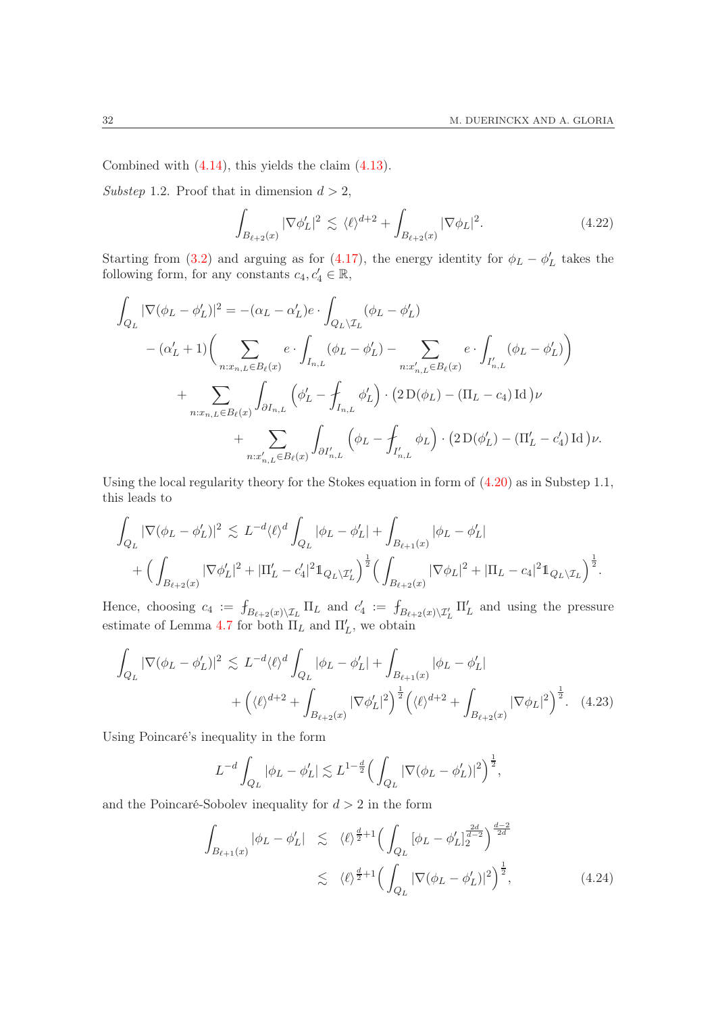Combined with [\(4.14\)](#page-28-0), this yields the claim [\(4.13\)](#page-28-1).

Substep 1.2. Proof that in dimension  $d > 2$ ,

<span id="page-31-0"></span>
$$
\int_{B_{\ell+2}(x)} |\nabla \phi_L'|^2 \lesssim \langle \ell \rangle^{d+2} + \int_{B_{\ell+2}(x)} |\nabla \phi_L|^2. \tag{4.22}
$$

Starting from [\(3.2\)](#page-18-1) and arguing as for [\(4.17\)](#page-29-2), the energy identity for  $\phi_L - \phi'_L$  takes the following form, for any constants  $c_4, c'_4 \in \mathbb{R}$ ,

$$
\int_{Q_L} |\nabla(\phi_L - \phi'_L)|^2 = -(\alpha_L - \alpha'_L)e \cdot \int_{Q_L \setminus \mathcal{I}_L} (\phi_L - \phi'_L) \n- (\alpha'_L + 1) \Biggl( \sum_{n:x_{n,L} \in B_{\ell}(x)} e \cdot \int_{I_{n,L}} (\phi_L - \phi'_L) - \sum_{n:x'_{n,L} \in B_{\ell}(x)} e \cdot \int_{I'_{n,L}} (\phi_L - \phi'_L) \Biggr) \n+ \sum_{n:x_{n,L} \in B_{\ell}(x)} \int_{\partial I_{n,L}} (\phi'_L - \int_{I_{n,L}} \phi'_L) \cdot (2 \operatorname{D}(\phi_L) - (\Pi_L - c_4) \operatorname{Id}) \nu \n+ \sum_{n:x'_{n,L} \in B_{\ell}(x)} \int_{\partial I'_{n,L}} (\phi_L - \int_{I'_{n,L}} \phi_L) \cdot (2 \operatorname{D}(\phi'_L) - (\Pi'_L - c'_4) \operatorname{Id}) \nu.
$$

Using the local regularity theory for the Stokes equation in form of [\(4.20\)](#page-30-0) as in Substep 1.1, this leads to

$$
\int_{Q_L} |\nabla (\phi_L - \phi'_L)|^2 \lesssim L^{-d} \langle \ell \rangle^d \int_{Q_L} |\phi_L - \phi'_L| + \int_{B_{\ell+1}(x)} |\phi_L - \phi'_L| + \Big( \int_{B_{\ell+2}(x)} |\nabla \phi'_L|^2 + |\Pi'_L - c'_4|^2 1_{Q_L \setminus \mathcal{I}'_L} \Big)^{\frac{1}{2}} \Big( \int_{B_{\ell+2}(x)} |\nabla \phi_L|^2 + |\Pi_L - c_4|^2 1_{Q_L \setminus \mathcal{I}_L} \Big)^{\frac{1}{2}}.
$$

Hence, choosing  $c_4 := f_{B_{\ell+2}(x)\setminus \mathcal{I}_L} \Pi_L$  and  $c'_4 := f_{B_{\ell+2}(x)\setminus \mathcal{I}'_L} \Pi'_L$  and using the pressure estimate of Lemma [4.7](#page-26-1) for both  $\Pi_L$  and  $\Pi'_L$ , we obtain

$$
\int_{Q_L} |\nabla(\phi_L - \phi'_L)|^2 \lesssim L^{-d} \langle \ell \rangle^d \int_{Q_L} |\phi_L - \phi'_L| + \int_{B_{\ell+1}(x)} |\phi_L - \phi'_L| + \left( \langle \ell \rangle^{d+2} + \int_{B_{\ell+2}(x)} |\nabla \phi'_L|^2 \right)^{\frac{1}{2}} \left( \langle \ell \rangle^{d+2} + \int_{B_{\ell+2}(x)} |\nabla \phi_L|^2 \right)^{\frac{1}{2}}.
$$
 (4.23)

Using Poincaré's inequality in the form

<span id="page-31-1"></span>
$$
L^{-d} \int_{Q_L} |\phi_L - \phi'_L| \lesssim L^{1-\frac{d}{2}} \Big( \int_{Q_L} |\nabla (\phi_L - \phi'_L)|^2 \Big)^{\frac{1}{2}},
$$

and the Poincaré-Sobolev inequality for  $d > 2$  in the form

<span id="page-31-2"></span>
$$
\int_{B_{\ell+1}(x)} |\phi_L - \phi'_L| \leq \langle \ell \rangle^{\frac{d}{2}+1} \Big( \int_{Q_L} [\phi_L - \phi'_L]_2^{\frac{2d}{d-2}} \Big)^{\frac{d-2}{2d}} \leq \langle \ell \rangle^{\frac{d}{2}+1} \Big( \int_{Q_L} |\nabla(\phi_L - \phi'_L)|^2 \Big)^{\frac{1}{2}}, \tag{4.24}
$$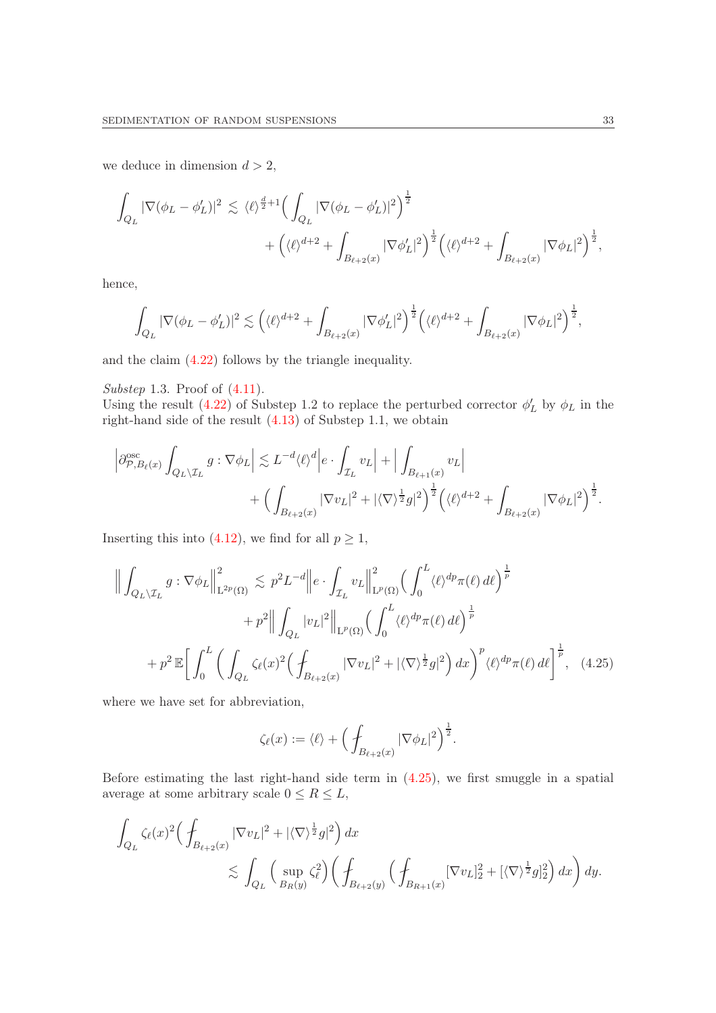we deduce in dimension  $d > 2$ ,

$$
\int_{Q_L} |\nabla(\phi_L - \phi'_L)|^2 \lesssim \langle \ell \rangle^{\frac{d}{2}+1} \Big( \int_{Q_L} |\nabla(\phi_L - \phi'_L)|^2 \Big)^{\frac{1}{2}} + \Big( \langle \ell \rangle^{d+2} + \int_{B_{\ell+2}(x)} |\nabla \phi'_L|^2 \Big)^{\frac{1}{2}} \Big( \langle \ell \rangle^{d+2} + \int_{B_{\ell+2}(x)} |\nabla \phi_L|^2 \Big)^{\frac{1}{2}},
$$

hence,

$$
\int_{Q_L} |\nabla (\phi_L - \phi'_L)|^2 \lesssim \left( \langle \ell \rangle^{d+2} + \int_{B_{\ell+2}(x)} |\nabla \phi'_L|^2 \right)^{\frac{1}{2}} \left( \langle \ell \rangle^{d+2} + \int_{B_{\ell+2}(x)} |\nabla \phi_L|^2 \right)^{\frac{1}{2}},
$$

and the claim [\(4.22\)](#page-31-0) follows by the triangle inequality.

Substep 1.3. Proof of  $(4.11)$ .

Using the result [\(4.22\)](#page-31-0) of Substep 1.2 to replace the perturbed corrector  $\phi'_{L}$  by  $\phi_{L}$  in the right-hand side of the result [\(4.13\)](#page-28-1) of Substep 1.1, we obtain

$$
\left| \partial^{\rm osc}_{\mathcal{P},B_{\ell}(x)} \int_{Q_L \setminus \mathcal{I}_L} g : \nabla \phi_L \right| \lesssim L^{-d} \langle \ell \rangle^d \Big| e \cdot \int_{\mathcal{I}_L} v_L \Big| + \Big| \int_{B_{\ell+1}(x)} v_L \Big|
$$
  
+ 
$$
\Big( \int_{B_{\ell+2}(x)} |\nabla v_L|^2 + |\langle \nabla \rangle^{\frac{1}{2}} g|^2 \Big)^{\frac{1}{2}} \Big( \langle \ell \rangle^{d+2} + \int_{B_{\ell+2}(x)} |\nabla \phi_L|^2 \Big)^{\frac{1}{2}}.
$$

Inserting this into [\(4.12\)](#page-28-2), we find for all  $p \geq 1$ ,

$$
\left\| \int_{Q_L \setminus \mathcal{I}_L} g : \nabla \phi_L \right\|_{\mathcal{L}^{2p}(\Omega)}^2 \lesssim p^2 L^{-d} \left\| e \cdot \int_{\mathcal{I}_L} v_L \right\|_{\mathcal{L}^p(\Omega)}^2 \left( \int_0^L \langle \ell \rangle^{dp} \pi(\ell) d\ell \right)^{\frac{1}{p}} + p^2 \left\| \int_{Q_L} |v_L|^2 \right\|_{\mathcal{L}^p(\Omega)} \left( \int_0^L \langle \ell \rangle^{dp} \pi(\ell) d\ell \right)^{\frac{1}{p}} + p^2 \mathbb{E} \left[ \int_0^L \left( \int_{Q_L} \zeta_{\ell}(x)^2 \left( \int_{B_{\ell+2}(x)} |\nabla v_L|^2 + |\langle \nabla \rangle^{\frac{1}{2}} g|^2 \right) dx \right)^p \langle \ell \rangle^{dp} \pi(\ell) d\ell \right]^{\frac{1}{p}}, \quad (4.25)
$$

where we have set for abbreviation,

<span id="page-32-0"></span>
$$
\zeta_{\ell}(x) := \langle \ell \rangle + \Big(\int_{B_{\ell+2}(x)} |\nabla \phi_L|^2\Big)^{\frac{1}{2}}.
$$

Before estimating the last right-hand side term in  $(4.25)$ , we first smuggle in a spatial average at some arbitrary scale  $0 \leq R \leq L$ ,

$$
\int_{Q_L} \zeta_{\ell}(x)^2 \Big( \int_{B_{\ell+2}(x)} |\nabla v_L|^2 + |\langle \nabla \rangle^{\frac{1}{2}} g|^2 \Big) dx \n\lesssim \int_{Q_L} \Big( \sup_{B_R(y)} \zeta_{\ell}^2 \Big) \Big( \int_{B_{\ell+2}(y)} \Big( \int_{B_{R+1}(x)} [\nabla v_L]_2^2 + [\langle \nabla \rangle^{\frac{1}{2}} g]_2^2 \Big) dx \Big) dy.
$$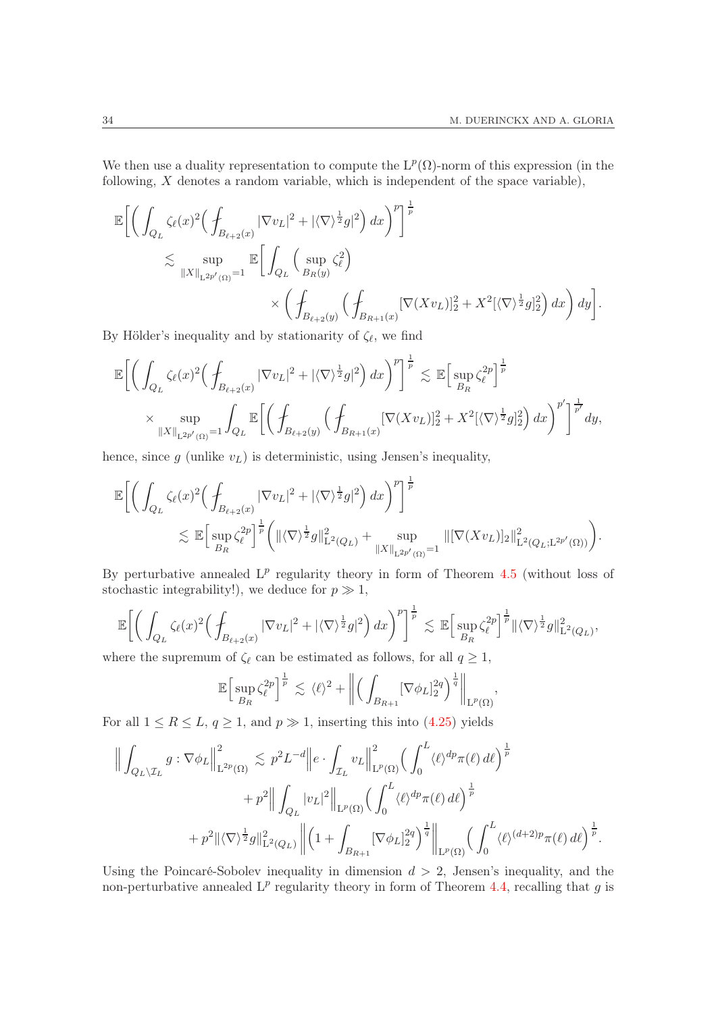We then use a duality representation to compute the  $L^p(\Omega)$ -norm of this expression (in the following, X denotes a random variable, which is independent of the space variable),

$$
\mathbb{E}\bigg[\bigg(\int_{Q_L} \zeta_{\ell}(x)^2 \Big(\int_{B_{\ell+2}(x)} |\nabla v_L|^2 + |\langle \nabla \rangle^{\frac{1}{2}} g|^2\Big) dx\bigg)^p\bigg]^{\frac{1}{p}}\bigg]
$$
  
\$\lesssim\$ 
$$
\sup_{\|X\|_{\mathcal{L}^{2p'}(\Omega)}=1} \mathbb{E}\bigg[\int_{Q_L} \Big(\sup_{B_R(y)} \zeta_{\ell}^2\Big) \times \bigg(\int_{B_{R+2}(y)} [\nabla (Xv_L)]_2^2 + X^2 [\langle \nabla \rangle^{\frac{1}{2}} g]_2^2\bigg) dx\bigg) dy\bigg].
$$

By Hölder's inequality and by stationarity of  $\zeta_{\ell}$ , we find

$$
\mathbb{E}\bigg[\bigg(\int_{Q_L} \zeta_{\ell}(x)^2 \Big(\int_{B_{\ell+2}(x)} |\nabla v_L|^2 + |\langle \nabla \rangle^{\frac{1}{2}} g|^2\bigg) dx\bigg)^p\bigg]^{\frac{1}{p}} \lesssim \mathbb{E}\bigg[\sup_{B_R} \zeta_{\ell}^{2p}\bigg]^{\frac{1}{p}} \\
\times \sup_{\|X\|_{\mathbb{L}^{2p'}(\Omega)}=1} \int_{Q_L} \mathbb{E}\bigg[\bigg(\int_{B_{\ell+2}(y)} \Big(\int_{B_{R+1}(x)} [\nabla (Xv_L)]_2^2 + X^2 [\langle \nabla \rangle^{\frac{1}{2}} g]_2^2\bigg) dx\bigg)^{p'}\bigg]^{\frac{1}{p'}} dy,
$$

hence, since  $g$  (unlike  $v<sub>L</sub>$ ) is deterministic, using Jensen's inequality,

$$
\mathbb{E}\bigg[\bigg(\int_{Q_L} \zeta_{\ell}(x)^2 \Big(\int_{B_{\ell+2}(x)} |\nabla v_L|^2 + |\langle \nabla \rangle^{\frac{1}{2}} g|^2\Big) dx\bigg)^p\bigg]^{\frac{1}{p}}\n\n\lesssim \mathbb{E}\Big[\sup_{B_R} \zeta_{\ell}^{2p}\Big]^{\frac{1}{p}} \bigg(\|\langle \nabla \rangle^{\frac{1}{2}} g\|_{\mathcal{L}^2(Q_L)}^2 + \sup_{\|X\|_{\mathcal{L}^{2p'}(\Omega)}=1} \|[\nabla (Xv_L)]_2\|_{\mathcal{L}^2(Q_L; \mathcal{L}^{2p'}(\Omega))}^2\bigg).
$$

By perturbative annealed  $L^p$  regularity theory in form of Theorem [4.5](#page-26-2) (without loss of stochastic integrability!), we deduce for  $p \gg 1$ ,

$$
\mathbb{E}\bigg[\bigg(\int_{Q_L}\zeta_\ell(x)^2\Big(\int_{B_{\ell+2}(x)}|\nabla v_L|^2+|\langle\nabla\rangle^{\frac{1}{2}}g|^2\Big)\,dx\bigg)^p\bigg]^\frac{1}{p}\lesssim \mathbb{E}\Big[\sup_{B_R}\zeta_\ell^{2p}\Big]^\frac{1}{p}\|\langle\nabla\rangle^{\frac{1}{2}}g\|_{\mathrm{L}^2(Q_L)}^2,
$$

where the supremum of  $\zeta_{\ell}$  can be estimated as follows, for all  $q \geq 1$ ,

$$
\mathbb{E}\Big[\sup_{B_R} \zeta_{\ell}^{2p}\Big]^{\frac{1}{p}} \lesssim \langle \ell \rangle^2 + \left\| \Big(\int_{B_{R+1}} [\nabla \phi_L]_2^{2q}\Big)^{\frac{1}{q}} \right\|_{\mathrm{L}^p(\Omega)}
$$

,

For all  $1 \leq R \leq L$ ,  $q \geq 1$ , and  $p \gg 1$ , inserting this into  $(4.25)$  yields

$$
\left\| \int_{Q_L \setminus \mathcal{I}_L} g : \nabla \phi_L \right\|_{\mathcal{L}^{2p}(\Omega)}^2 \lesssim p^2 L^{-d} \left\| e \cdot \int_{\mathcal{I}_L} v_L \right\|_{\mathcal{L}^p(\Omega)}^2 \left( \int_0^L \langle \ell \rangle^{dp} \pi(\ell) d\ell \right)^{\frac{1}{p}} + p^2 \left\| \int_{Q_L} |v_L|^2 \right\|_{\mathcal{L}^p(\Omega)} \left( \int_0^L \langle \ell \rangle^{dp} \pi(\ell) d\ell \right)^{\frac{1}{p}} + p^2 \left\| \langle \nabla \rangle^{\frac{1}{2}} g \right\|_{\mathcal{L}^2(Q_L)}^2 \left\| \left( 1 + \int_{B_{R+1}} [\nabla \phi_L]_2^{2q} \right)^{\frac{1}{q}} \right\|_{\mathcal{L}^p(\Omega)} \left( \int_0^L \langle \ell \rangle^{(d+2)p} \pi(\ell) d\ell \right)^{\frac{1}{p}}.
$$

Using the Poincaré-Sobolev inequality in dimension  $d > 2$ , Jensen's inequality, and the non-perturbative annealed  $L^p$  regularity theory in form of Theorem [4.4,](#page-25-2) recalling that g is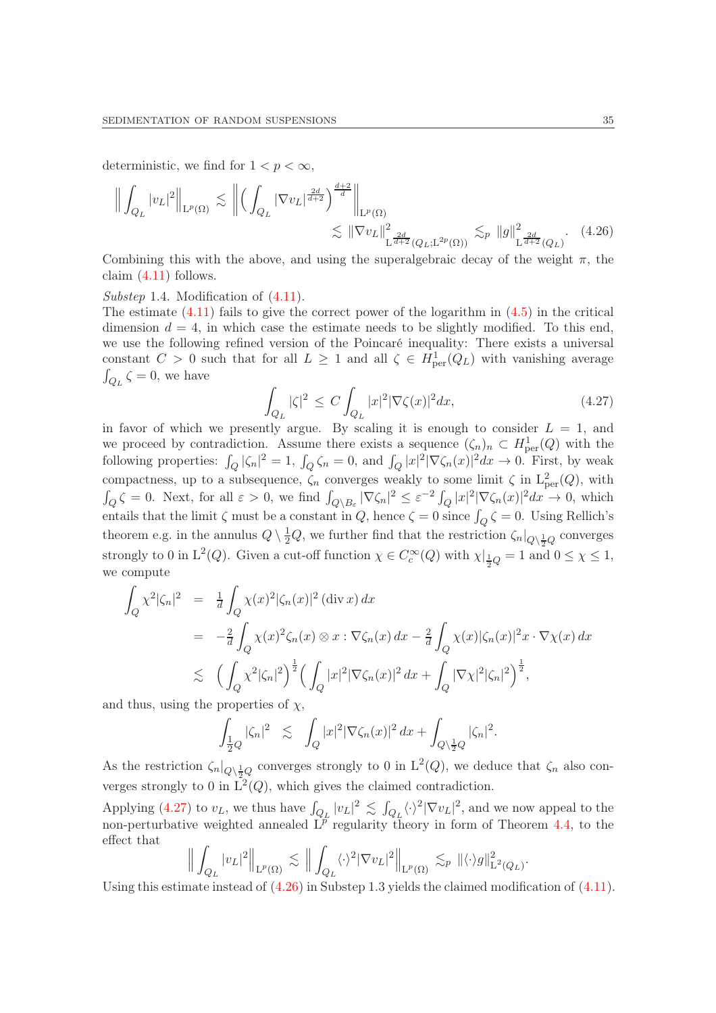deterministic, we find for  $1 < p < \infty$ ,

$$
\left\| \int_{Q_L} |v_L|^2 \right\|_{L^p(\Omega)} \lesssim \left\| \left( \int_{Q_L} |\nabla v_L|^{\frac{2d}{d+2}} \right)^{\frac{d+2}{d}} \right\|_{L^p(\Omega)} \lesssim \|\nabla v_L\|_{L^{\frac{2d}{d+2}}(Q_L; L^{2p}(\Omega))}^2 \lesssim_p \|g\|_{L^{\frac{2d}{d+2}}(Q_L)}^2. \tag{4.26}
$$

Combining this with the above, and using the superalgebraic decay of the weight  $\pi$ , the claim  $(4.11)$  follows.

Substep 1.4. Modification of  $(4.11)$ .

The estimate  $(4.11)$  fails to give the correct power of the logarithm in  $(4.5)$  in the critical dimension  $d = 4$ , in which case the estimate needs to be slightly modified. To this end, we use the following refined version of the Poincaré inequality: There exists a universal constant  $C > 0$  such that for all  $L \geq 1$  and all  $\zeta \in H^1_{\text{per}}(Q_L)$  with vanishing average  $\int_{Q_L} \zeta = 0$ , we have

<span id="page-34-1"></span><span id="page-34-0"></span>
$$
\int_{Q_L} |\zeta|^2 \le C \int_{Q_L} |x|^2 |\nabla \zeta(x)|^2 dx,\tag{4.27}
$$

in favor of which we presently argue. By scaling it is enough to consider  $L = 1$ , and we proceed by contradiction. Assume there exists a sequence  $(\zeta_n)_n \subset H^1_{per}(Q)$  with the following properties:  $\int_Q |\zeta_n|^2 = 1$ ,  $\int_Q \zeta_n = 0$ , and  $\int_Q |x|^2 |\nabla \zeta_n(x)|^2 dx \to 0$ . First, by weak compactness, up to a subsequence,  $\zeta_n$  converges weakly to some limit  $\zeta$  in  $L^2_{per}(Q)$ , with  $\int_Q \zeta = 0$ . Next, for all  $\varepsilon > 0$ , we find  $\int_{Q \setminus B_{\varepsilon}} |\nabla \zeta_n|^2 \leq \varepsilon^{-2} \int_Q |x|^2 |\nabla \zeta_n(x)|^2 dx \to 0$ , which entails that the limit  $\zeta$  must be a constant in  $Q$ , hence  $\zeta = 0$  since  $\int_Q \zeta = 0$ . Using Rellich's theorem e.g. in the annulus  $Q \setminus \frac{1}{2}Q$ , we further find that the restriction  $\zeta_n|_{Q \setminus \frac{1}{2}Q}$  converges strongly to 0 in  $L^2(Q)$ . Given a cut-off function  $\chi \in C_c^{\infty}(Q)$  with  $\chi|_{\frac{1}{2}Q} = 1$  and  $0 \le \chi \le 1$ , we compute

$$
\int_{Q} \chi^{2} |\zeta_{n}|^{2} = \frac{1}{d} \int_{Q} \chi(x)^{2} |\zeta_{n}(x)|^{2} (\text{div } x) dx
$$
  
\n
$$
= -\frac{2}{d} \int_{Q} \chi(x)^{2} \zeta_{n}(x) \otimes x : \nabla \zeta_{n}(x) dx - \frac{2}{d} \int_{Q} \chi(x) |\zeta_{n}(x)|^{2} x \cdot \nabla \chi(x) dx
$$
  
\n
$$
\lesssim \left( \int_{Q} \chi^{2} |\zeta_{n}|^{2} \right)^{\frac{1}{2}} \left( \int_{Q} |x|^{2} |\nabla \zeta_{n}(x)|^{2} dx + \int_{Q} |\nabla \chi|^{2} |\zeta_{n}|^{2} \right)^{\frac{1}{2}},
$$

and thus, using the properties of  $\chi$ ,

$$
\int_{\frac{1}{2}Q} |\zeta_n|^2 \leq \int_Q |x|^2 |\nabla \zeta_n(x)|^2 dx + \int_{Q\setminus \frac{1}{2}Q} |\zeta_n|^2.
$$

As the restriction  $\zeta_n|_{Q\setminus\frac{1}{2}Q}$  converges strongly to 0 in  $L^2(Q)$ , we deduce that  $\zeta_n$  also converges strongly to 0 in  $L^2(Q)$ , which gives the claimed contradiction.

Applying [\(4.27\)](#page-34-0) to  $v_L$ , we thus have  $\int_{Q_L} |v_L|^2 \lesssim \int_{Q_L} \langle \cdot \rangle^2 |\nabla v_L|^2$ , and we now appeal to the non-perturbative weighted annealed  $\tilde{L}^p$  regularity theory in form of Theorem [4.4,](#page-25-2) to the effect that

$$
\Big\|\int_{Q_L} |v_L|^2\Big\|_{\mathrm{L}^p(\Omega)} \lesssim \Big\|\int_{Q_L} \langle \cdot \rangle^2 |\nabla v_L|^2\Big\|_{\mathrm{L}^p(\Omega)} \lesssim_p \|\langle \cdot \rangle g\|_{\mathrm{L}^2(Q_L)}^2
$$

.

Using this estimate instead of [\(4.26\)](#page-34-1) in Substep 1.3 yields the claimed modification of [\(4.11\)](#page-27-1).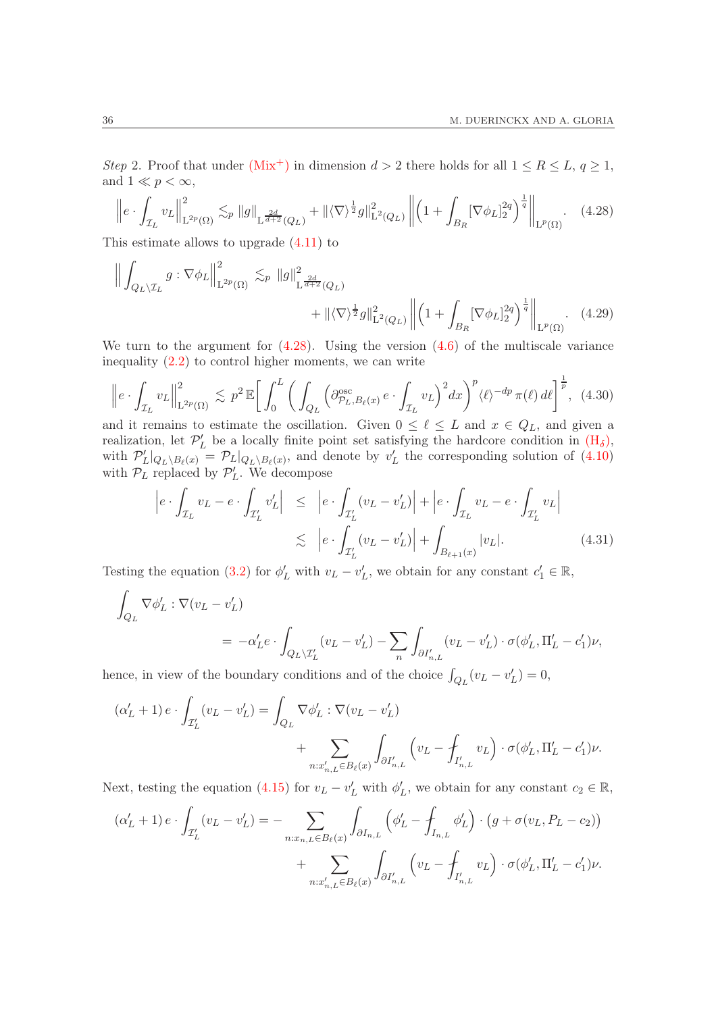Step 2. Proof that under  $(Mix^+)$  $(Mix^+)$  in dimension  $d > 2$  there holds for all  $1 \leq R \leq L$ ,  $q \geq 1$ , and  $1 \ll p < \infty$ ,

<span id="page-35-0"></span>
$$
\left\| e \cdot \int_{\mathcal{I}_L} v_L \right\|_{\mathcal{L}^{2p}(\Omega)}^2 \lesssim_p \|g\|_{\mathcal{L}^{\frac{2d}{d+2}}(Q_L)} + \|\langle \nabla \rangle^{\frac{1}{2}} g\|_{\mathcal{L}^2(Q_L)}^2 \left\| \left( 1 + \int_{B_R} [\nabla \phi_L]_2^{2q} \right)^{\frac{1}{q}} \right\|_{\mathcal{L}^p(\Omega)}.
$$
 (4.28)

This estimate allows to upgrade [\(4.11\)](#page-27-1) to

$$
\left\| \int_{Q_L \setminus \mathcal{I}_L} g : \nabla \phi_L \right\|_{\mathcal{L}^{2p}(\Omega)}^2 \lesssim_p \|g\|_{\mathcal{L}^{\frac{2d}{d+2}}(Q_L)}^2 + \|\langle \nabla \rangle^{\frac{1}{2}} g\|_{\mathcal{L}^2(Q_L)}^2 \left\| \left(1 + \int_{B_R} [\nabla \phi_L]_2^{2q} \right)^{\frac{1}{q}} \right\|_{\mathcal{L}^p(\Omega)} . \tag{4.29}
$$

We turn to the argument for  $(4.28)$ . Using the version  $(4.6)$  of the multiscale variance inequality  $(2.2)$  to control higher moments, we can write

<span id="page-35-2"></span>
$$
\left\| e \cdot \int_{\mathcal{I}_L} v_L \right\|_{\mathcal{L}^{2p}(\Omega)}^2 \lesssim p^2 \mathbb{E} \bigg[ \int_0^L \bigg( \int_{Q_L} \Big( \partial_{\mathcal{P}_L, B_\ell(x)}^{\mathrm{osc}} e \cdot \int_{\mathcal{I}_L} v_L \Big)^2 dx \bigg)^p \langle \ell \rangle^{-dp} \pi(\ell) d\ell \bigg]^{\frac{1}{p}}, \tag{4.30}
$$

and it remains to estimate the oscillation. Given  $0 \leq \ell \leq L$  and  $x \in Q_L$ , and given a realization, let  $\mathcal{P}'_L$  be a locally finite point set satisfying the hardcore condition in  $(H_\delta)$  $(H_\delta)$ , with  $\mathcal{P}'_L|_{Q_L\setminus B_{\ell}(x)} = \mathcal{P}_L|_{Q_L\setminus B_{\ell}(x)}$ , and denote by  $v'_L$  the corresponding solution of [\(4.10\)](#page-27-0) with  $\mathcal{P}_L$  replaced by  $\mathcal{P}'_L$ . We decompose

<span id="page-35-3"></span><span id="page-35-1"></span>
$$
\begin{aligned}\n\left| e \cdot \int_{\mathcal{I}_L} v_L - e \cdot \int_{\mathcal{I}'_L} v'_L \right| &\leq \left| e \cdot \int_{\mathcal{I}'_L} (v_L - v'_L) \right| + \left| e \cdot \int_{\mathcal{I}_L} v_L - e \cdot \int_{\mathcal{I}'_L} v_L \right| \\
&\lesssim \left| e \cdot \int_{\mathcal{I}'_L} (v_L - v'_L) \right| + \int_{B_{\ell+1}(x)} |v_L|. \tag{4.31}\n\end{aligned}
$$

Testing the equation [\(3.2\)](#page-18-1) for  $\phi'_{L}$  with  $v_{L} - v'_{L}$ , we obtain for any constant  $c'_{1} \in \mathbb{R}$ ,

$$
\int_{Q_L} \nabla \phi'_L : \nabla (v_L - v'_L)
$$
\n
$$
= -\alpha'_L e \cdot \int_{Q_L \backslash T'_L} (v_L - v'_L) - \sum_n \int_{\partial I'_{n,L}} (v_L - v'_L) \cdot \sigma(\phi'_L, \Pi'_L - c'_1) \nu,
$$

hence, in view of the boundary conditions and of the choice  $\int_{Q_L}(v_L - v'_L) = 0$ ,

$$
\begin{aligned} \left(\alpha_L'+1\right) e \cdot \int_{\mathcal{I}_L'} (v_L-v_L') &= \int_{Q_L} \nabla \phi_L' : \nabla (v_L-v_L') \\ &\qquad \qquad + \sum_{n: x_{n,L}' \in B_\ell(x)} \int_{\partial I_{n,L}'} \left( v_L - \int_{I_{n,L}'} v_L \right) \cdot \sigma (\phi_L', \Pi_L' - c_1') \nu. \end{aligned}
$$

Next, testing the equation [\(4.15\)](#page-28-3) for  $v_L - v'_L$  with  $\phi'_L$ , we obtain for any constant  $c_2 \in \mathbb{R}$ ,

$$
(\alpha'_{L} + 1) e \cdot \int_{\mathcal{I}'_{L}} (v_{L} - v'_{L}) = - \sum_{n: x_{n,L} \in B_{\ell}(x)} \int_{\partial I_{n,L}} \left( \phi'_{L} - \int_{I_{n,L}} \phi'_{L} \right) \cdot \left( g + \sigma(v_{L}, P_{L} - c_{2}) \right) + \sum_{n: x'_{n,L} \in B_{\ell}(x)} \int_{\partial I'_{n,L}} \left( v_{L} - \int_{I'_{n,L}} v_{L} \right) \cdot \sigma(\phi'_{L}, \Pi'_{L} - c'_{1}) \nu.
$$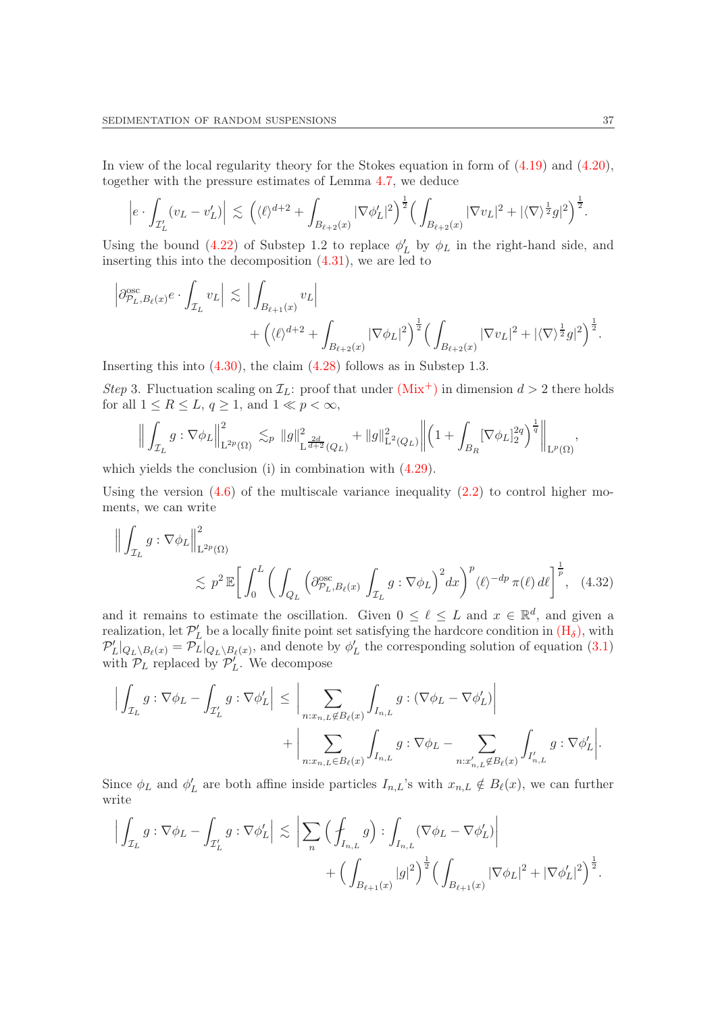In view of the local regularity theory for the Stokes equation in form of [\(4.19\)](#page-30-1) and [\(4.20\)](#page-30-0), together with the pressure estimates of Lemma [4.7,](#page-26-1) we deduce

$$
\left|e\cdot\int_{\mathcal{I}_L'}(v_L-v_L')\right| \lesssim \left(\langle\ell\rangle^{d+2} + \int_{B_{\ell+2}(x)}|\nabla\phi_L'|^2\right)^{\frac{1}{2}} \left(\int_{B_{\ell+2}(x)}|\nabla v_L|^2 + |\langle\nabla\rangle^{\frac{1}{2}}g|^2\right)^{\frac{1}{2}}.
$$

Using the bound [\(4.22\)](#page-31-0) of Substep 1.2 to replace  $\phi'_{L}$  by  $\phi_{L}$  in the right-hand side, and inserting this into the decomposition [\(4.31\)](#page-35-1), we are led to

$$
\left| \partial^{\rm osc}_{\mathcal{P}_L, B_\ell(x)} e \cdot \int_{\mathcal{I}_L} v_L \right| \lesssim \Big| \int_{B_{\ell+1}(x)} v_L \Big| + \Big( \langle \ell \rangle^{d+2} + \int_{B_{\ell+2}(x)} |\nabla \phi_L|^2 \Big)^{\frac{1}{2}} \Big( \int_{B_{\ell+2}(x)} |\nabla v_L|^2 + |\langle \nabla \rangle^{\frac{1}{2}} g|^2 \Big)^{\frac{1}{2}}.
$$

Inserting this into [\(4.30\)](#page-35-2), the claim [\(4.28\)](#page-35-0) follows as in Substep 1.3.

Step 3. Fluctuation scaling on  $\mathcal{I}_L$ : proof that under  $(Mix^+)$  $(Mix^+)$  in dimension  $d > 2$  there holds for all  $1 \leq R \leq L$ ,  $q \geq 1$ , and  $1 \ll p < \infty$ ,

$$
\Big\| \int_{\mathcal{I}_L} g : \nabla \phi_L \Big\|_{\mathrm{L}^{2p}(\Omega)}^2 \, \lesssim_{p} \, \|g\|_{\mathrm{L}^{\frac{2d}{d+2}}(Q_L)}^2 + \|g\|_{\mathrm{L}^2(Q_L)}^2 \Big\| \Big( 1 + \int_{B_R} [\nabla \phi_L]_2^{2q} \Big)^{\frac{1}{q}} \Big\|_{\mathrm{L}^p(\Omega)}.
$$

which yields the conclusion (i) in combination with  $(4.29)$ .

Using the version  $(4.6)$  of the multiscale variance inequality  $(2.2)$  to control higher moments, we can write

$$
\left\| \int_{\mathcal{I}_L} g : \nabla \phi_L \right\|_{\mathcal{L}^{2p}(\Omega)}^2
$$
  
\$\lesssim p^2 \mathbb{E} \Big[ \int\_0^L \bigg( \int\_{Q\_L} \left( \partial\_{\mathcal{P}\_L, B\_\ell(x)}^{\mathrm{osc}} \int\_{\mathcal{I}\_L} g : \nabla \phi\_L \right)^2 dx \bigg)^p \langle \ell \rangle^{-dp} \pi(\ell) d\ell \Big]^{\frac{1}{p}}, \quad (4.32)\$

and it remains to estimate the oscillation. Given  $0 \leq \ell \leq L$  and  $x \in \mathbb{R}^d$ , and given a realization, let  $\mathcal{P}'_L$  be a locally finite point set satisfying the hardcore condition in  $(\mathrm{H}_{\delta})$ , with  $\mathcal{P}'_L|_{Q_L\setminus B_\ell(x)} = \mathcal{P}_L|_{Q_L\setminus B_\ell(x)}$ , and denote by  $\phi'_L$  the corresponding solution of equation [\(3.1\)](#page-18-0) with  $\mathcal{P}_L$  replaced by  $\mathcal{P}'_L$ . We decompose

$$
\label{eq:3.1} \begin{aligned} \Big|\int_{\mathcal{I}_L} g:\nabla\phi_L-\int_{\mathcal{I}'_L} g:\nabla\phi'_L\Big| \,\leq\, \bigg|\sum_{n:x_{n,L}\not\in B_\ell(x)} \int_{I_{n,L}} g:(\nabla\phi_L-\nabla\phi'_L)\bigg| \\ &\qquad \qquad + \bigg|\sum_{n:x_{n,L}\in B_\ell(x)} \int_{I_{n,L}} g:\nabla\phi_L-\sum_{n:x'_{n,L}\not\in B_\ell(x)} \int_{I'_{n,L}} g:\nabla\phi'_L\bigg|. \end{aligned}
$$

Since  $\phi_L$  and  $\phi'_L$  are both affine inside particles  $I_{n,L}$ 's with  $x_{n,L} \notin B_\ell(x)$ , we can further write

$$
\Big|\int_{\mathcal{I}_L} g: \nabla \phi_L - \int_{\mathcal{I}'_L} g: \nabla \phi'_L \Big| \lesssim \Big|\sum_n \Big( \oint_{I_{n,L}} g \Big): \int_{I_{n,L}} (\nabla \phi_L - \nabla \phi'_L) \Big|
$$
  
+ 
$$
\Big( \int_{B_{\ell+1}(x)} |g|^2 \Big)^{\frac{1}{2}} \Big( \int_{B_{\ell+1}(x)} |\nabla \phi_L|^2 + |\nabla \phi'_L|^2 \Big)^{\frac{1}{2}}.
$$

<span id="page-36-0"></span>,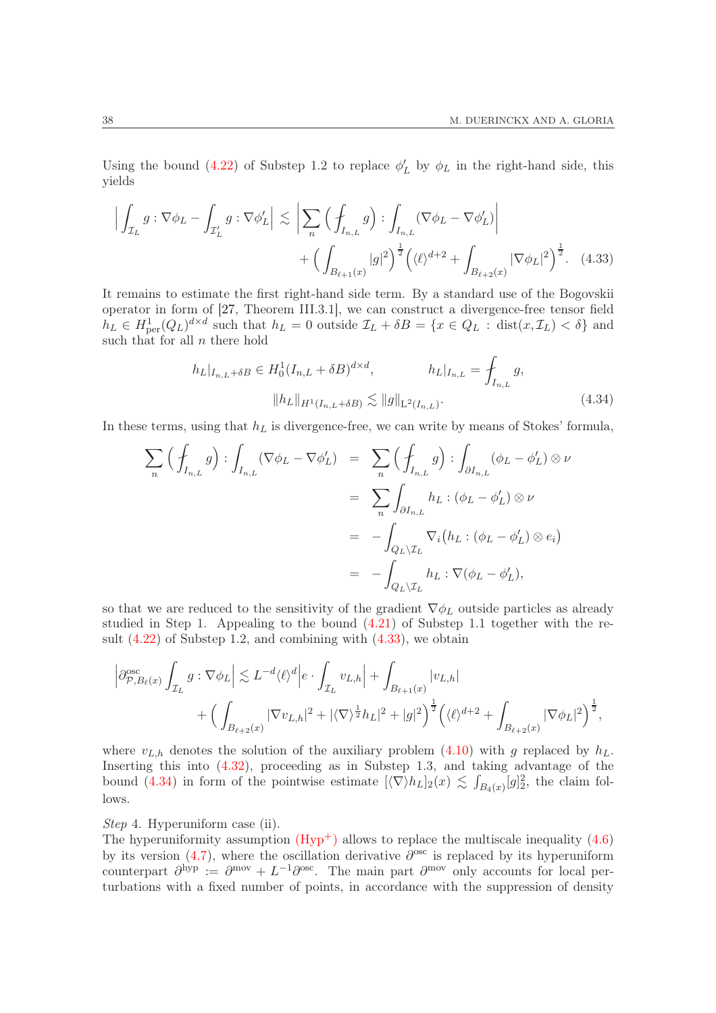Using the bound [\(4.22\)](#page-31-0) of Substep 1.2 to replace  $\phi'_{L}$  by  $\phi_{L}$  in the right-hand side, this yields

$$
\left| \int_{\mathcal{I}_L} g : \nabla \phi_L - \int_{\mathcal{I}'_L} g : \nabla \phi'_L \right| \lesssim \left| \sum_n \left( \oint_{I_{n,L}} g \right) : \int_{I_{n,L}} (\nabla \phi_L - \nabla \phi'_L) \right|
$$
  
+ 
$$
\left( \int_{B_{\ell+1}(x)} |g|^2 \right)^{\frac{1}{2}} \left( \langle \ell \rangle^{d+2} + \int_{B_{\ell+2}(x)} |\nabla \phi_L|^2 \right)^{\frac{1}{2}}.
$$
 (4.33)

It remains to estimate the first right-hand side term. By a standard use of the Bogovskii operator in form of [\[27,](#page-51-14) Theorem III.3.1], we can construct a divergence-free tensor field  $h_L \in H^1_{\text{per}}(Q_L)^{d \times d}$  such that  $h_L = 0$  outside  $\mathcal{I}_L + \delta B = \{x \in Q_L : \text{dist}(x, \mathcal{I}_L) < \delta\}$  and such that for all  $n$  there hold

<span id="page-37-1"></span><span id="page-37-0"></span>
$$
h_L|_{I_{n,L}+\delta B} \in H_0^1(I_{n,L}+\delta B)^{d \times d}, \qquad h_L|_{I_{n,L}} = \int_{I_{n,L}} g,
$$
  

$$
||h_L||_{H^1(I_{n,L}+\delta B)} \lesssim ||g||_{L^2(I_{n,L})}.
$$
 (4.34)

In these terms, using that  $h<sub>L</sub>$  is divergence-free, we can write by means of Stokes' formula,

$$
\sum_{n} \left( \oint_{I_{n,L}} g \right) : \int_{I_{n,L}} (\nabla \phi_L - \nabla \phi'_L) = \sum_{n} \left( \oint_{I_{n,L}} g \right) : \int_{\partial I_{n,L}} (\phi_L - \phi'_L) \otimes \nu
$$

$$
= \sum_{n} \int_{\partial I_{n,L}} h_L : (\phi_L - \phi'_L) \otimes \nu
$$

$$
= - \int_{Q_L \setminus \mathcal{I}_L} \nabla_i (h_L : (\phi_L - \phi'_L) \otimes e_i)
$$

$$
= - \int_{Q_L \setminus \mathcal{I}_L} h_L : \nabla (\phi_L - \phi'_L),
$$

so that we are reduced to the sensitivity of the gradient  $\nabla \phi_L$  outside particles as already studied in Step 1. Appealing to the bound [\(4.21\)](#page-30-2) of Substep 1.1 together with the result  $(4.22)$  of Substep 1.2, and combining with  $(4.33)$ , we obtain

$$
\left| \partial^{\rm osc}_{\mathcal{P},B_{\ell}(x)} \int_{\mathcal{I}_{L}} g : \nabla \phi_{L} \right| \lesssim L^{-d} \langle \ell \rangle^{d} \Big| e \cdot \int_{\mathcal{I}_{L}} v_{L,h} \Big| + \int_{B_{\ell+1}(x)} |v_{L,h}| + \Big( \int_{B_{\ell+2}(x)} |\nabla v_{L,h}|^{2} + |\langle \nabla \rangle^{\frac{1}{2}} h_{L}|^{2} + |g|^{2} \Big)^{\frac{1}{2}} \Big( \langle \ell \rangle^{d+2} + \int_{B_{\ell+2}(x)} |\nabla \phi_{L}|^{2} \Big)^{\frac{1}{2}},
$$

where  $v_{L,h}$  denotes the solution of the auxiliary problem [\(4.10\)](#page-27-0) with g replaced by  $h_L$ . Inserting this into [\(4.32\)](#page-36-0), proceeding as in Substep 1.3, and taking advantage of the bound [\(4.34\)](#page-37-1) in form of the pointwise estimate  $[\langle \nabla \rangle h_L]_2(x) \lesssim \int_{B_4(x)} [g]_2^2$ , the claim follows.

Step 4. Hyperuniform case (ii).

The hyperuniformity assumption  $(Hyp^+)$  allows to replace the multiscale inequality [\(4.6\)](#page-24-0) by its version  $(4.7)$ , where the oscillation derivative  $\partial^{\rm osc}$  is replaced by its hyperuniform counterpart  $\partial^{\text{hyp}} := \partial^{\text{mov}} + L^{-1}\partial^{\text{osc}}$ . The main part  $\partial^{\text{mov}}$  only accounts for local perturbations with a fixed number of points, in accordance with the suppression of density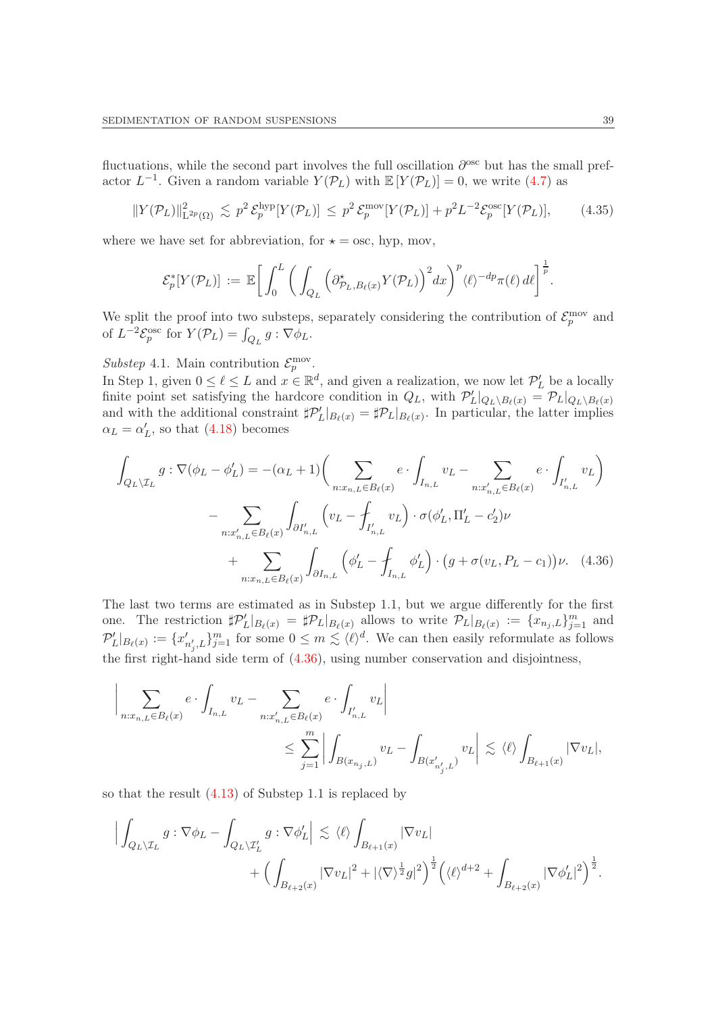fluctuations, while the second part involves the full oscillation  $\partial^{\rm osc}$  but has the small prefactor  $L^{-1}$ . Given a random variable  $Y(\mathcal{P}_L)$  with  $\mathbb{E}[Y(\mathcal{P}_L)] = 0$ , we write [\(4.7\)](#page-24-2) as

<span id="page-38-1"></span>
$$
||Y(\mathcal{P}_L)||_{\mathcal{L}^{2p}(\Omega)}^2 \lesssim p^2 \mathcal{E}_p^{\text{hyp}}[Y(\mathcal{P}_L)] \leq p^2 \mathcal{E}_p^{\text{mov}}[Y(\mathcal{P}_L)] + p^2 L^{-2} \mathcal{E}_p^{\text{osc}}[Y(\mathcal{P}_L)], \qquad (4.35)
$$

where we have set for abbreviation, for  $\star = \text{osc}$ , hyp, mov,

$$
\mathcal{E}_p^*[Y(\mathcal{P}_L)] := \mathbb{E}\bigg[\int_0^L \bigg(\int_{Q_L} \Big(\partial_{\mathcal{P}_L,B_\ell(x)}^* Y(\mathcal{P}_L)\Big)^2 dx\bigg)^p \langle \ell \rangle^{-dp} \pi(\ell) d\ell\bigg]^{\frac{1}{p}}.
$$

We split the proof into two substeps, separately considering the contribution of  $\mathcal{E}_p^{\text{mov}}$  and of  $L^{-2} \mathcal{E}_p^{\text{osc}}$  for  $Y(\mathcal{P}_L) = \int_{Q_L} g : \nabla \phi_L$ .

Substep 4.1. Main contribution  $\mathcal{E}_p^{\text{mov}}$ .

In Step 1, given  $0 \le \ell \le L$  and  $x \in \mathbb{R}^d$ , and given a realization, we now let  $\mathcal{P}'_L$  be a locally finite point set satisfying the hardcore condition in  $Q_L$ , with  $\mathcal{P}'_L|_{Q_L\setminus B_\ell(x)} = \mathcal{P}_L|_{Q_L\setminus B_\ell(x)}$ and with the additional constraint  $\sharp \mathcal{P}'_L|_{B_{\ell}(x)} = \sharp \mathcal{P}_L|_{B_{\ell}(x)}$ . In particular, the latter implies  $\alpha_L = \alpha'_L$ , so that [\(4.18\)](#page-29-1) becomes

<span id="page-38-0"></span>
$$
\int_{Q_L \setminus \mathcal{I}_L} g : \nabla(\phi_L - \phi'_L) = -(\alpha_L + 1) \Biggl( \sum_{n: x_{n,L} \in B_\ell(x)} e \cdot \int_{I_{n,L}} v_L - \sum_{n: x'_{n,L} \in B_\ell(x)} e \cdot \int_{I'_{n,L}} v_L \Biggr) \n- \sum_{n: x'_{n,L} \in B_\ell(x)} \int_{\partial I'_{n,L}} \left( v_L - \int_{I'_{n,L}} v_L \right) \cdot \sigma(\phi'_L, \Pi'_L - c'_2) \nu \n+ \sum_{n: x_{n,L} \in B_\ell(x)} \int_{\partial I_{n,L}} \left( \phi'_L - \int_{I_{n,L}} \phi'_L \right) \cdot \left( g + \sigma(v_L, P_L - c_1) \right) \nu. \tag{4.36}
$$

The last two terms are estimated as in Substep 1.1, but we argue differently for the first one. The restriction  $\sharp \mathcal{P}'_L|_{B_{\ell}(x)} = \sharp \mathcal{P}_L|_{B_{\ell}(x)}$  allows to write  $\mathcal{P}_L|_{B_{\ell}(x)} := \{x_{n_j,L}\}_{j=1}^m$  and  $\mathcal{P}'_L|_{B_{\ell}(x)} := \{x'_{n'_j,L}\}_{j=1}^m$  for some  $0 \leq m \leq \langle \ell \rangle^d$ . We can then easily reformulate as follows the first right-hand side term of [\(4.36\)](#page-38-0), using number conservation and disjointness,

$$
\Bigg|\sum_{n:x_{n,L}\in B_{\ell}(x)}e\cdot \int_{I_{n,L}}v_L-\sum_{n:x_{n,L}'\in B_{\ell}(x)}e\cdot \int_{I_{n,L}'}v_L\Bigg|\nonumber\\ \leq \sum_{j=1}^m\Bigg|\int_{B(x_{n_j,L})}v_L-\int_{B(x_{n_j',L}')}v_L\Bigg|\lesssim \langle \ell\rangle\int_{B_{\ell+1}(x)}|\nabla v_L|,
$$

so that the result [\(4.13\)](#page-28-1) of Substep 1.1 is replaced by

$$
\Big| \int_{Q_L \setminus \mathcal{I}_L} g : \nabla \phi_L - \int_{Q_L \setminus \mathcal{I}'_L} g : \nabla \phi'_L \Big| \lesssim \langle \ell \rangle \int_{B_{\ell+1}(x)} |\nabla v_L| + \Big( \int_{B_{\ell+2}(x)} |\nabla v_L|^2 + |\langle \nabla \rangle^{\frac{1}{2}} g|^2 \Big)^{\frac{1}{2}} \Big( \langle \ell \rangle^{d+2} + \int_{B_{\ell+2}(x)} |\nabla \phi'_L|^2 \Big)^{\frac{1}{2}}.
$$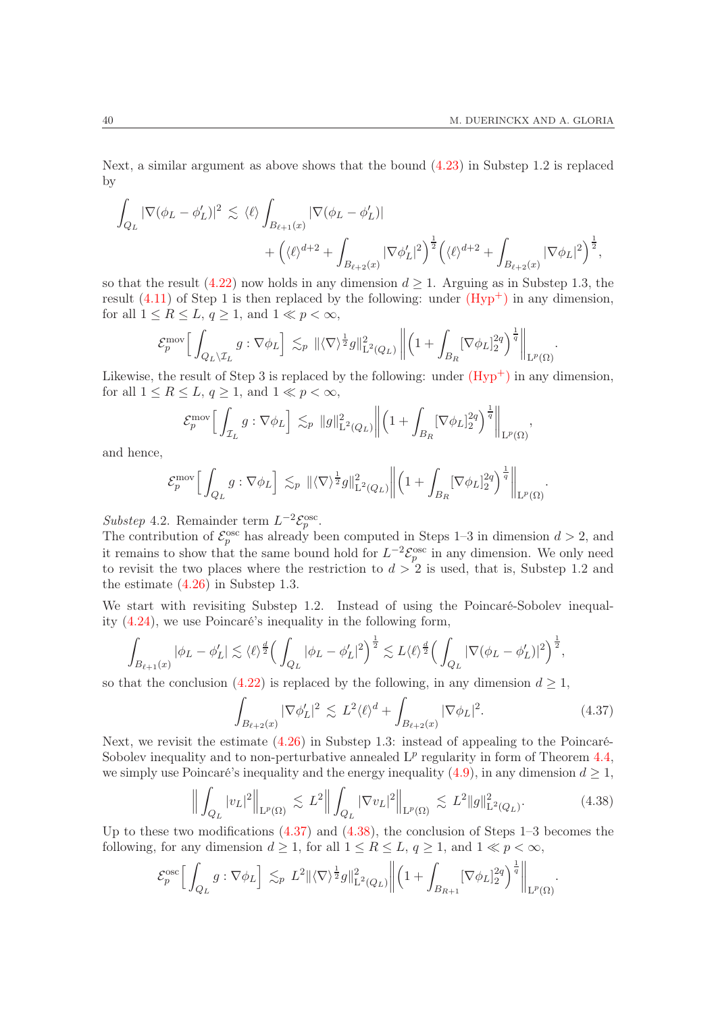Next, a similar argument as above shows that the bound [\(4.23\)](#page-31-1) in Substep 1.2 is replaced by

$$
\begin{split} \int_{Q_L} |\nabla (\phi_L - \phi_L')|^2 &\lesssim \langle \ell \rangle \int_{B_{\ell+1}(x)} |\nabla (\phi_L - \phi_L')| \\ &+ \Bigl( \langle \ell \rangle^{d+2} + \int_{B_{\ell+2}(x)} |\nabla \phi_L'|^2 \Bigr)^{\frac{1}{2}} \Bigl( \langle \ell \rangle^{d+2} + \int_{B_{\ell+2}(x)} |\nabla \phi_L|^2 \Bigr)^{\frac{1}{2}}, \end{split}
$$

so that the result [\(4.22\)](#page-31-0) now holds in any dimension  $d \geq 1$ . Arguing as in Substep 1.3, the result  $(4.11)$  of Step 1 is then replaced by the following: under  $(Hyp<sup>+</sup>)$  in any dimension, for all  $1 \leq R \leq L$ ,  $q \geq 1$ , and  $1 \ll p < \infty$ ,

$$
\mathcal{E}_p^{\text{mov}} \Big[ \int_{Q_L \setminus \mathcal{I}_L} g : \nabla \phi_L \Big] \lesssim_p \| \langle \nabla \rangle^{\frac{1}{2}} g \|^2_{\mathcal{L}^2(Q_L)} \left\| \left( 1 + \int_{B_R} [\nabla \phi_L]_2^{2q} \right)^{\frac{1}{q}} \right\|_{\mathcal{L}^p(\Omega)}.
$$

Likewise, the result of Step 3 is replaced by the following: under  $(Hyp^+)$  in any dimension, for all  $1 \leq R \leq L$ ,  $q \geq 1$ , and  $1 \ll p < \infty$ ,

$$
\mathcal{E}_p^{\text{mov}} \Big[ \int_{\mathcal{I}_L} g : \nabla \phi_L \Big] \lesssim_p \|g\|_{\text{L}^2(Q_L)}^2 \Big\| \Big( 1 + \int_{B_R} [\nabla \phi_L]_2^{2q} \Big)^{\frac{1}{q}} \Big\|_{\text{L}^p(\Omega)},
$$

and hence,

$$
\mathcal{E}_p^{\text{mov}}\Big[\int_{Q_L} g : \nabla \phi_L\Big] \lesssim_p \|\langle \nabla \rangle^{\frac{1}{2}}g\|_{\mathrm{L}^2(Q_L)}^2 \bigg\| \Big(1 + \int_{B_R} [\nabla \phi_L]_2^{2q} \Big)^{\frac{1}{q}} \bigg\|_{\mathrm{L}^p(\Omega)}.
$$

Substep 4.2. Remainder term  $L^{-2} \mathcal{E}_p^{\text{osc}}$ .

The contribution of  $\mathcal{E}_p^{\text{osc}}$  has already been computed in Steps 1–3 in dimension  $d > 2$ , and it remains to show that the same bound hold for  $L^{-2} \mathcal{E}_{p}^{\text{osc}}$  in any dimension. We only need to revisit the two places where the restriction to  $d > 2$  is used, that is, Substep 1.2 and the estimate [\(4.26\)](#page-34-1) in Substep 1.3.

We start with revisiting Substep 1.2. Instead of using the Poincaré-Sobolev inequality [\(4.24\)](#page-31-2), we use Poincaré's inequality in the following form,

$$
\int_{B_{\ell+1}(x)} |\phi_L - \phi'_L| \lesssim \langle \ell \rangle^{\frac{d}{2}} \Big( \int_{Q_L} |\phi_L - \phi'_L|^2 \Big)^{\frac{1}{2}} \lesssim L \langle \ell \rangle^{\frac{d}{2}} \Big( \int_{Q_L} |\nabla (\phi_L - \phi'_L)|^2 \Big)^{\frac{1}{2}},
$$

so that the conclusion [\(4.22\)](#page-31-0) is replaced by the following, in any dimension  $d \geq 1$ ,

<span id="page-39-0"></span>
$$
\int_{B_{\ell+2}(x)} |\nabla \phi_L'|^2 \lesssim L^2 \langle \ell \rangle^d + \int_{B_{\ell+2}(x)} |\nabla \phi_L|^2. \tag{4.37}
$$

.

Next, we revisit the estimate [\(4.26\)](#page-34-1) in Substep 1.3: instead of appealing to the Poincaré-Sobolev inequality and to non-perturbative annealed  $L^p$  regularity in form of Theorem [4.4,](#page-25-2) we simply use Poincaré's inequality and the energy inequality [\(4.9\)](#page-25-3), in any dimension  $d \geq 1$ ,

<span id="page-39-1"></span>
$$
\left\| \int_{Q_L} |v_L|^2 \right\|_{L^p(\Omega)} \lesssim L^2 \left\| \int_{Q_L} |\nabla v_L|^2 \right\|_{L^p(\Omega)} \lesssim L^2 \|g\|_{L^2(Q_L)}^2. \tag{4.38}
$$

Up to these two modifications  $(4.37)$  and  $(4.38)$ , the conclusion of Steps 1–3 becomes the following, for any dimension  $d \geq 1$ , for all  $1 \leq R \leq L$ ,  $q \geq 1$ , and  $1 \ll p < \infty$ ,

$$
\mathcal{E}_p^{\rm osc}\Big[\int_{Q_L}g:\nabla\phi_L\Big]\,\lesssim_p\, L^2\|\langle\nabla\rangle^{\frac{1}{2}}g\|_{\mathrm{L}^2(Q_L)}^2\bigg\|\Big(1+\int_{B_{R+1}}[\nabla\phi_L]_2^{2q}\Big)^{\frac{1}{q}}\bigg\|_{\mathrm{L}^p(\Omega)}
$$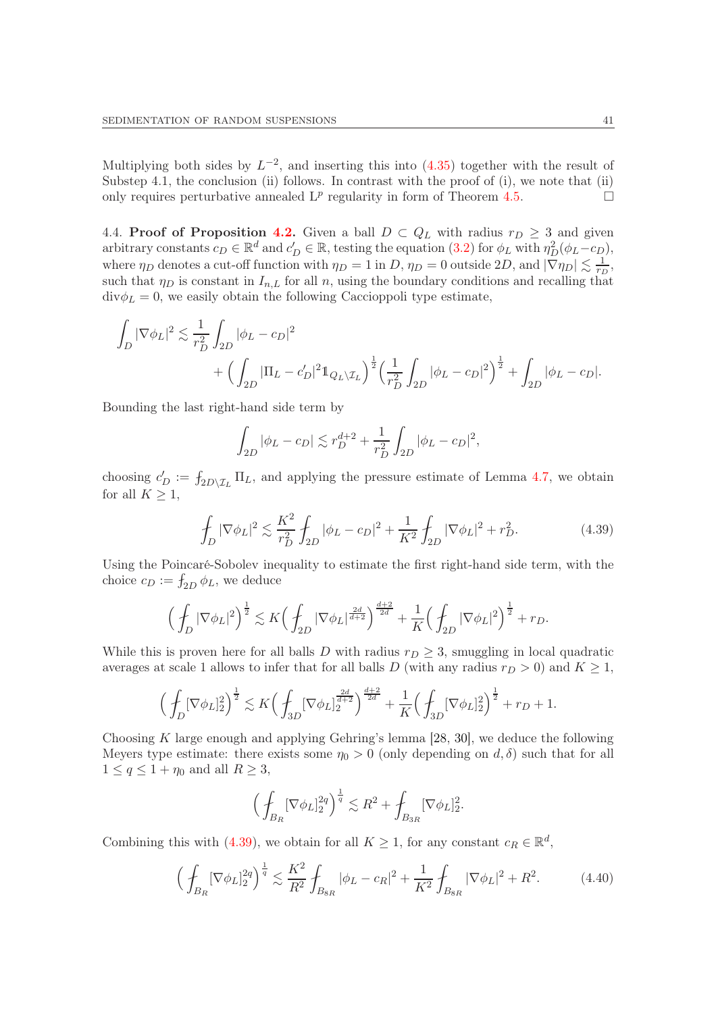Multiplying both sides by  $L^{-2}$ , and inserting this into [\(4.35\)](#page-38-1) together with the result of Substep 4.1, the conclusion (ii) follows. In contrast with the proof of  $(i)$ , we note that  $(ii)$ only requires perturbative annealed  $L^p$  regularity in form of Theorem [4.5.](#page-26-2)

4.4. Proof of Proposition [4.2.](#page-22-4) Given a ball  $D \subset Q_L$  with radius  $r_D \geq 3$  and given arbitrary constants  $c_D \in \mathbb{R}^d$  and  $c'_D \in \mathbb{R}$ , testing the equation [\(3.2\)](#page-18-1) for  $\phi_L$  with  $\eta_D^2(\phi_L - c_D)$ , where  $\eta_D$  denotes a cut-off function with  $\eta_D = 1$  in D,  $\eta_D = 0$  outside  $2D$ , and  $|\nabla \eta_D| \lesssim \frac{1}{r_L}$  $\frac{1}{r_D},$ such that  $\eta_D$  is constant in  $I_{n,L}$  for all n, using the boundary conditions and recalling that  $\text{div}\phi_L = 0$ , we easily obtain the following Caccioppoli type estimate,

$$
\int_{D} |\nabla \phi_L|^2 \lesssim \frac{1}{r_D^2} \int_{2D} |\phi_L - c_D|^2 + \left( \int_{2D} |\Pi_L - c_D'|^2 \mathbb{1}_{Q_L \setminus \mathcal{I}_L} \right)^{\frac{1}{2}} \left( \frac{1}{r_D^2} \int_{2D} |\phi_L - c_D|^2 \right)^{\frac{1}{2}} + \int_{2D} |\phi_L - c_D|.
$$

Bounding the last right-hand side term by

$$
\int_{2D} |\phi_L - c_D| \lesssim r_D^{d+2} + \frac{1}{r_D^2} \int_{2D} |\phi_L - c_D|^2,
$$

choosing  $c'_D := f_{2D\setminus \mathcal{I}_L} \Pi_L$ , and applying the pressure estimate of Lemma [4.7,](#page-26-1) we obtain for all  $K \geq 1$ ,

<span id="page-40-0"></span>
$$
\oint_D |\nabla \phi_L|^2 \lesssim \frac{K^2}{r_D^2} \oint_{2D} |\phi_L - c_D|^2 + \frac{1}{K^2} \oint_{2D} |\nabla \phi_L|^2 + r_D^2. \tag{4.39}
$$

Using the Poincaré-Sobolev inequality to estimate the first right-hand side term, with the choice  $c_D := \int_{2D} \phi_L$ , we deduce

$$
\Big(\int_D |\nabla \phi_L|^2\Big)^{\frac{1}{2}}\lesssim K\Big(\int_{2D} |\nabla \phi_L|^{\frac{2d}{d+2}}\Big)^{\frac{d+2}{2d}}+\frac{1}{K}\Big(\int_{2D} |\nabla \phi_L|^2\Big)^{\frac{1}{2}}+r_D.
$$

While this is proven here for all balls D with radius  $r_D \geq 3$ , smuggling in local quadratic averages at scale 1 allows to infer that for all balls D (with any radius  $r_D > 0$ ) and  $K \geq 1$ ,

$$
\Big(\int_{D}[\nabla \phi_L]_2^2\Big)^{\frac{1}{2}}\lesssim K\Big(\int_{3D}[\nabla \phi_L]_2^{\frac{2d}{d+2}}\Big)^{\frac{d+2}{2d}}+\frac{1}{K}\Big(\int_{3D}[\nabla \phi_L]_2^2\Big)^{\frac{1}{2}}+r_D+1.
$$

Choosing K large enough and applying Gehring's lemma [\[28,](#page-51-24) [30\]](#page-51-25), we deduce the following Meyers type estimate: there exists some  $\eta_0 > 0$  (only depending on d,  $\delta$ ) such that for all  $1 \le q \le 1 + \eta_0$  and all  $R \ge 3$ ,

$$
\Big(\int_{B_R} [\nabla \phi_L]_2^{2q}\Big)^{\frac{1}{q}} \lesssim R^2 + \int_{B_{3R}} [\nabla \phi_L]_2^2.
$$

Combining this with [\(4.39\)](#page-40-0), we obtain for all  $K \geq 1$ , for any constant  $c_R \in \mathbb{R}^d$ ,

<span id="page-40-1"></span>
$$
\left(\int_{B_R} [\nabla \phi_L]_2^{2q}\right)^{\frac{1}{q}} \lesssim \frac{K^2}{R^2} \int_{B_{8R}} |\phi_L - c_R|^2 + \frac{1}{K^2} \int_{B_{8R}} |\nabla \phi_L|^2 + R^2. \tag{4.40}
$$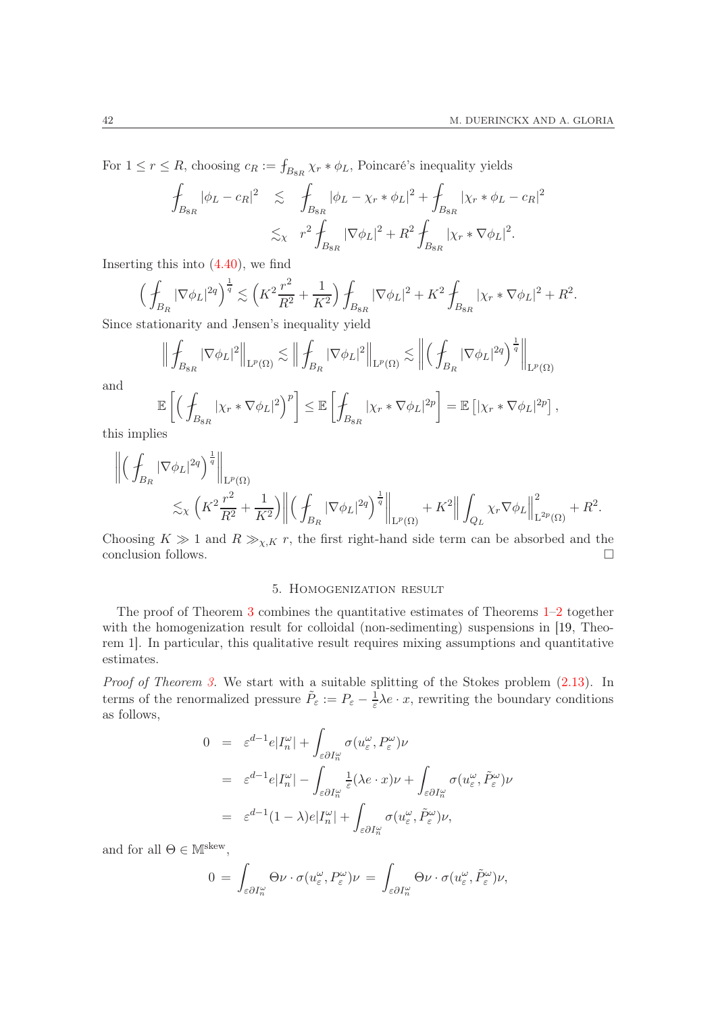For  $1 \leq r \leq R$ , choosing  $c_R := \int_{B_{8R}} \chi_r * \phi_L$ , Poincaré's inequality yields

$$
\int_{B_{8R}} |\phi_L - c_R|^2 \leq \int_{B_{8R}} |\phi_L - \chi_r * \phi_L|^2 + \int_{B_{8R}} |\chi_r * \phi_L - c_R|^2
$$
  

$$
\lesssim_{\chi} r^2 \int_{B_{8R}} |\nabla \phi_L|^2 + R^2 \int_{B_{8R}} |\chi_r * \nabla \phi_L|^2.
$$

Inserting this into  $(4.40)$ , we find

$$
\left(\oint_{B_R} |\nabla \phi_L|^{2q}\right)^{\frac{1}{q}} \lesssim \left(K^2 \frac{r^2}{R^2} + \frac{1}{K^2}\right) \oint_{B_{8R}} |\nabla \phi_L|^2 + K^2 \oint_{B_{8R}} |\chi_r * \nabla \phi_L|^2 + R^2.
$$

Since stationarity and Jensen's inequality yield

$$
\left\| \int_{B_{8R}} |\nabla \phi_L|^2 \right\|_{\mathrm{L}^p(\Omega)} \lesssim \left\| \int_{B_R} |\nabla \phi_L|^2 \right\|_{\mathrm{L}^p(\Omega)} \lesssim \left\| \left( \int_{B_R} |\nabla \phi_L|^{2q} \right)^{\frac{1}{q}} \right\|_{\mathrm{L}^p(\Omega)}
$$

$$
\mathbb{E} \left[ \left( \int_{\Omega} |\chi_r \ast \nabla \phi_L|^2 \right)^p \right] \leq \mathbb{E} \left[ \int_{\Omega} |\chi_r \ast \nabla \phi_L|^{2p} \right] = \mathbb{E} \left[ |\chi_r \ast \nabla \phi_L|^{2p} \right],
$$

and

$$
\mathbb{E}\left[\left(\int_{B_{8R}} |\chi_r * \nabla \phi_L|^2\right)^p\right] \leq \mathbb{E}\left[\int_{B_{8R}} |\chi_r * \nabla \phi_L|^{2p}\right] = \mathbb{E}\left[|\chi_r * \nabla \phi_L|^{2p}\right].
$$
lies

this impl

$$
\begin{split} \left\| \Big( \int_{B_R} |\nabla \phi_L|^{2q} \Big)^{\frac1q} \right\|_{\mathrm L^p(\Omega)} \\ \lesssim& \chi \left( K^2 \frac{r^2}{R^2} + \frac{1}{K^2} \right) \bigg\| \Big( \int_{B_R} |\nabla \phi_L|^{2q} \Big)^{\frac1q} \bigg\|_{\mathrm L^p(\Omega)} + K^2 \Big\| \int_{Q_L} \chi_r \nabla \phi_L \Big\|_{\mathrm L^{2p}(\Omega)}^2 + R^2. \end{split}
$$

<span id="page-41-0"></span>Choosing  $K \gg 1$  and  $R \gg_{\chi,K} r$ , the first right-hand side term can be absorbed and the conclusion follows.  $\Box$ 

## 5. Homogenization result

The proof of Theorem [3](#page-12-0) combines the quantitative estimates of Theorems [1–](#page-9-0)[2](#page-10-0) together with the homogenization result for colloidal (non-sedimenting) suspensions in [\[19,](#page-51-15) Theorem 1]. In particular, this qualitative result requires mixing assumptions and quantitative estimates.

Proof of Theorem [3.](#page-12-0) We start with a suitable splitting of the Stokes problem  $(2.13)$ . In terms of the renormalized pressure  $\tilde{P}_{\varepsilon} := P_{\varepsilon} - \frac{1}{\varepsilon}$  $\frac{1}{\varepsilon}\lambda e \cdot x$ , rewriting the boundary conditions as follows,

$$
0 = \varepsilon^{d-1} e |I_n^{\omega}| + \int_{\varepsilon \partial I_n^{\omega}} \sigma(u_{\varepsilon}^{\omega}, P_{\varepsilon}^{\omega}) \nu
$$
  
\n
$$
= \varepsilon^{d-1} e |I_n^{\omega}| - \int_{\varepsilon \partial I_n^{\omega}} \frac{1}{\varepsilon} (\lambda e \cdot x) \nu + \int_{\varepsilon \partial I_n^{\omega}} \sigma(u_{\varepsilon}^{\omega}, \tilde{P}_{\varepsilon}^{\omega}) \nu
$$
  
\n
$$
= \varepsilon^{d-1} (1 - \lambda) e |I_n^{\omega}| + \int_{\varepsilon \partial I_n^{\omega}} \sigma(u_{\varepsilon}^{\omega}, \tilde{P}_{\varepsilon}^{\omega}) \nu,
$$

and for all  $\Theta \in \mathbb{M}^{\text{skew}},$ 

$$
0 = \int_{\varepsilon \partial I_n^{\omega}} \Theta \nu \cdot \sigma(u_{\varepsilon}^{\omega}, P_{\varepsilon}^{\omega}) \nu = \int_{\varepsilon \partial I_n^{\omega}} \Theta \nu \cdot \sigma(u_{\varepsilon}^{\omega}, \tilde{P}_{\varepsilon}^{\omega}) \nu,
$$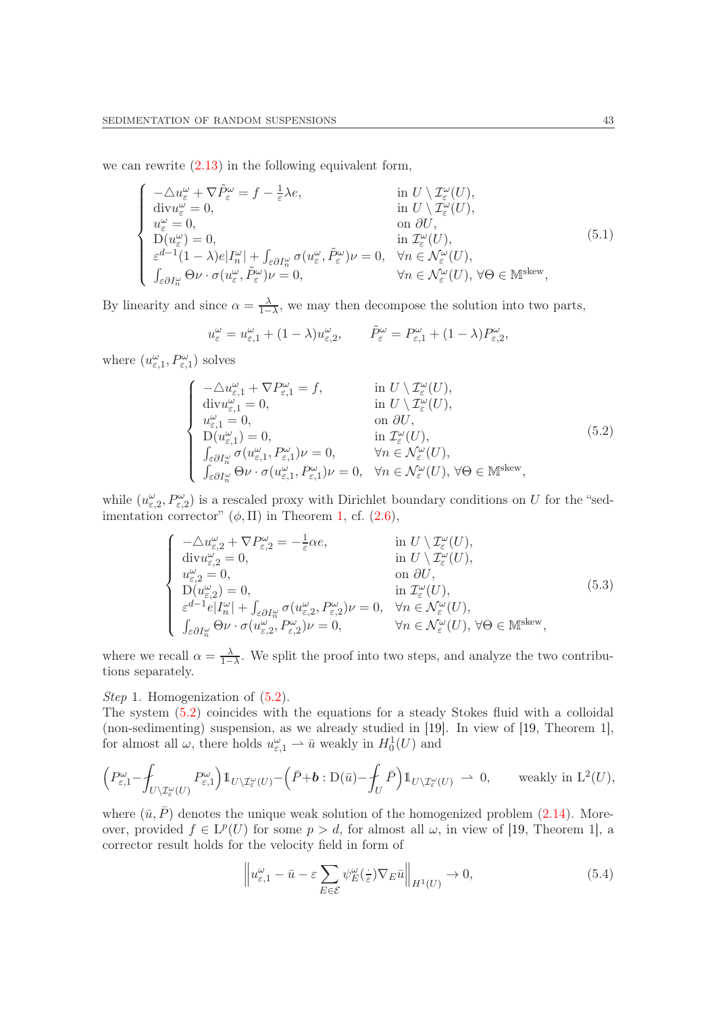we can rewrite [\(2.13\)](#page-12-1) in the following equivalent form,

$$
\begin{cases}\n-\Delta u_{\varepsilon}^{\omega} + \nabla \tilde{P}_{\varepsilon}^{\omega} = f - \frac{1}{\varepsilon} \lambda e, & \text{in } U \setminus \mathcal{I}_{\varepsilon}^{\omega}(U), \\
\text{div} u_{\varepsilon}^{\omega} = 0, & \text{in } U \setminus \mathcal{I}_{\varepsilon}^{\omega}(U), \\
u_{\varepsilon}^{\omega} = 0, & \text{on } \partial U, \\
D(u_{\varepsilon}^{\omega}) = 0, & \text{in } \mathcal{I}_{\varepsilon}^{\omega}(U), \\
\varepsilon^{d-1} (1 - \lambda) e |I_{n}^{\omega}| + \int_{\varepsilon \partial I_{n}^{\omega}} \sigma(u_{\varepsilon}^{\omega}, \tilde{P}_{\varepsilon}^{\omega}) \nu = 0, & \forall n \in \mathcal{N}_{\varepsilon}^{\omega}(U), \\
\int_{\varepsilon \partial I_{n}^{\omega}} \Theta \nu \cdot \sigma(u_{\varepsilon}^{\omega}, \tilde{P}_{\varepsilon}^{\omega}) \nu = 0, & \forall n \in \mathcal{N}_{\varepsilon}^{\omega}(U), \forall \Theta \in \mathbb{M}^{\text{skew}},\n\end{cases}
$$
\n(5.1)

By linearity and since  $\alpha = \frac{\lambda}{1 - \lambda}$  $\frac{\lambda}{1-\lambda}$ , we may then decompose the solution into two parts,

$$
u_{\varepsilon}^{\omega} = u_{\varepsilon,1}^{\omega} + (1 - \lambda)u_{\varepsilon,2}^{\omega}, \qquad \tilde{P}_{\varepsilon}^{\omega} = P_{\varepsilon,1}^{\omega} + (1 - \lambda)P_{\varepsilon,2}^{\omega},
$$

where  $(u_{\varepsilon,1}^{\omega}, P_{\varepsilon,1}^{\omega})$  solves

<span id="page-42-0"></span>
$$
\begin{cases}\n-\Delta u_{\varepsilon,1}^{\omega} + \nabla P_{\varepsilon,1}^{\omega} = f, & \text{in } U \setminus \mathcal{I}_{\varepsilon}^{\omega}(U), \\
\text{div} u_{\varepsilon,1}^{\omega} = 0, & \text{in } U \setminus \mathcal{I}_{\varepsilon}^{\omega}(U), \\
u_{\varepsilon,1}^{\omega} = 0, & \text{on } \partial U, \\
D(u_{\varepsilon,1}^{\omega}) = 0, & \text{in } \mathcal{I}_{\varepsilon}^{\omega}(U), \\
\int_{\varepsilon \partial I_{n}^{\omega}} \sigma(u_{\varepsilon,1}^{\omega}, P_{\varepsilon,1}^{\omega}) \nu = 0, & \forall n \in \mathcal{N}_{\varepsilon}^{\omega}(U), \\
\int_{\varepsilon \partial I_{n}^{\omega}} \Theta \nu \cdot \sigma(u_{\varepsilon,1}^{\omega}, P_{\varepsilon,1}^{\omega}) \nu = 0, & \forall n \in \mathcal{N}_{\varepsilon}^{\omega}(U), \forall \Theta \in \mathbb{M}^{\text{skew}},\n\end{cases}
$$
\n(5.2)

while  $(u_{\varepsilon,2}^{\omega}, P_{\varepsilon,2}^{\omega})$  is a rescaled proxy with Dirichlet boundary conditions on U for the "sedimentation corrector"  $(\phi, \Pi)$  in Theorem [1,](#page-9-0) cf. [\(2.6\)](#page-10-2),

<span id="page-42-1"></span>
$$
\begin{cases}\n-\Delta u_{\varepsilon,2}^{\omega} + \nabla P_{\varepsilon,2}^{\omega} = -\frac{1}{\varepsilon} \alpha e, & \text{in } U \setminus \mathcal{I}_{\varepsilon}^{\omega}(U), \\
\text{div} u_{\varepsilon,2}^{\omega} = 0, & \text{in } U \setminus \mathcal{I}_{\varepsilon}^{\omega}(U), \\
u_{\varepsilon,2}^{\omega} = 0, & \text{on } \partial U, \\
D(u_{\varepsilon,2}^{\omega}) = 0, & \text{in } \mathcal{I}_{\varepsilon}^{\omega}(U), \\
\varepsilon^{d-1} e |I_{n}^{\omega}| + \int_{\varepsilon \partial I_{n}^{\omega}} \sigma(u_{\varepsilon,2}^{\omega}, P_{\varepsilon,2}^{\omega}) \nu = 0, & \forall n \in \mathcal{N}_{\varepsilon}^{\omega}(U), \\
\int_{\varepsilon \partial I_{n}^{\omega}} \Theta \nu \cdot \sigma(u_{\varepsilon,2}^{\omega}, P_{\varepsilon,2}^{\omega}) \nu = 0, & \forall n \in \mathcal{N}_{\varepsilon}^{\omega}(U), \forall \Theta \in \mathbb{M}^{\text{skew}},\n\end{cases}
$$
\n(5.3)

where we recall  $\alpha = \frac{\lambda}{1-\lambda}$  $\frac{\lambda}{1-\lambda}$ . We split the proof into two steps, and analyze the two contributions separately.

Step 1. Homogenization of  $(5.2)$ .

The system [\(5.2\)](#page-42-0) coincides with the equations for a steady Stokes fluid with a colloidal (non-sedimenting) suspension, as we already studied in [\[19\]](#page-51-15). In view of [\[19,](#page-51-15) Theorem 1], for almost all  $\omega$ , there holds  $u_{\varepsilon,1}^{\omega} \rightharpoonup \bar{u}$  weakly in  $H_0^1(U)$  and

$$
\left(P_{\varepsilon,1}^{\omega}-\oint_{U\setminus\mathcal{I}_{\varepsilon}^{\omega}(U)}P_{\varepsilon,1}^{\omega}\right)\mathbb{1}_{U\setminus\mathcal{I}_{\varepsilon}^{\omega}(U)}-\left(\bar{P}+b:\mathrm{D}(\bar{u})-\oint_{U}\bar{P}\right)\mathbb{1}_{U\setminus\mathcal{I}_{\varepsilon}^{\omega}(U)}\ \rightharpoonup\ 0,\qquad\text{weakly in }\mathrm{L}^2(U),
$$

where  $(\bar{u}, \bar{P})$  denotes the unique weak solution of the homogenized problem [\(2.14\)](#page-12-2). Moreover, provided  $f \in L^p(U)$  for some  $p > d$ , for almost all  $\omega$ , in view of [\[19,](#page-51-15) Theorem 1], a corrector result holds for the velocity field in form of

$$
\left\|u_{\varepsilon,1}^{\omega} - \bar{u} - \varepsilon \sum_{E \in \mathcal{E}} \psi_E^{\omega}(\frac{\cdot}{\varepsilon}) \nabla_E \bar{u} \right\|_{H^1(U)} \to 0, \tag{5.4}
$$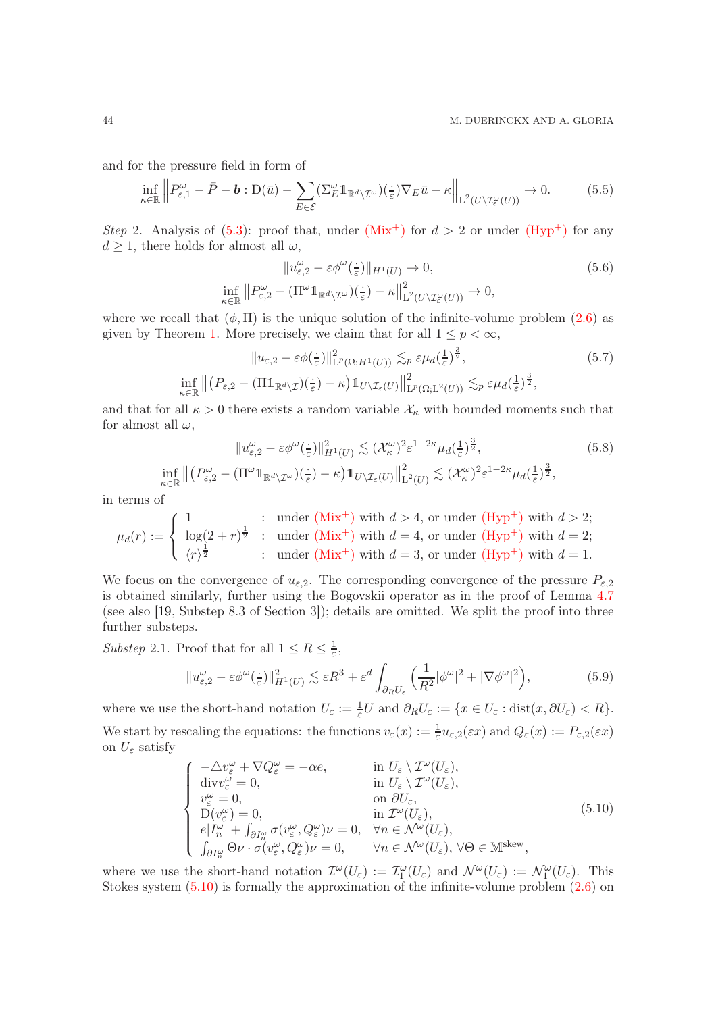and for the pressure field in form of

$$
\inf_{\kappa \in \mathbb{R}} \left\| P_{\varepsilon,1}^{\omega} - \bar{P} - \mathbf{b} : \mathcal{D}(\bar{u}) - \sum_{E \in \mathcal{E}} (\Sigma_E^{\omega} \mathbb{1}_{\mathbb{R}^d \setminus \mathcal{I}^{\omega}}) (\frac{\cdot}{\varepsilon}) \nabla_E \bar{u} - \kappa \right\|_{\mathcal{L}^2(U \setminus \mathcal{I}^{\omega}_\varepsilon(U))} \to 0. \tag{5.5}
$$

Step 2. Analysis of [\(5.3\)](#page-42-1): proof that, under  $(Mix^{+})$  $(Mix^{+})$  for  $d > 2$  or under  $(Hyp^{+})$  for any  $d \geq 1$ , there holds for almost all  $\omega$ ,

<span id="page-43-4"></span><span id="page-43-3"></span><span id="page-43-1"></span>
$$
||u_{\varepsilon,2}^{\omega} - \varepsilon \phi^{\omega}(\frac{\cdot}{\varepsilon})||_{H^{1}(U)} \to 0,
$$
  
\n
$$
\inf_{\kappa \in \mathbb{R}} ||P_{\varepsilon,2}^{\omega} - (\Pi^{\omega} \mathbb{1}_{\mathbb{R}^{d} \setminus \mathcal{I}^{\omega}})(\frac{\cdot}{\varepsilon}) - \kappa ||_{L^{2}(U \setminus \mathcal{I}^{\omega}_{\varepsilon}(U))}^{2} \to 0,
$$
\n(5.6)

where we recall that  $(\phi, \Pi)$  is the unique solution of the infinite-volume problem [\(2.6\)](#page-10-2) as given by Theorem [1.](#page-9-0) More precisely, we claim that for all  $1 \leq p < \infty$ ,

$$
||u_{\varepsilon,2} - \varepsilon \phi(\frac{1}{\varepsilon})||_{\mathcal{L}^p(\Omega;H^1(U))}^2 \lesssim_p \varepsilon \mu_d(\frac{1}{\varepsilon})^{\frac{3}{2}},
$$
\n
$$
\inf_{\kappa \in \mathbb{R}} ||(P_{\varepsilon,2} - (\Pi \mathbb{1}_{\mathbb{R}^d \setminus \mathcal{I}})(\frac{1}{\varepsilon}) - \kappa) \mathbb{1}_{U \setminus \mathcal{I}_{\varepsilon}(U)}||_{\mathcal{L}^p(\Omega;L^2(U))}^2 \lesssim_p \varepsilon \mu_d(\frac{1}{\varepsilon})^{\frac{3}{2}},
$$
\n(5.7)

and that for all  $\kappa > 0$  there exists a random variable  $\mathcal{X}_{\kappa}$  with bounded moments such that for almost all  $\omega$ ,

$$
||u_{\varepsilon,2}^{\omega} - \varepsilon \phi^{\omega}(\frac{\cdot}{\varepsilon})||_{H^{1}(U)}^{2} \lesssim (\mathcal{X}_{\kappa}^{\omega})^{2} \varepsilon^{1-2\kappa} \mu_{d}(\frac{1}{\varepsilon})^{\frac{3}{2}},
$$
\n
$$
\inf_{\kappa \in \mathbb{R}} || (P_{\varepsilon,2}^{\omega} - (\Pi^{\omega} \mathbb{1}_{\mathbb{R}^{d} \setminus \mathcal{I}^{\omega}})(\frac{\cdot}{\varepsilon}) - \kappa) \mathbb{1}_{U \setminus \mathcal{I}_{\varepsilon}(U)} ||_{L^{2}(U)}^{2} \lesssim (\mathcal{X}_{\kappa}^{\omega})^{2} \varepsilon^{1-2\kappa} \mu_{d}(\frac{1}{\varepsilon})^{\frac{3}{2}},
$$
\n(5.8)

in terms of

$$
\mu_d(r) := \begin{cases}\n1 & \text{: under (Mix+) with } d > 4 \text{, or under (Hyp+) with } d > 2; \\
\log(2 + r)^{\frac{1}{2}} & \text{: under (Mix+) with } d = 4 \text{, or under (Hyp+) with } d = 2; \\
\langle r \rangle^{\frac{1}{2}} & \text{: under (Mix+) with } d = 3 \text{, or under (Hyp+) with } d = 1.\n\end{cases}
$$

We focus on the convergence of  $u_{\varepsilon,2}$ . The corresponding convergence of the pressure  $P_{\varepsilon,2}$ is obtained similarly, further using the Bogovskii operator as in the proof of Lemma [4.7](#page-26-1) (see also [\[19,](#page-51-15) Substep 8.3 of Section 3]); details are omitted. We split the proof into three further substeps.

Substep 2.1. Proof that for all  $1 \leq R \leq \frac{1}{\varepsilon}$  $\frac{1}{\varepsilon}$ ,

<span id="page-43-2"></span>
$$
||u_{\varepsilon,2}^{\omega} - \varepsilon \phi^{\omega}(\frac{\cdot}{\varepsilon})||_{H^1(U)}^2 \lesssim \varepsilon R^3 + \varepsilon^d \int_{\partial_R U_{\varepsilon}} \left(\frac{1}{R^2} |\phi^{\omega}|^2 + |\nabla \phi^{\omega}|^2\right),\tag{5.9}
$$

where we use the short-hand notation  $U_{\varepsilon} := \frac{1}{\varepsilon} U$  and  $\partial_R U_{\varepsilon} := \{ x \in U_{\varepsilon} : \text{dist}(x, \partial U_{\varepsilon}) < R \}.$ We start by rescaling the equations: the functions  $v_{\varepsilon}(x) := \frac{1}{\varepsilon} u_{\varepsilon,2}(\varepsilon x)$  and  $Q_{\varepsilon}(x) := P_{\varepsilon,2}(\varepsilon x)$ on  $U_{\varepsilon}$  satisfy

<span id="page-43-0"></span>
$$
\begin{cases}\n-\Delta v_{\varepsilon}^{\omega} + \nabla Q_{\varepsilon}^{\omega} = -\alpha e, & \text{in } U_{\varepsilon} \setminus \mathcal{I}^{\omega}(U_{\varepsilon}), \\
\text{div} v_{\varepsilon}^{\omega} = 0, & \text{in } U_{\varepsilon} \setminus \mathcal{I}^{\omega}(U_{\varepsilon}), \\
v_{\varepsilon}^{\omega} = 0, & \text{on } \partial U_{\varepsilon}, \\
D(v_{\varepsilon}^{\omega}) = 0, & \text{in } \mathcal{I}^{\omega}(U_{\varepsilon}), \\
e|I_{n}^{\omega}| + \int_{\partial I_{n}^{\omega}} \sigma(v_{\varepsilon}^{\omega}, Q_{\varepsilon}^{\omega}) \nu = 0, & \forall n \in \mathcal{N}^{\omega}(U_{\varepsilon}), \\
\int_{\partial I_{n}^{\omega}} \Theta \nu \cdot \sigma(v_{\varepsilon}^{\omega}, Q_{\varepsilon}^{\omega}) \nu = 0, & \forall n \in \mathcal{N}^{\omega}(U_{\varepsilon}), \forall \Theta \in \mathbb{M}^{\text{skew}},\n\end{cases}
$$
\n(5.10)

where we use the short-hand notation  $\mathcal{I}^{\omega}(U_{\varepsilon}) := \mathcal{I}_{1}^{\omega}(U_{\varepsilon})$  and  $\mathcal{N}^{\omega}(U_{\varepsilon}) := \mathcal{N}_{1}^{\omega}(U_{\varepsilon})$ . This Stokes system  $(5.10)$  is formally the approximation of the infinite-volume problem  $(2.6)$  on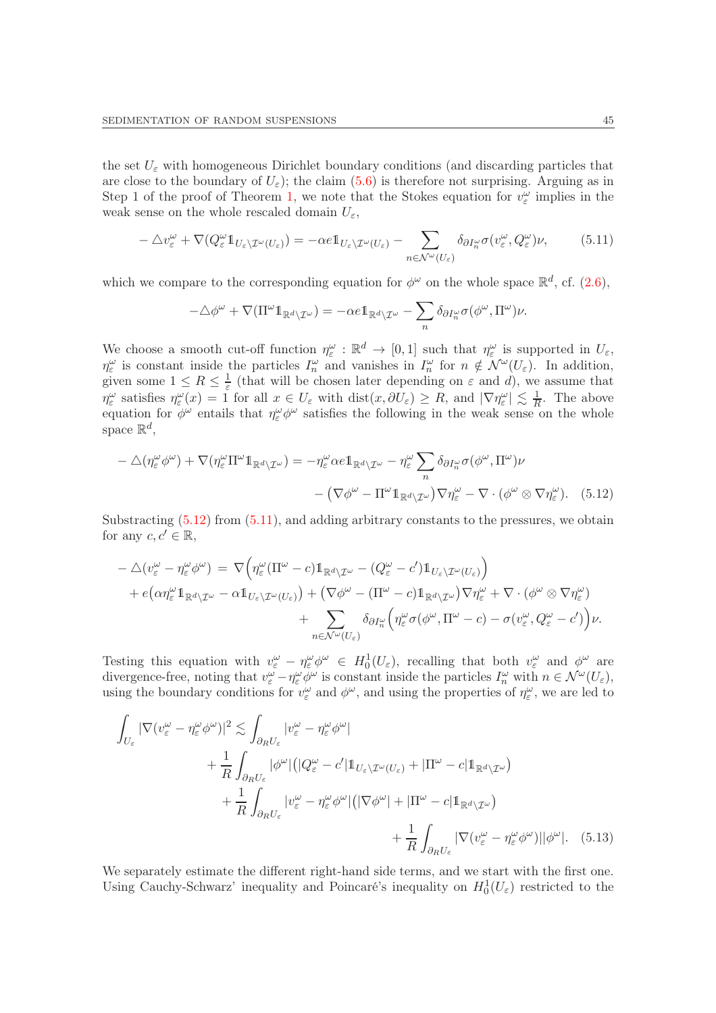the set  $U_{\varepsilon}$  with homogeneous Dirichlet boundary conditions (and discarding particles that are close to the boundary of  $U_{\varepsilon}$ ); the claim [\(5.6\)](#page-43-1) is therefore not surprising. Arguing as in Step 1 of the proof of Theorem [1,](#page-9-0) we note that the Stokes equation for  $v_{\varepsilon}^{\omega}$  implies in the weak sense on the whole rescaled domain  $U_{\varepsilon}$ ,

<span id="page-44-1"></span>
$$
-\triangle v_{\varepsilon}^{\omega} + \nabla (Q_{\varepsilon}^{\omega} \mathbb{1}_{U_{\varepsilon} \setminus \mathcal{I}^{\omega}(U_{\varepsilon})}) = -\alpha e \mathbb{1}_{U_{\varepsilon} \setminus \mathcal{I}^{\omega}(U_{\varepsilon})} - \sum_{n \in \mathcal{N}^{\omega}(U_{\varepsilon})} \delta_{\partial I^{\omega}_{n}} \sigma(v_{\varepsilon}^{\omega}, Q_{\varepsilon}^{\omega}) \nu,
$$
(5.11)

which we compare to the corresponding equation for  $\phi^{\omega}$  on the whole space  $\mathbb{R}^{d}$ , cf. [\(2.6\)](#page-10-2),

<span id="page-44-0"></span>
$$
-\triangle \phi^{\omega} + \nabla (\Pi^{\omega} \mathbb{1}_{\mathbb{R}^d \setminus \mathcal{I}^{\omega}}) = -\alpha e \mathbb{1}_{\mathbb{R}^d \setminus \mathcal{I}^{\omega}} - \sum_{n} \delta_{\partial I_n^{\omega}} \sigma(\phi^{\omega}, \Pi^{\omega}) \nu.
$$

We choose a smooth cut-off function  $\eta_{\varepsilon}^{\omega} : \mathbb{R}^d \to [0,1]$  such that  $\eta_{\varepsilon}^{\omega}$  is supported in  $U_{\varepsilon}$ ,  $\eta_{\varepsilon}^{\omega}$  is constant inside the particles  $I_n^{\omega}$  and vanishes in  $I_n^{\omega}$  for  $n \notin \mathcal{N}^{\omega}(U_{\varepsilon})$ . In addition, given some  $1 \leq R \leq \frac{1}{\varepsilon}$  $\frac{1}{\varepsilon}$  (that will be chosen later depending on  $\varepsilon$  and d), we assume that  $\eta_{\varepsilon}^{\omega}$  satisfies  $\eta_{\varepsilon}^{\omega}(x) = 1$  for all  $x \in U_{\varepsilon}$  with  $dist(x, \partial U_{\varepsilon}) \ge R$ , and  $|\nabla \eta_{\varepsilon}^{\omega}| \lesssim \frac{1}{R}$  $\frac{1}{R}$ . The above equation for  $\phi^{\omega}$  entails that  $\eta_{\varepsilon}^{\omega} \phi^{\omega}$  satisfies the following in the weak sense on the whole space  $\mathbb{R}^d$ ,

$$
- \triangle(\eta_{\varepsilon}^{\omega}\phi^{\omega}) + \nabla(\eta_{\varepsilon}^{\omega}\Pi^{\omega}\mathbb{1}_{\mathbb{R}^{d}\setminus\mathcal{I}^{\omega}}) = -\eta_{\varepsilon}^{\omega}\alpha e \mathbb{1}_{\mathbb{R}^{d}\setminus\mathcal{I}^{\omega}} - \eta_{\varepsilon}^{\omega}\sum_{n}\delta_{\partial I_{n}^{\omega}}\sigma(\phi^{\omega},\Pi^{\omega})\nu - \left(\nabla\phi^{\omega} - \Pi^{\omega}\mathbb{1}_{\mathbb{R}^{d}\setminus\mathcal{I}^{\omega}}\right)\nabla\eta_{\varepsilon}^{\omega} - \nabla\cdot(\phi^{\omega}\otimes\nabla\eta_{\varepsilon}^{\omega}).
$$
 (5.12)

Substracting  $(5.12)$  from  $(5.11)$ , and adding arbitrary constants to the pressures, we obtain for any  $c, c' \in \mathbb{R}$ ,

$$
- \triangle(v_{\varepsilon}^{\omega} - \eta_{\varepsilon}^{\omega} \phi^{\omega}) = \nabla \Big( \eta_{\varepsilon}^{\omega} (\Pi^{\omega} - c) \mathbb{1}_{\mathbb{R}^{d} \setminus \mathcal{I}^{\omega}} - (Q_{\varepsilon}^{\omega} - c') \mathbb{1}_{U_{\varepsilon} \setminus \mathcal{I}^{\omega}(U_{\varepsilon})} \Big) + e(\alpha \eta_{\varepsilon}^{\omega} \mathbb{1}_{\mathbb{R}^{d} \setminus \mathcal{I}^{\omega}} - \alpha \mathbb{1}_{U_{\varepsilon} \setminus \mathcal{I}^{\omega}(U_{\varepsilon})}) + (\nabla \phi^{\omega} - (\Pi^{\omega} - c) \mathbb{1}_{\mathbb{R}^{d} \setminus \mathcal{I}^{\omega}}) \nabla \eta_{\varepsilon}^{\omega} + \nabla \cdot (\phi^{\omega} \otimes \nabla \eta_{\varepsilon}^{\omega}) + \sum_{n \in \mathcal{N}^{\omega}(U_{\varepsilon})} \delta_{\partial I^{\omega}_{n}} \Big( \eta_{\varepsilon}^{\omega} \sigma(\phi^{\omega}, \Pi^{\omega} - c) - \sigma(v_{\varepsilon}^{\omega}, Q_{\varepsilon}^{\omega} - c') \Big) \nu.
$$

Testing this equation with  $v_{\varepsilon}^{\omega} - \eta_{\varepsilon}^{\omega} \phi^{\omega} \in H_0^1(U_{\varepsilon})$ , recalling that both  $v_{\varepsilon}^{\omega}$  and  $\phi^{\omega}$  are divergence-free, noting that  $v_{\varepsilon}^{\omega} - \eta_{\varepsilon}^{\omega} \phi^{\omega}$  is constant inside the particles  $I_n^{\omega}$  with  $n \in \mathcal{N}^{\omega}(U_{\varepsilon})$ , using the boundary conditions for  $v_{\varepsilon}^{\omega}$  and  $\phi^{\omega}$ , and using the properties of  $\eta_{\varepsilon}^{\omega}$ , we are led to

$$
\int_{U_{\varepsilon}} |\nabla (v_{\varepsilon}^{\omega} - \eta_{\varepsilon}^{\omega} \phi^{\omega})|^2 \lesssim \int_{\partial_R U_{\varepsilon}} |v_{\varepsilon}^{\omega} - \eta_{\varepsilon}^{\omega} \phi^{\omega}|
$$
\n
$$
+ \frac{1}{R} \int_{\partial_R U_{\varepsilon}} |\phi^{\omega}| (|Q_{\varepsilon}^{\omega} - c'| \mathbb{1}_{U_{\varepsilon} \setminus \mathcal{I}^{\omega}(U_{\varepsilon})} + |\Pi^{\omega} - c| \mathbb{1}_{\mathbb{R}^d \setminus \mathcal{I}^{\omega}})
$$
\n
$$
+ \frac{1}{R} \int_{\partial_R U_{\varepsilon}} |v_{\varepsilon}^{\omega} - \eta_{\varepsilon}^{\omega} \phi^{\omega}| (|\nabla \phi^{\omega}| + |\Pi^{\omega} - c| \mathbb{1}_{\mathbb{R}^d \setminus \mathcal{I}^{\omega}})
$$
\n
$$
+ \frac{1}{R} \int_{\partial_R U_{\varepsilon}} |\nabla (v_{\varepsilon}^{\omega} - \eta_{\varepsilon}^{\omega} \phi^{\omega})| |\phi^{\omega}|. \quad (5.13)
$$

<span id="page-44-2"></span>We separately estimate the different right-hand side terms, and we start with the first one. Using Cauchy-Schwarz' inequality and Poincaré's inequality on  $H_0^1(U_\varepsilon)$  restricted to the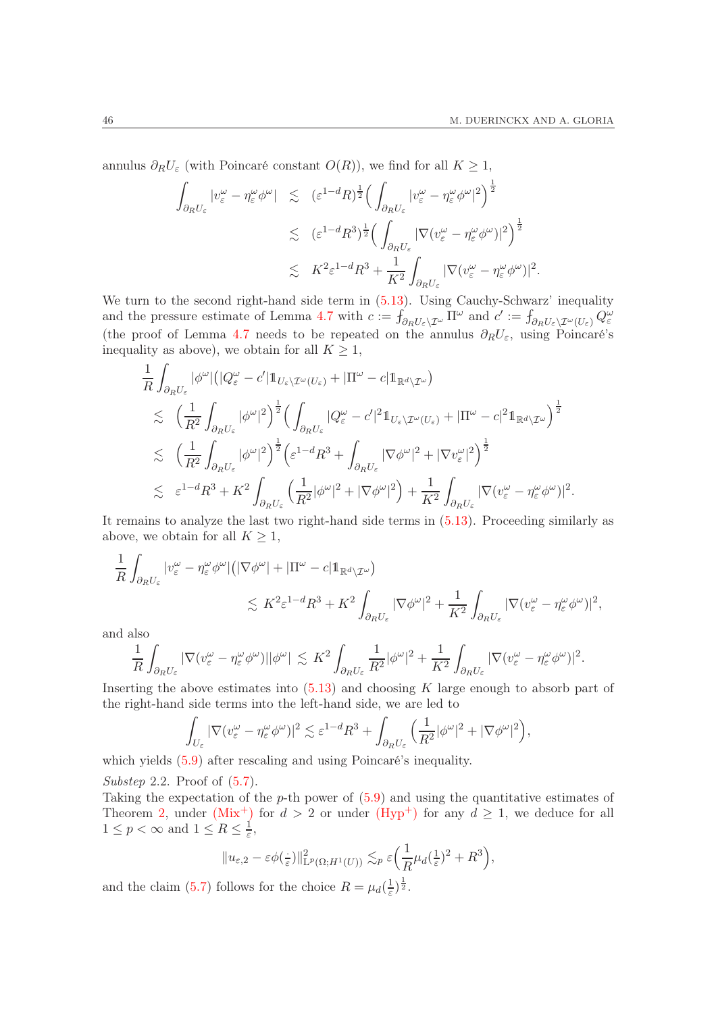annulus  $\partial_R U_\varepsilon$  (with Poincaré constant  $O(R)$ ), we find for all  $K \geq 1$ ,

$$
\int_{\partial_R U_{\varepsilon}} |v_{\varepsilon}^{\omega} - \eta_{\varepsilon}^{\omega} \phi^{\omega}| \leq (\varepsilon^{1-d} R)^{\frac{1}{2}} \Big( \int_{\partial_R U_{\varepsilon}} |v_{\varepsilon}^{\omega} - \eta_{\varepsilon}^{\omega} \phi^{\omega}|^2 \Big)^{\frac{1}{2}} \n\lesssim (\varepsilon^{1-d} R^3)^{\frac{1}{2}} \Big( \int_{\partial_R U_{\varepsilon}} |\nabla (v_{\varepsilon}^{\omega} - \eta_{\varepsilon}^{\omega} \phi^{\omega})|^2 \Big)^{\frac{1}{2}} \n\lesssim K^2 \varepsilon^{1-d} R^3 + \frac{1}{K^2} \int_{\partial_R U_{\varepsilon}} |\nabla (v_{\varepsilon}^{\omega} - \eta_{\varepsilon}^{\omega} \phi^{\omega})|^2.
$$

We turn to the second right-hand side term in  $(5.13)$ . Using Cauchy-Schwarz' inequality and the pressure estimate of Lemma [4.7](#page-26-1) with  $c := f_{\partial_R U_{\varepsilon} \setminus \mathcal{I}^{\omega}} \Pi^{\omega}$  and  $c' := f_{\partial_R U_{\varepsilon} \setminus \mathcal{I}^{\omega}(U_{\varepsilon})} Q_{\varepsilon}^{\omega}$ (the proof of Lemma [4.7](#page-26-1) needs to be repeated on the annulus  $\partial_R U_\varepsilon$ , using Poincaré's inequality as above), we obtain for all  $K \geq 1$ ,

$$
\frac{1}{R} \int_{\partial_R U_{\varepsilon}} |\phi^{\omega}| \left( |Q_{\varepsilon}^{\omega} - c' | 1\!\!1_{U_{\varepsilon} \setminus \mathcal{I}^{\omega}(U_{\varepsilon})} + |\Pi^{\omega} - c | 1\!\!1_{\mathbb{R}^d \setminus \mathcal{I}^{\omega}} \right) \n\lesssim \left( \frac{1}{R^2} \int_{\partial_R U_{\varepsilon}} |\phi^{\omega}|^2 \right)^{\frac{1}{2}} \left( \int_{\partial_R U_{\varepsilon}} |Q_{\varepsilon}^{\omega} - c'|^2 1\!\!1_{U_{\varepsilon} \setminus \mathcal{I}^{\omega}(U_{\varepsilon})} + |\Pi^{\omega} - c|^2 1\!\!1_{\mathbb{R}^d \setminus \mathcal{I}^{\omega}} \right)^{\frac{1}{2}} \n\lesssim \left( \frac{1}{R^2} \int_{\partial_R U_{\varepsilon}} |\phi^{\omega}|^2 \right)^{\frac{1}{2}} \left( \varepsilon^{1-d} R^3 + \int_{\partial_R U_{\varepsilon}} |\nabla \phi^{\omega}|^2 + |\nabla v_{\varepsilon}^{\omega}|^2 \right)^{\frac{1}{2}} \n\lesssim \varepsilon^{1-d} R^3 + K^2 \int_{\partial_R U_{\varepsilon}} \left( \frac{1}{R^2} |\phi^{\omega}|^2 + |\nabla \phi^{\omega}|^2 \right) + \frac{1}{K^2} \int_{\partial_R U_{\varepsilon}} |\nabla (v_{\varepsilon}^{\omega} - \eta_{\varepsilon}^{\omega} \phi^{\omega})|^2.
$$

It remains to analyze the last two right-hand side terms in [\(5.13\)](#page-44-2). Proceeding similarly as above, we obtain for all  $K \geq 1$ ,

$$
\frac{1}{R} \int_{\partial_R U_{\varepsilon}} |v_{\varepsilon}^{\omega} - \eta_{\varepsilon}^{\omega} \phi^{\omega}| \left( |\nabla \phi^{\omega}| + |\Pi^{\omega} - c| 1_{\mathbb{R}^d \setminus \mathcal{I}^{\omega}} \right) \leq K^2 \varepsilon^{1-d} R^3 + K^2 \int_{\partial_R U_{\varepsilon}} |\nabla \phi^{\omega}|^2 + \frac{1}{K^2} \int_{\partial_R U_{\varepsilon}} |\nabla (v_{\varepsilon}^{\omega} - \eta_{\varepsilon}^{\omega} \phi^{\omega})|^2,
$$

and also

$$
\frac{1}{R}\int_{\partial_R U_\varepsilon} |\nabla (v_\varepsilon^\omega - \eta_\varepsilon^\omega \phi^\omega)||\phi^\omega| \ \lesssim \ K^2 \int_{\partial_R U_\varepsilon} \frac{1}{R^2}|\phi^\omega|^2 + \frac{1}{K^2} \int_{\partial_R U_\varepsilon} |\nabla (v_\varepsilon^\omega - \eta_\varepsilon^\omega \phi^\omega)|^2.
$$

Inserting the above estimates into  $(5.13)$  and choosing K large enough to absorb part of the right-hand side terms into the left-hand side, we are led to

$$
\int_{U_{\varepsilon}} |\nabla (v_{\varepsilon}^{\omega} - \eta_{\varepsilon}^{\omega} \phi^{\omega})|^2 \lesssim \varepsilon^{1-d} R^3 + \int_{\partial_R U_{\varepsilon}} \Big( \frac{1}{R^2} |\phi^{\omega}|^2 + |\nabla \phi^{\omega}|^2 \Big),
$$

which yields  $(5.9)$  after rescaling and using Poincaré's inequality.

Substep 2.2. Proof of  $(5.7)$ .

Taking the expectation of the  $p$ -th power of  $(5.9)$  and using the quantitative estimates of Theorem [2,](#page-10-0) under [\(Mix](#page-8-0)<sup>+</sup>) for  $d > 2$  or under (Hyp<sup>+</sup>) for any  $d \ge 1$ , we deduce for all  $1 \leq p < \infty$  and  $1 \leq R \leq \frac{1}{\varepsilon}$  $\frac{1}{\varepsilon}$ ,

$$
||u_{\varepsilon,2}-\varepsilon\phi(\frac{1}{\varepsilon})||_{\mathrm{L}^p(\Omega;H^1(U))}^2\lesssim_p \varepsilon\Big(\frac{1}{R}\mu_d(\frac{1}{\varepsilon})^2+R^3\Big),
$$

and the claim [\(5.7\)](#page-43-3) follows for the choice  $R = \mu_d(\frac{1}{\varepsilon})$  $\frac{1}{\varepsilon}\big)^{\frac{1}{2}}$ .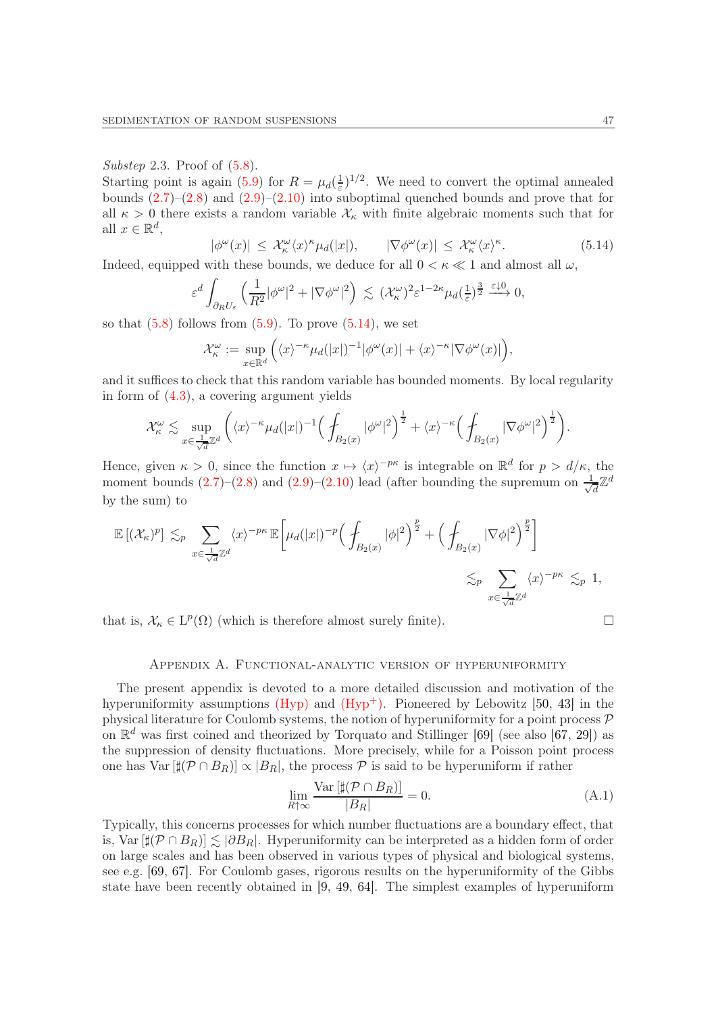## Substep 2.3. Proof of  $(5.8)$ .

Starting point is again [\(5.9\)](#page-43-2) for  $R = \mu_d(\frac{1}{\varepsilon})$  $\frac{1}{\varepsilon}$ <sup>1</sup>/<sup>2</sup>. We need to convert the optimal annealed bounds  $(2.7)$ – $(2.8)$  and  $(2.9)$ – $(2.10)$  into suboptimal quenched bounds and prove that for all  $\kappa > 0$  there exists a random variable  $\mathcal{X}_{\kappa}$  with finite algebraic moments such that for all  $x \in \mathbb{R}^d$ ,

<span id="page-46-1"></span>
$$
|\phi^{\omega}(x)| \leq \mathcal{X}_{\kappa}^{\omega}\langle x \rangle^{\kappa} \mu_d(|x|), \qquad |\nabla \phi^{\omega}(x)| \leq \mathcal{X}_{\kappa}^{\omega}\langle x \rangle^{\kappa}.
$$
 (5.14)

Indeed, equipped with these bounds, we deduce for all  $0 < \kappa \ll 1$  and almost all  $\omega$ ,

$$
\varepsilon^d \int_{\partial_R U_{\varepsilon}} \left( \frac{1}{R^2} |\phi^{\omega}|^2 + |\nabla \phi^{\omega}|^2 \right) \lesssim (\mathcal{X}_{\kappa}^{\omega})^2 \varepsilon^{1-2\kappa} \mu_d(\frac{1}{\varepsilon})^{\frac{3}{2}} \xrightarrow{\varepsilon \downarrow 0} 0,
$$

so that  $(5.8)$  follows from  $(5.9)$ . To prove  $(5.14)$ , we set

$$
\mathcal{X}_{\kappa}^{\omega} := \sup_{x \in \mathbb{R}^d} \left( \langle x \rangle^{-\kappa} \mu_d(|x|)^{-1} |\phi^{\omega}(x)| + \langle x \rangle^{-\kappa} |\nabla \phi^{\omega}(x)| \right),
$$

and it suffices to check that this random variable has bounded moments. By local regularity in form of [\(4.3\)](#page-23-1), a covering argument yields

$$
\mathcal{X}_{\kappa}^{\omega} \lesssim \sup_{x \in \frac{1}{\sqrt{d}} \mathbb{Z}^d} \left( \langle x \rangle^{-\kappa} \mu_d(|x|)^{-1} \Big( \int_{B_2(x)} |\phi^{\omega}|^2 \Big)^{\frac{1}{2}} + \langle x \rangle^{-\kappa} \Big( \int_{B_2(x)} |\nabla \phi^{\omega}|^2 \Big)^{\frac{1}{2}} \right).
$$

Hence, given  $\kappa > 0$ , since the function  $x \mapsto \langle x \rangle^{-p\kappa}$  is integrable on  $\mathbb{R}^d$  for  $p > d/\kappa$ , the moment bounds  $(2.7)$ – $(2.8)$  and  $(2.9)$ – $(2.10)$  lead (after bounding the supremum on  $\frac{1}{\sqrt{2}}$  $\bar{d}^{\mathbb{Z}^d}$ by the sum) to

$$
\mathbb{E}[(\mathcal{X}_{\kappa})^{p}] \lesssim_{p} \sum_{x \in \frac{1}{\sqrt{d}}\mathbb{Z}^{d}} \langle x \rangle^{-p\kappa} \mathbb{E}\bigg[\mu_{d}(|x|)^{-p} \Big(\int_{B_{2}(x)} |\phi|^{2}\Big)^{\frac{p}{2}} + \Big(\int_{B_{2}(x)} |\nabla \phi|^{2}\Big)^{\frac{p}{2}}\bigg] \lesssim_{p} \sum_{x \in \frac{1}{\sqrt{d}}\mathbb{Z}^{d}} \langle x \rangle^{-p\kappa} \lesssim_{p} 1,
$$

<span id="page-46-0"></span>that is,  $\mathcal{X}_{\kappa} \in L^p(\Omega)$  (which is therefore almost surely finite).

## Appendix A. Functional-analytic version of hyperuniformity

The present appendix is devoted to a more detailed discussion and motivation of the hyperuniformity assumptions  $(Hyp)$  and  $(Hyp<sup>+</sup>)$ . Pioneered by Lebowitz [\[50,](#page-52-15) [43\]](#page-51-26) in the physical literature for Coulomb systems, the notion of hyperuniformity for a point process  $\mathcal P$ on  $\mathbb{R}^d$  was first coined and theorized by Torquato and Stillinger [\[69\]](#page-52-4) (see also [\[67,](#page-52-5) [29\]](#page-51-11)) as the suppression of density fluctuations. More precisely, while for a Poisson point process one has  $Var[\sharp(\mathcal{P}\cap B_R)] \propto |B_R|$ , the process  $\mathcal P$  is said to be hyperuniform if rather

<span id="page-46-2"></span>
$$
\lim_{R \uparrow \infty} \frac{\text{Var}\left[\sharp(\mathcal{P} \cap B_R)\right]}{|B_R|} = 0. \tag{A.1}
$$

Typically, this concerns processes for which number fluctuations are a boundary effect, that is, Var  $[\sharp(\mathcal{P} \cap B_R)] \leq \delta B_R$ . Hyperuniformity can be interpreted as a hidden form of order on large scales and has been observed in various types of physical and biological systems, see e.g. [\[69,](#page-52-4) [67\]](#page-52-5). For Coulomb gases, rigorous results on the hyperuniformity of the Gibbs state have been recently obtained in [\[9,](#page-50-18) [49,](#page-52-16) [64\]](#page-52-17). The simplest examples of hyperuniform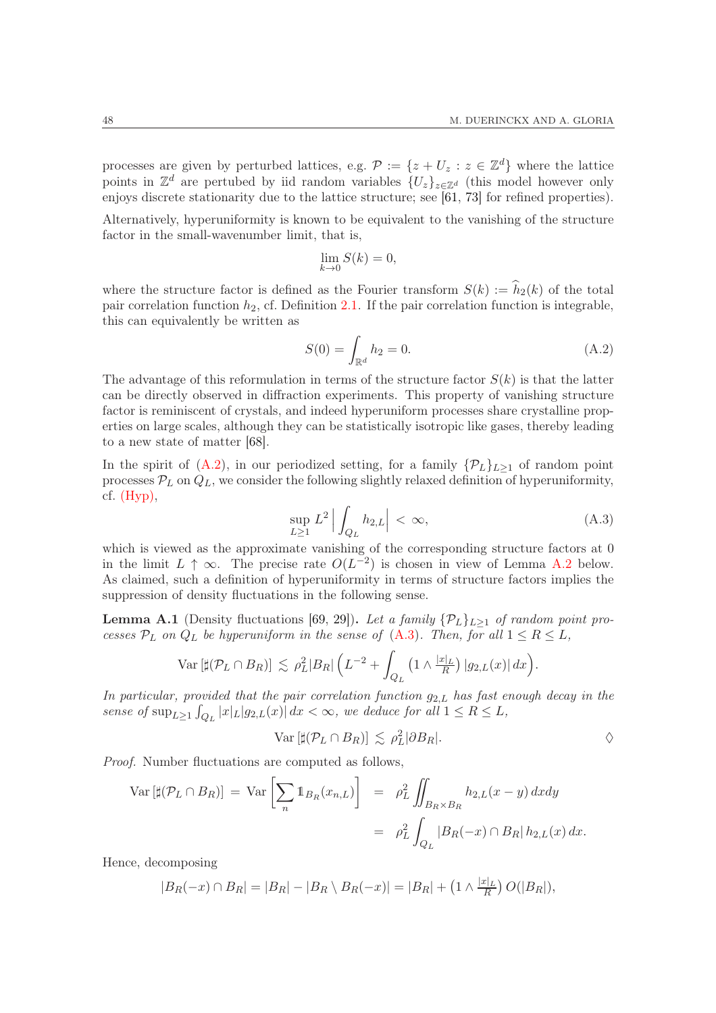processes are given by perturbed lattices, e.g.  $\mathcal{P} := \{z + U_z : z \in \mathbb{Z}^d\}$  where the lattice points in  $\mathbb{Z}^d$  are pertubed by iid random variables  $\{U_z\}_{z\in\mathbb{Z}^d}$  (this model however only enjoys discrete stationarity due to the lattice structure; see [\[61,](#page-52-18) [73\]](#page-52-19) for refined properties).

Alternatively, hyperuniformity is known to be equivalent to the vanishing of the structure factor in the small-wavenumber limit, that is,

$$
\lim_{k \to 0} S(k) = 0,
$$

where the structure factor is defined as the Fourier transform  $S(k) := \hat{h}_2(k)$  of the total pair correlation function  $h_2$ , cf. Definition [2.1.](#page-8-1) If the pair correlation function is integrable, this can equivalently be written as

<span id="page-47-0"></span>
$$
S(0) = \int_{\mathbb{R}^d} h_2 = 0.
$$
 (A.2)

The advantage of this reformulation in terms of the structure factor  $S(k)$  is that the latter can be directly observed in diffraction experiments. This property of vanishing structure factor is reminiscent of crystals, and indeed hyperuniform processes share crystalline properties on large scales, although they can be statistically isotropic like gases, thereby leading to a new state of matter [\[68\]](#page-52-20).

In the spirit of  $(A.2)$ , in our periodized setting, for a family  $\{\mathcal{P}_L\}_{L>1}$  of random point processes  $P_L$  on  $Q_L$ , we consider the following slightly relaxed definition of hyperuniformity, cf.  $(Hvp)$ ,

<span id="page-47-1"></span>
$$
\sup_{L\geq 1} L^2 \left| \int_{Q_L} h_{2,L} \right| < \infty,\tag{A.3}
$$

which is viewed as the approximate vanishing of the corresponding structure factors at 0 in the limit  $L \uparrow \infty$ . The precise rate  $O(L^{-2})$  is chosen in view of Lemma [A.2](#page-48-1) below. As claimed, such a definition of hyperuniformity in terms of structure factors implies the suppression of density fluctuations in the following sense.

**Lemma A.1** (Density fluctuations [\[69,](#page-52-4) [29\]](#page-51-11)). Let a family  $\{\mathcal{P}_L\}_{L\geq 1}$  of random point processes  $P_L$  on  $Q_L$  be hyperuniform in the sense of  $(A.3)$ . Then, for all  $1 \le R \le L$ ,

$$
\text{Var}\left[\sharp(\mathcal{P}_L\cap B_R)\right] \lesssim \rho_L^2|B_R|\left(L^{-2} + \int_{Q_L}\left(1\wedge\frac{|x|_L}{R}\right)|g_{2,L}(x)|\,dx\right).
$$

In particular, provided that the pair correlation function  $g_{2,L}$  has fast enough decay in the sense of  $\sup_{L\geq 1} \int_{Q_L} |x| |g_{2,L}(x)| dx < \infty$ , we deduce for all  $1 \leq R \leq L$ ,

$$
\text{Var}\left[\sharp(\mathcal{P}_L \cap B_R)\right] \lesssim \rho_L^2 |\partial B_R|.
$$

Proof. Number fluctuations are computed as follows,

$$
\operatorname{Var}\left[\sharp(\mathcal{P}_L \cap B_R)\right] = \operatorname{Var}\left[\sum_n \mathbb{1}_{B_R}(x_{n,L})\right] = \rho_L^2 \iint_{B_R \times B_R} h_{2,L}(x - y) \, dxdy
$$

$$
= \rho_L^2 \int_{Q_L} |B_R(-x) \cap B_R| \, h_{2,L}(x) \, dx.
$$

Hence, decomposing

$$
|B_R(-x) \cap B_R| = |B_R| - |B_R \setminus B_R(-x)| = |B_R| + \left(1 \wedge \frac{|x|_L}{R}\right)O(|B_R|),
$$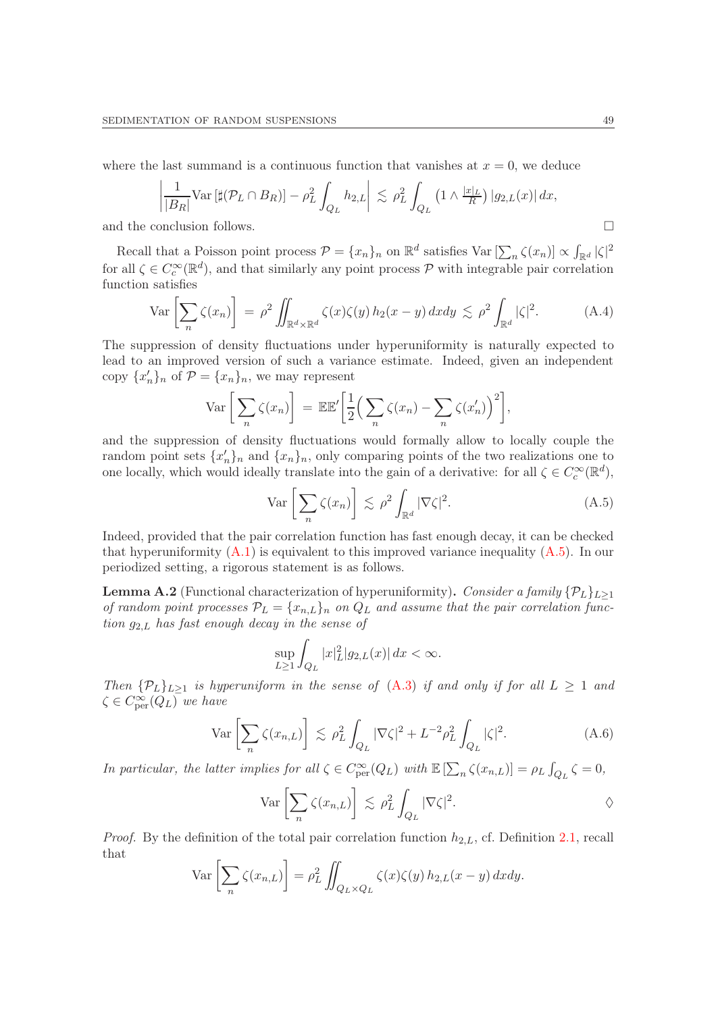where the last summand is a continuous function that vanishes at  $x = 0$ , we deduce

$$
\left|\frac{1}{|B_R|}\text{Var}\left[\sharp(\mathcal{P}_L\cap B_R)\right] - \rho_L^2 \int_{Q_L} h_{2,L}\right| \lesssim \rho_L^2 \int_{Q_L} \left(1 \wedge \frac{|x|_L}{R}\right) |g_{2,L}(x)| dx,
$$

and the conclusion follows.

Recall that a Poisson point process  $\mathcal{P} = \{x_n\}_n$  on  $\mathbb{R}^d$  satisfies  $\text{Var}\left[\sum_n \zeta(x_n)\right] \propto \int_{\mathbb{R}^d} |\zeta|^2$ for all  $\zeta \in C_c^{\infty}(\mathbb{R}^d)$ , and that similarly any point process  $\mathcal P$  with integrable pair correlation function satisfies

<span id="page-48-0"></span>
$$
\operatorname{Var}\left[\sum_{n}\zeta(x_{n})\right] = \rho^{2} \iint_{\mathbb{R}^{d}\times\mathbb{R}^{d}} \zeta(x)\zeta(y) h_{2}(x-y) dxdy \lesssim \rho^{2} \int_{\mathbb{R}^{d}} |\zeta|^{2}.
$$
 (A.4)

The suppression of density fluctuations under hyperuniformity is naturally expected to lead to an improved version of such a variance estimate. Indeed, given an independent copy  $\{x'_n\}_n$  of  $\mathcal{P} = \{x_n\}_n$ , we may represent

$$
\operatorname{Var}\left[\sum_{n}\zeta(x_{n})\right] = \mathbb{E}\mathbb{E}'\left[\frac{1}{2}\Big(\sum_{n}\zeta(x_{n}) - \sum_{n}\zeta(x'_{n})\Big)^{2}\right],
$$

and the suppression of density fluctuations would formally allow to locally couple the random point sets  $\{x'_n\}_n$  and  $\{x_n\}_n$ , only comparing points of the two realizations one to one locally, which would ideally translate into the gain of a derivative: for all  $\zeta \in C_c^{\infty}(\mathbb{R}^d)$ ,

<span id="page-48-2"></span>
$$
\operatorname{Var}\left[\sum_{n}\zeta(x_{n})\right] \lesssim \rho^{2} \int_{\mathbb{R}^{d}} |\nabla \zeta|^{2}.\tag{A.5}
$$

Indeed, provided that the pair correlation function has fast enough decay, it can be checked that hyperuniformity  $(A.1)$  is equivalent to this improved variance inequality  $(A.5)$ . In our periodized setting, a rigorous statement is as follows.

<span id="page-48-1"></span>**Lemma A.2** (Functional characterization of hyperuniformity). Consider a family  $\{\mathcal{P}_L\}_{L\geq 1}$ of random point processes  $\mathcal{P}_L = \{x_{n,L}\}_n$  on  $Q_L$  and assume that the pair correlation function  $g_{2,L}$  has fast enough decay in the sense of

$$
\sup_{L\geq 1}\int_{Q_L}|x|_L^2|g_{2,L}(x)|\,dx < \infty.
$$

Then  $\{\mathcal{P}_L\}_{L\geq 1}$  is hyperuniform in the sense of  $(A.3)$  if and only if for all  $L \geq 1$  and  $\zeta \in C_{\text{per}}^{\infty}(Q_L)$  we have

<span id="page-48-3"></span>
$$
\operatorname{Var}\left[\sum_{n}\zeta(x_{n,L})\right] \lesssim \rho_L^2 \int_{Q_L} |\nabla \zeta|^2 + L^{-2} \rho_L^2 \int_{Q_L} |\zeta|^2. \tag{A.6}
$$

In particular, the latter implies for all  $\zeta \in C^{\infty}_{per}(Q_L)$  with  $\mathbb{E} \left[\sum_n \zeta(x_{n,L})\right] = \rho_L \int_{Q_L} \zeta = 0$ ,

$$
\operatorname{Var}\left[\sum_{n}\zeta(x_{n,L})\right] \lesssim \rho_L^2 \int_{Q_L} |\nabla \zeta|^2. \qquad \qquad \diamond
$$

*Proof.* By the definition of the total pair correlation function  $h_{2,L}$ , cf. Definition [2.1,](#page-8-1) recall that

$$
\operatorname{Var}\left[\sum_{n}\zeta(x_{n,L})\right] = \rho_L^2 \iint_{Q_L \times Q_L} \zeta(x)\zeta(y) h_{2,L}(x-y) \,dxdy.
$$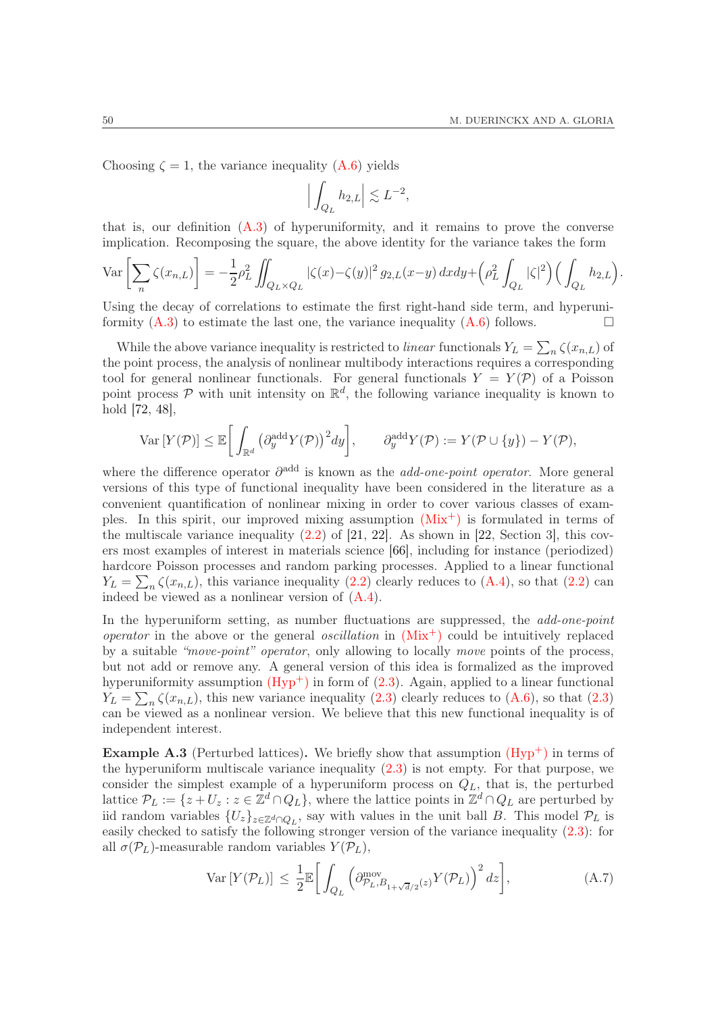Choosing  $\zeta = 1$ , the variance inequality [\(A.6\)](#page-48-3) yields

$$
\Big|\int_{Q_L} h_{2,L}\Big| \lesssim L^{-2},
$$

that is, our definition  $(A.3)$  of hyperuniformity, and it remains to prove the converse implication. Recomposing the square, the above identity for the variance takes the form

$$
\operatorname{Var}\left[\sum_{n}\zeta(x_{n,L})\right] = -\frac{1}{2}\rho_{L}^{2}\iint_{Q_{L}\times Q_{L}}|\zeta(x)-\zeta(y)|^{2} g_{2,L}(x-y) dx dy + \left(\rho_{L}^{2}\int_{Q_{L}}|\zeta|^{2}\right)\left(\int_{Q_{L}}h_{2,L}\right).
$$

Using the decay of correlations to estimate the first right-hand side term, and hyperuniformity  $(A.3)$  to estimate the last one, the variance inequality  $(A.6)$  follows.

While the above variance inequality is restricted to *linear* functionals  $Y_L = \sum_n \zeta(x_{n,L})$  of the point process, the analysis of nonlinear multibody interactions requires a corresponding tool for general nonlinear functionals. For general functionals  $Y = Y(\mathcal{P})$  of a Poisson point process  $P$  with unit intensity on  $\mathbb{R}^d$ , the following variance inequality is known to hold [\[72,](#page-52-21) [48\]](#page-52-22),

$$
\text{Var}\left[Y(\mathcal{P})\right] \leq \mathbb{E}\bigg[\int_{\mathbb{R}^d} \left(\partial_y^{\text{add}} Y(\mathcal{P})\right)^2 dy\bigg], \qquad \partial_y^{\text{add}} Y(\mathcal{P}) := Y(\mathcal{P} \cup \{y\}) - Y(\mathcal{P}),
$$

where the difference operator  $\partial^{\text{add}}$  is known as the *add-one-point operator*. More general versions of this type of functional inequality have been considered in the literature as a convenient quantification of nonlinear mixing in order to cover various classes of examples. In this spirit, our improved mixing assumption  $(Mix^+)$  $(Mix^+)$  is formulated in terms of the multiscale variance inequality  $(2.2)$  of  $[21, 22]$  $[21, 22]$ . As shown in  $[22, Section 3]$ , this covers most examples of interest in materials science [\[66\]](#page-52-23), including for instance (periodized) hardcore Poisson processes and random parking processes. Applied to a linear functional  $Y_L = \sum_n \zeta(x_{n,L})$ , this variance inequality [\(2.2\)](#page-9-1) clearly reduces to [\(A.4\)](#page-48-0), so that (2.2) can indeed be viewed as a nonlinear version of [\(A.4\)](#page-48-0).

In the hyperuniform setting, as number fluctuations are suppressed, the *add-one-point operator* in the above or the general *oscillation* in  $(Mix^+)$  $(Mix^+)$  could be intuitively replaced by a suitable "move-point" operator, only allowing to locally move points of the process, but not add or remove any. A general version of this idea is formalized as the improved hyperuniformity assumption  $(Hyp^+)$  in form of  $(2.3)$ . Again, applied to a linear functional  $Y_L = \sum_n \zeta(x_{n,L})$ , this new variance inequality  $(2.3)$  clearly reduces to  $(A.6)$ , so that  $(2.3)$ can be viewed as a nonlinear version. We believe that this new functional inequality is of independent interest.

**Example A.3** (Perturbed lattices). We briefly show that assumption  $(Hyp^+)$  in terms of the hyperuniform multiscale variance inequality  $(2.3)$  is not empty. For that purpose, we consider the simplest example of a hyperuniform process on  $Q_L$ , that is, the perturbed lattice  $\mathcal{P}_L := \{z + U_z : z \in \mathbb{Z}^d \cap Q_L\}$ , where the lattice points in  $\mathbb{Z}^d \cap Q_L$  are perturbed by iid random variables  $\{U_z\}_{z\in\mathbb{Z}^d\cap Q_L}$ , say with values in the unit ball B. This model  $\mathcal{P}_L$  is easily checked to satisfy the following stronger version of the variance inequality [\(2.3\)](#page-9-2): for all  $\sigma(\mathcal{P}_L)$ -measurable random variables  $Y(\mathcal{P}_L)$ ,

<span id="page-49-0"></span>
$$
\text{Var}\left[Y(\mathcal{P}_L)\right] \le \frac{1}{2} \mathbb{E}\bigg[\int_{Q_L} \left(\partial_{\mathcal{P}_L, B_{1+\sqrt{d}/2}}^{\text{mov}}(z) Y(\mathcal{P}_L)\right)^2 dz\bigg],\tag{A.7}
$$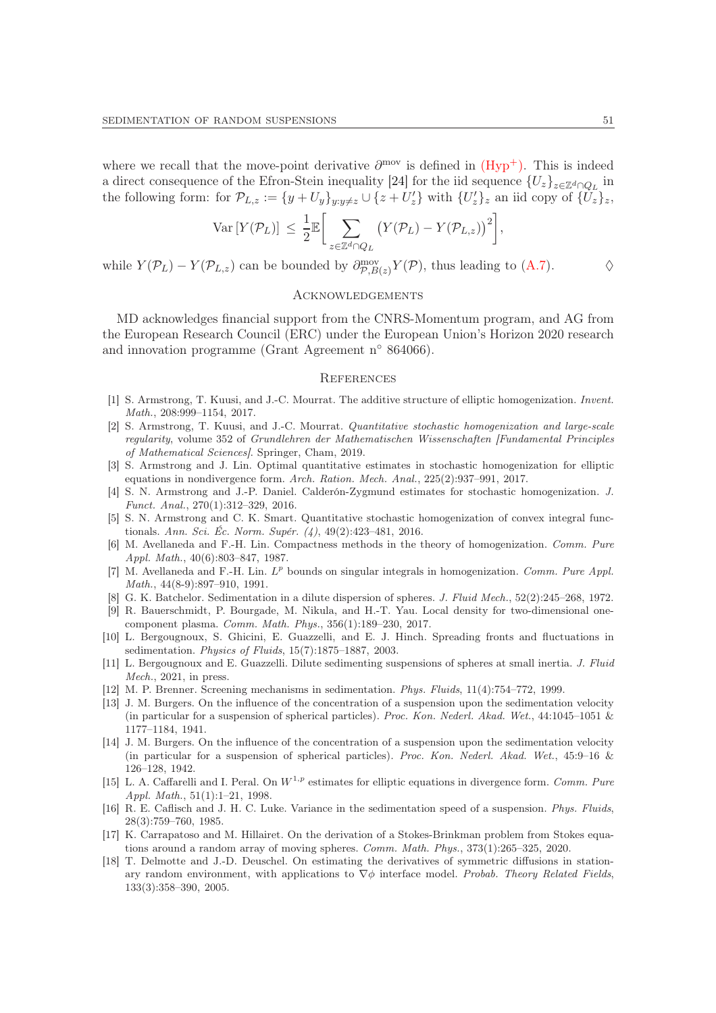where we recall that the move-point derivative  $\partial^{\text{mov}}$  is defined in  $(Hyp^+)$ . This is indeed a direct consequence of the Efron-Stein inequality [\[24\]](#page-51-27) for the iid sequence  $\{U_z\}_{z\in\mathbb{Z}^d\cap Q_L}$  in the following form: for  $\mathcal{P}_{L,z} := \{y + U_y\}_{y:y\neq z} \cup \{z + U'_z\}$  with  $\{U'_z\}_z$  an iid copy of  $\{U_z\}_z$ ,

$$
\text{Var}\left[Y(\mathcal{P}_L)\right] \leq \frac{1}{2} \mathbb{E}\bigg[\sum_{z \in \mathbb{Z}^d \cap Q_L} \big(Y(\mathcal{P}_L) - Y(\mathcal{P}_{L,z})\big)^2\bigg],
$$

while  $Y(\mathcal{P}_L) - Y(\mathcal{P}_{L,z})$  can be bounded by  $\partial_{\mathcal{P},B(z)}^{\text{mov}} Y(\mathcal{P})$ , thus leading to [\(A.7\)](#page-49-0).  $\diamond$ 

## <span id="page-50-0"></span>Acknowledgements

MD acknowledges financial support from the CNRS-Momentum program, and AG from the European Research Council (ERC) under the European Union's Horizon 2020 research and innovation programme (Grant Agreement n◦ 864066).

#### <span id="page-50-1"></span>**REFERENCES**

- <span id="page-50-10"></span>[1] S. Armstrong, T. Kuusi, and J.-C. Mourrat. The additive structure of elliptic homogenization. Invent. Math., 208:999-1154, 2017.
- <span id="page-50-11"></span>[2] S. Armstrong, T. Kuusi, and J.-C. Mourrat. Quantitative stochastic homogenization and large-scale regularity, volume 352 of Grundlehren der Mathematischen Wissenschaften [Fundamental Principles of Mathematical Sciences]. Springer, Cham, 2019.
- <span id="page-50-12"></span>[3] S. Armstrong and J. Lin. Optimal quantitative estimates in stochastic homogenization for elliptic equations in nondivergence form. Arch. Ration. Mech. Anal., 225(2):937–991, 2017.
- <span id="page-50-17"></span>[4] S. N. Armstrong and J.-P. Daniel. Calderón-Zygmund estimates for stochastic homogenization. J. Funct. Anal., 270(1):312–329, 2016.
- <span id="page-50-16"></span>[5] S. N. Armstrong and C. K. Smart. Quantitative stochastic homogenization of convex integral functionals. Ann. Sci. Éc. Norm. Supér. (4), 49(2):423–481, 2016.
- <span id="page-50-14"></span>[6] M. Avellaneda and F.-H. Lin. Compactness methods in the theory of homogenization. Comm. Pure Appl. Math., 40(6):803–847, 1987.
- <span id="page-50-15"></span>[7] M. Avellaneda and F.-H. Lin.  $L^p$  bounds on singular integrals in homogenization. Comm. Pure Appl. Math., 44(8-9):897–910, 1991.
- <span id="page-50-18"></span><span id="page-50-4"></span>[8] G. K. Batchelor. Sedimentation in a dilute dispersion of spheres. J. Fluid Mech., 52(2):245–268, 1972.
- [9] R. Bauerschmidt, P. Bourgade, M. Nikula, and H.-T. Yau. Local density for two-dimensional onecomponent plasma. Comm. Math. Phys., 356(1):189–230, 2017.
- <span id="page-50-6"></span>[10] L. Bergougnoux, S. Ghicini, E. Guazzelli, and E. J. Hinch. Spreading fronts and fluctuations in sedimentation. Physics of Fluids, 15(7):1875–1887, 2003.
- <span id="page-50-7"></span>[11] L. Bergougnoux and E. Guazzelli. Dilute sedimenting suspensions of spheres at small inertia. J. Fluid Mech., 2021, in press.
- <span id="page-50-8"></span><span id="page-50-2"></span>[12] M. P. Brenner. Screening mechanisms in sedimentation. Phys. Fluids, 11(4):754–772, 1999.
- [13] J. M. Burgers. On the influence of the concentration of a suspension upon the sedimentation velocity (in particular for a suspension of spherical particles). Proc. Kon. Nederl. Akad. Wet., 44:1045–1051 & 1177–1184, 1941.
- <span id="page-50-3"></span>[14] J. M. Burgers. On the influence of the concentration of a suspension upon the sedimentation velocity (in particular for a suspension of spherical particles). Proc. Kon. Nederl. Akad. Wet., 45:9–16 & 126–128, 1942.
- [15] L. A. Caffarelli and I. Peral. On  $W^{1,p}$  estimates for elliptic equations in divergence form. Comm. Pure Appl. Math., 51(1):1–21, 1998.
- <span id="page-50-5"></span>[16] R. E. Caflisch and J. H. C. Luke. Variance in the sedimentation speed of a suspension. Phys. Fluids, 28(3):759–760, 1985.
- <span id="page-50-9"></span>[17] K. Carrapatoso and M. Hillairet. On the derivation of a Stokes-Brinkman problem from Stokes equations around a random array of moving spheres. Comm. Math. Phys., 373(1):265-325, 2020.
- <span id="page-50-13"></span>[18] T. Delmotte and J.-D. Deuschel. On estimating the derivatives of symmetric diffusions in stationary random environment, with applications to  $\nabla \phi$  interface model. Probab. Theory Related Fields, 133(3):358–390, 2005.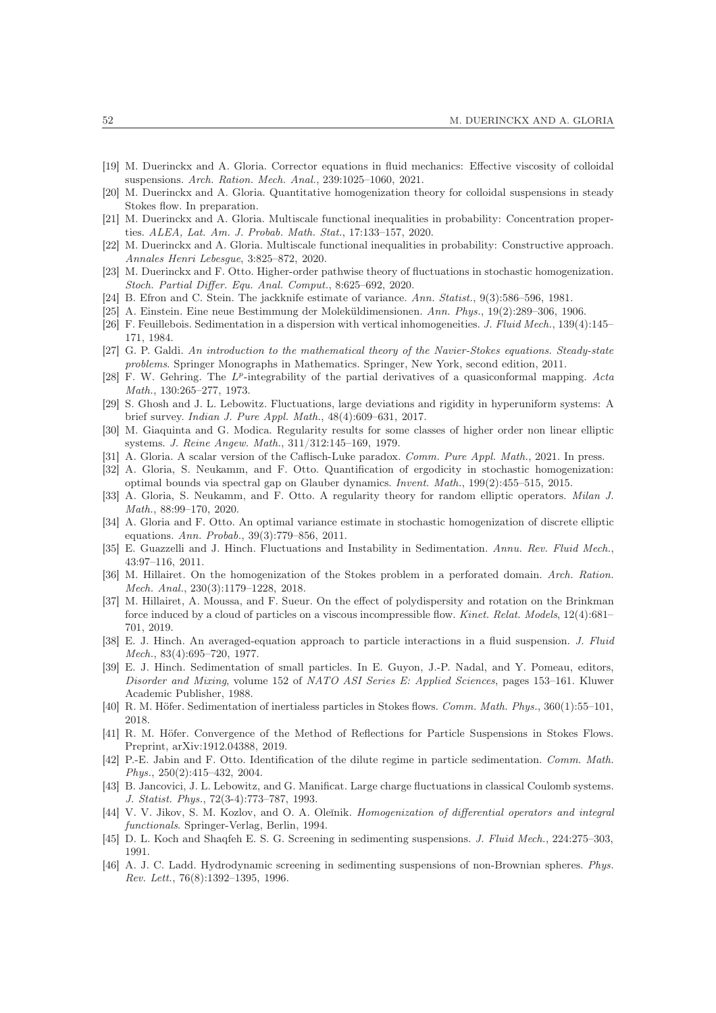- <span id="page-51-15"></span><span id="page-51-7"></span>[19] M. Duerinckx and A. Gloria. Corrector equations in fluid mechanics: Effective viscosity of colloidal suspensions. Arch. Ration. Mech. Anal., 239:1025–1060, 2021.
- <span id="page-51-1"></span>[20] M. Duerinckx and A. Gloria. Quantitative homogenization theory for colloidal suspensions in steady Stokes flow. In preparation.
- <span id="page-51-2"></span>[21] M. Duerinckx and A. Gloria. Multiscale functional inequalities in probability: Concentration properties. ALEA, Lat. Am. J. Probab. Math. Stat., 17:133–157, 2020.
- <span id="page-51-16"></span>[22] M. Duerinckx and A. Gloria. Multiscale functional inequalities in probability: Constructive approach. Annales Henri Lebesgue, 3:825–872, 2020.
- <span id="page-51-27"></span>[23] M. Duerinckx and F. Otto. Higher-order pathwise theory of fluctuations in stochastic homogenization. Stoch. Partial Differ. Equ. Anal. Comput., 8:625–692, 2020.
- <span id="page-51-18"></span>[24] B. Efron and C. Stein. The jackknife estimate of variance. Ann. Statist., 9(3):586–596, 1981.
- <span id="page-51-9"></span>[25] A. Einstein. Eine neue Bestimmung der Moleküldimensionen. Ann. Phys., 19(2):289–306, 1906.
- [26] F. Feuillebois. Sedimentation in a dispersion with vertical inhomogeneities. J. Fluid Mech., 139(4):145– 171, 1984.
- <span id="page-51-14"></span>[27] G. P. Galdi. An introduction to the mathematical theory of the Navier-Stokes equations. Steady-state problems. Springer Monographs in Mathematics. Springer, New York, second edition, 2011.
- <span id="page-51-24"></span>[28] F. W. Gehring. The L<sup>p</sup>-integrability of the partial derivatives of a quasiconformal mapping. Acta Math., 130:265–277, 1973.
- <span id="page-51-11"></span>[29] S. Ghosh and J. L. Lebowitz. Fluctuations, large deviations and rigidity in hyperuniform systems: A brief survey. Indian J. Pure Appl. Math., 48(4):609–631, 2017.
- <span id="page-51-25"></span>[30] M. Giaquinta and G. Modica. Regularity results for some classes of higher order non linear elliptic systems. J. Reine Angew. Math., 311/312:145–169, 1979.
- <span id="page-51-22"></span><span id="page-51-6"></span>[31] A. Gloria. A scalar version of the Caflisch-Luke paradox. Comm. Pure Appl. Math., 2021. In press.
- [32] A. Gloria, S. Neukamm, and F. Otto. Quantification of ergodicity in stochastic homogenization: optimal bounds via spectral gap on Glauber dynamics. Invent. Math., 199(2):455–515, 2015.
- <span id="page-51-23"></span>[33] A. Gloria, S. Neukamm, and F. Otto. A regularity theory for random elliptic operators. *Milan J.* Math., 88:99–170, 2020.
- <span id="page-51-21"></span>[34] A. Gloria and F. Otto. An optimal variance estimate in stochastic homogenization of discrete elliptic equations. Ann. Probab., 39(3):779–856, 2011.
- <span id="page-51-13"></span>[35] E. Guazzelli and J. Hinch. Fluctuations and Instability in Sedimentation. Annu. Rev. Fluid Mech., 43:97–116, 2011.
- <span id="page-51-19"></span>[36] M. Hillairet. On the homogenization of the Stokes problem in a perforated domain. Arch. Ration. Mech. Anal., 230(3):1179–1228, 2018.
- <span id="page-51-20"></span>[37] M. Hillairet, A. Moussa, and F. Sueur. On the effect of polydispersity and rotation on the Brinkman force induced by a cloud of particles on a viscous incompressible flow. Kinet. Relat. Models, 12(4):681-701, 2019.
- <span id="page-51-8"></span>[38] E. J. Hinch. An averaged-equation approach to particle interactions in a fluid suspension. J. Fluid Mech., 83(4):695–720, 1977.
- <span id="page-51-10"></span>[39] E. J. Hinch. Sedimentation of small particles. In E. Guyon, J.-P. Nadal, and Y. Pomeau, editors, Disorder and Mixing, volume 152 of NATO ASI Series E: Applied Sciences, pages 153–161. Kluwer Academic Publisher, 1988.
- <span id="page-51-5"></span><span id="page-51-4"></span>[40] R. M. Höfer. Sedimentation of inertialess particles in Stokes flows. Comm. Math. Phys., 360(1):55–101, 2018.
- [41] R. M. Höfer. Convergence of the Method of Reflections for Particle Suspensions in Stokes Flows. Preprint, arXiv:1912.04388, 2019.
- <span id="page-51-3"></span>[42] P.-E. Jabin and F. Otto. Identification of the dilute regime in particle sedimentation. Comm. Math. Phys., 250(2):415–432, 2004.
- <span id="page-51-26"></span>[43] B. Jancovici, J. L. Lebowitz, and G. Manificat. Large charge fluctuations in classical Coulomb systems. J. Statist. Phys., 72(3-4):773–787, 1993.
- <span id="page-51-17"></span>[44] V. V. Jikov, S. M. Kozlov, and O. A. Oleĭnik. Homogenization of differential operators and integral functionals. Springer-Verlag, Berlin, 1994.
- <span id="page-51-0"></span>[45] D. L. Koch and Shaqfeh E. S. G. Screening in sedimenting suspensions. J. Fluid Mech., 224:275–303, 1991.
- <span id="page-51-12"></span>[46] A. J. C. Ladd. Hydrodynamic screening in sedimenting suspensions of non-Brownian spheres. Phys. Rev. Lett., 76(8):1392–1395, 1996.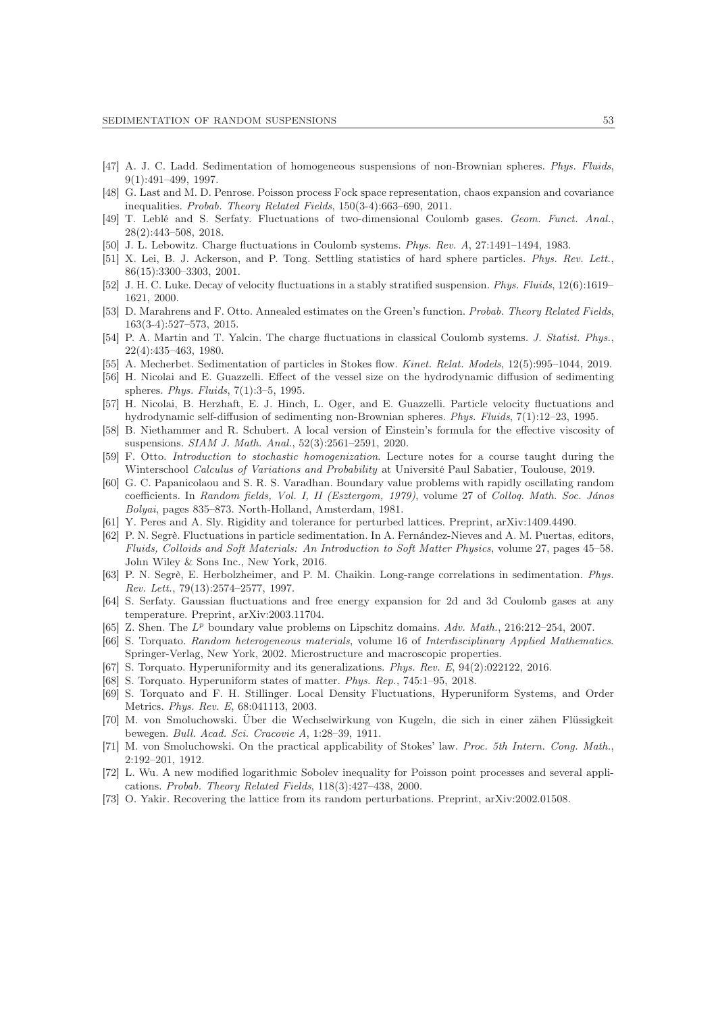- <span id="page-52-7"></span>[47] A. J. C. Ladd. Sedimentation of homogeneous suspensions of non-Brownian spheres. Phys. Fluids, 9(1):491–499, 1997.
- <span id="page-52-22"></span>[48] G. Last and M. D. Penrose. Poisson process Fock space representation, chaos expansion and covariance inequalities. Probab. Theory Related Fields, 150(3-4):663–690, 2011.
- <span id="page-52-16"></span>[49] T. Leblé and S. Serfaty. Fluctuations of two-dimensional Coulomb gases. Geom. Funct. Anal., 28(2):443–508, 2018.
- <span id="page-52-15"></span><span id="page-52-9"></span>[50] J. L. Lebowitz. Charge fluctuations in Coulomb systems. Phys. Rev. A, 27:1491–1494, 1983.
- [51] X. Lei, B. J. Ackerson, and P. Tong. Settling statistics of hard sphere particles. Phys. Rev. Lett., 86(15):3300–3303, 2001.
- [52] J. H. C. Luke. Decay of velocity fluctuations in a stably stratified suspension. Phys. Fluids, 12(6):1619– 1621, 2000.
- <span id="page-52-14"></span>[53] D. Marahrens and F. Otto. Annealed estimates on the Green's function. Probab. Theory Related Fields, 163(3-4):527–573, 2015.
- [54] P. A. Martin and T. Yalcin. The charge fluctuations in classical Coulomb systems. J. Statist. Phys., 22(4):435–463, 1980.
- <span id="page-52-6"></span><span id="page-52-2"></span>[55] A. Mecherbet. Sedimentation of particles in Stokes flow. Kinet. Relat. Models, 12(5):995–1044, 2019.
- [56] H. Nicolai and E. Guazzelli. Effect of the vessel size on the hydrodynamic diffusion of sedimenting spheres. Phys. Fluids, 7(1):3–5, 1995.
- <span id="page-52-3"></span>[57] H. Nicolai, B. Herzhaft, E. J. Hinch, L. Oger, and E. Guazzelli. Particle velocity fluctuations and hydrodynamic self-diffusion of sedimenting non-Brownian spheres. Phys. Fluids, 7(1):12–23, 1995.
- <span id="page-52-11"></span>[58] B. Niethammer and R. Schubert. A local version of Einstein's formula for the effective viscosity of suspensions. SIAM J. Math. Anal., 52(3):2561–2591, 2020.
- <span id="page-52-12"></span>[59] F. Otto. Introduction to stochastic homogenization. Lecture notes for a course taught during the Winterschool Calculus of Variations and Probability at Université Paul Sabatier, Toulouse, 2019.
- <span id="page-52-13"></span>[60] G. C. Papanicolaou and S. R. S. Varadhan. Boundary value problems with rapidly oscillating random coefficients. In Random fields, Vol. I, II (Esztergom, 1979), volume 27 of Colloq. Math. Soc. János Bolyai, pages 835–873. North-Holland, Amsterdam, 1981.
- <span id="page-52-18"></span><span id="page-52-10"></span>[61] Y. Peres and A. Sly. Rigidity and tolerance for perturbed lattices. Preprint, arXiv:1409.4490.
- [62] P. N. Segrè. Fluctuations in particle sedimentation. In A. Fernández-Nieves and A. M. Puertas, editors, Fluids, Colloids and Soft Materials: An Introduction to Soft Matter Physics, volume 27, pages 45–58. John Wiley & Sons Inc., New York, 2016.
- <span id="page-52-8"></span>[63] P. N. Segrè, E. Herbolzheimer, and P. M. Chaikin. Long-range correlations in sedimentation. Phys. Rev. Lett., 79(13):2574–2577, 1997.
- <span id="page-52-17"></span>[64] S. Serfaty. Gaussian fluctuations and free energy expansion for 2d and 3d Coulomb gases at any temperature. Preprint, arXiv:2003.11704.
- <span id="page-52-23"></span>[65] Z. Shen. The  $L^p$  boundary value problems on Lipschitz domains. Adv. Math., 216:212-254, 2007.
- [66] S. Torquato. Random heterogeneous materials, volume 16 of Interdisciplinary Applied Mathematics. Springer-Verlag, New York, 2002. Microstructure and macroscopic properties.
- <span id="page-52-20"></span><span id="page-52-5"></span>[67] S. Torquato. Hyperuniformity and its generalizations. Phys. Rev. E, 94(2):022122, 2016.
- <span id="page-52-4"></span>[68] S. Torquato. Hyperuniform states of matter. Phys. Rep., 745:1–95, 2018.
- [69] S. Torquato and F. H. Stillinger. Local Density Fluctuations, Hyperuniform Systems, and Order Metrics. Phys. Rev. E, 68:041113, 2003.
- <span id="page-52-1"></span>[70] M. von Smoluchowski. Über die Wechselwirkung von Kugeln, die sich in einer zähen Flüssigkeit bewegen. Bull. Acad. Sci. Cracovie A, 1:28–39, 1911.
- <span id="page-52-0"></span>[71] M. von Smoluchowski. On the practical applicability of Stokes' law. Proc. 5th Intern. Cong. Math., 2:192–201, 1912.
- <span id="page-52-21"></span>[72] L. Wu. A new modified logarithmic Sobolev inequality for Poisson point processes and several applications. Probab. Theory Related Fields, 118(3):427–438, 2000.
- <span id="page-52-19"></span>[73] O. Yakir. Recovering the lattice from its random perturbations. Preprint, arXiv:2002.01508.